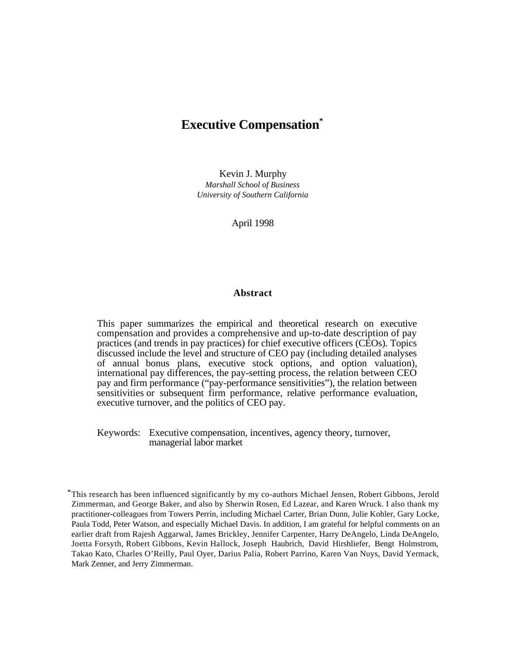# **Executive Compensation\***

Kevin J. Murphy *Marshall School of Business University of Southern California*

April 1998

#### **Abstract**

This paper summarizes the empirical and theoretical research on executive compensation and provides a comprehensive and up-to-date description of pay practices (and trends in pay practices) for chief executive officers (CEOs). Topics discussed include the level and structure of CEO pay (including detailed analyses of annual bonus plans, executive stock options, and option valuation), international pay differences, the pay-setting process, the relation between CEO pay and firm performance ("pay-performance sensitivities"), the relation between sensitivities or subsequent firm performance, relative performance evaluation, executive turnover, and the politics of CEO pay.

Keywords: Executive compensation, incentives, agency theory, turnover, managerial labor market

<sup>\*</sup>This research has been influenced significantly by my co-authors Michael Jensen, Robert Gibbons, Jerold Zimmerman, and George Baker, and also by Sherwin Rosen, Ed Lazear, and Karen Wruck. I also thank my practitioner-colleagues from Towers Perrin, including Michael Carter, Brian Dunn, Julie Kohler, Gary Locke, Paula Todd, Peter Watson, and especially Michael Davis. In addition, I am grateful for helpful comments on an earlier draft from Rajesh Aggarwal, James Brickley, Jennifer Carpenter, Harry DeAngelo, Linda DeAngelo, Joetta Forsyth, Robert Gibbons, Kevin Hallock, Joseph Haubrich, David Hirshliefer, Bengt Holmstrom, Takao Kato, Charles O'Reilly, Paul Oyer, Darius Palia, Robert Parrino, Karen Van Nuys, David Yermack, Mark Zenner, and Jerry Zimmerman.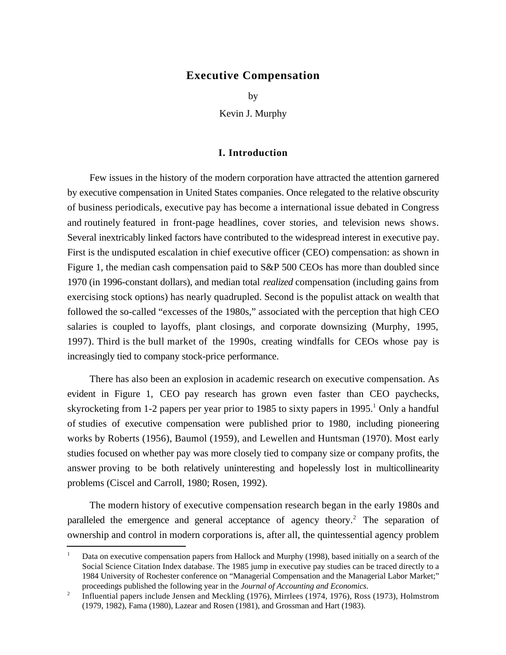### **Executive Compensation**

by

Kevin J. Murphy

#### **I. Introduction**

Few issues in the history of the modern corporation have attracted the attention garnered by executive compensation in United States companies. Once relegated to the relative obscurity of business periodicals, executive pay has become a international issue debated in Congress and routinely featured in front-page headlines, cover stories, and television news shows. Several inextricably linked factors have contributed to the widespread interest in executive pay. First is the undisputed escalation in chief executive officer (CEO) compensation: as shown in Figure 1, the median cash compensation paid to S&P 500 CEOs has more than doubled since 1970 (in 1996-constant dollars), and median total *realized* compensation (including gains from exercising stock options) has nearly quadrupled. Second is the populist attack on wealth that followed the so-called "excesses of the 1980s," associated with the perception that high CEO salaries is coupled to layoffs, plant closings, and corporate downsizing (Murphy, 1995, 1997). Third is the bull market of the 1990s, creating windfalls for CEOs whose pay is increasingly tied to company stock-price performance.

There has also been an explosion in academic research on executive compensation. As evident in Figure 1, CEO pay research has grown even faster than CEO paychecks, skyrocketing from 1-2 papers per year prior to 1985 to sixty papers in 1995.<sup>1</sup> Only a handful of studies of executive compensation were published prior to 1980, including pioneering works by Roberts (1956), Baumol (1959), and Lewellen and Huntsman (1970). Most early studies focused on whether pay was more closely tied to company size or company profits, the answer proving to be both relatively uninteresting and hopelessly lost in multicollinearity problems (Ciscel and Carroll, 1980; Rosen, 1992).

The modern history of executive compensation research began in the early 1980s and paralleled the emergence and general acceptance of agency theory.<sup>2</sup> The separation of ownership and control in modern corporations is, after all, the quintessential agency problem l

Data on executive compensation papers from Hallock and Murphy (1998), based initially on a search of the Social Science Citation Index database. The 1985 jump in executive pay studies can be traced directly to a 1984 University of Rochester conference on "Managerial Compensation and the Managerial Labor Market;" proceedings published the following year in the *Journal of Accounting and Economics*.

<sup>2</sup> Influential papers include Jensen and Meckling (1976), Mirrlees (1974, 1976), Ross (1973), Holmstrom (1979, 1982), Fama (1980), Lazear and Rosen (1981), and Grossman and Hart (1983).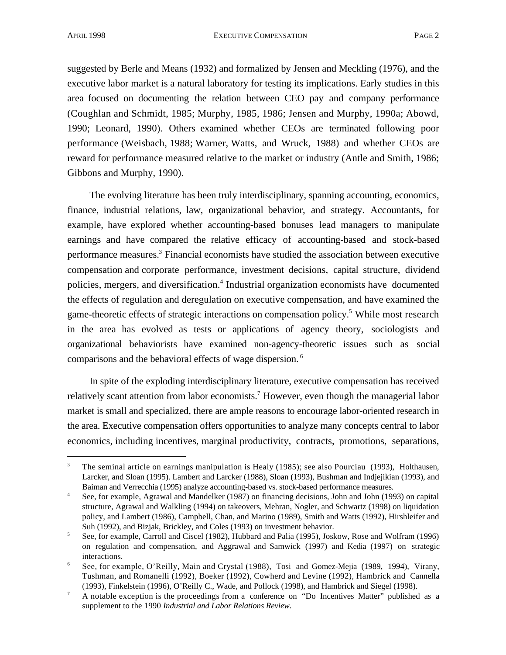suggested by Berle and Means (1932) and formalized by Jensen and Meckling (1976), and the executive labor market is a natural laboratory for testing its implications. Early studies in this area focused on documenting the relation between CEO pay and company performance (Coughlan and Schmidt, 1985; Murphy, 1985, 1986; Jensen and Murphy, 1990a; Abowd, 1990; Leonard, 1990). Others examined whether CEOs are terminated following poor performance (Weisbach, 1988; Warner, Watts, and Wruck, 1988) and whether CEOs are reward for performance measured relative to the market or industry (Antle and Smith, 1986; Gibbons and Murphy, 1990).

The evolving literature has been truly interdisciplinary, spanning accounting, economics, finance, industrial relations, law, organizational behavior, and strategy. Accountants, for example, have explored whether accounting-based bonuses lead managers to manipulate earnings and have compared the relative efficacy of accounting-based and stock-based performance measures.<sup>3</sup> Financial economists have studied the association between executive compensation and corporate performance, investment decisions, capital structure, dividend policies, mergers, and diversification.<sup>4</sup> Industrial organization economists have documented the effects of regulation and deregulation on executive compensation, and have examined the game-theoretic effects of strategic interactions on compensation policy.<sup>5</sup> While most research in the area has evolved as tests or applications of agency theory, sociologists and organizational behaviorists have examined non-agency-theoretic issues such as social comparisons and the behavioral effects of wage dispersion.<sup>6</sup>

In spite of the exploding interdisciplinary literature, executive compensation has received relatively scant attention from labor economists.<sup>7</sup> However, even though the managerial labor market is small and specialized, there are ample reasons to encourage labor-oriented research in the area. Executive compensation offers opportunities to analyze many concepts central to labor economics, including incentives, marginal productivity, contracts, promotions, separations,

<sup>3</sup> The seminal article on earnings manipulation is Healy (1985); see also Pourciau (1993), Holthausen, Larcker, and Sloan (1995). Lambert and Larcker (1988), Sloan (1993), Bushman and Indjejikian (1993), and Baiman and Verrecchia (1995) analyze accounting-based vs. stock-based performance measures.

<sup>&</sup>lt;sup>4</sup> See, for example, Agrawal and Mandelker (1987) on financing decisions, John and John (1993) on capital structure, Agrawal and Walkling (1994) on takeovers, Mehran, Nogler, and Schwartz (1998) on liquidation policy, and Lambert (1986), Campbell, Chan, and Marino (1989), Smith and Watts (1992), Hirshleifer and Suh (1992), and Bizjak, Brickley, and Coles (1993) on investment behavior.

<sup>&</sup>lt;sup>5</sup> See, for example, Carroll and Ciscel (1982), Hubbard and Palia (1995), Joskow, Rose and Wolfram (1996) on regulation and compensation, and Aggrawal and Samwick (1997) and Kedia (1997) on strategic interactions.

<sup>6</sup> See, for example, O'Reilly, Main and Crystal (1988), Tosi and Gomez-Mejia (1989, 1994), Virany, Tushman, and Romanelli (1992), Boeker (1992), Cowherd and Levine (1992), Hambrick and Cannella (1993), Finkelstein (1996), O'Reilly C., Wade, and Pollock (1998), and Hambrick and Siegel (1998).

 $7$  A notable exception is the proceedings from a conference on "Do Incentives Matter" published as a supplement to the 1990 *Industrial and Labor Relations Review*.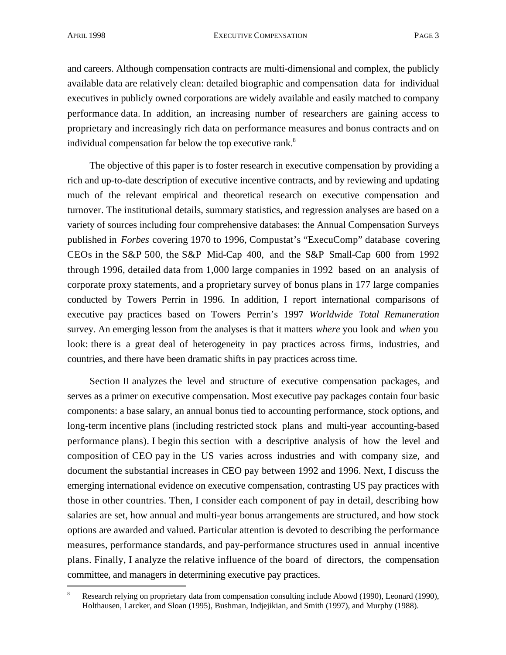and careers. Although compensation contracts are multi-dimensional and complex, the publicly available data are relatively clean: detailed biographic and compensation data for individual executives in publicly owned corporations are widely available and easily matched to company performance data. In addition, an increasing number of researchers are gaining access to proprietary and increasingly rich data on performance measures and bonus contracts and on individual compensation far below the top executive rank.<sup>8</sup>

The objective of this paper is to foster research in executive compensation by providing a rich and up-to-date description of executive incentive contracts, and by reviewing and updating much of the relevant empirical and theoretical research on executive compensation and turnover. The institutional details, summary statistics, and regression analyses are based on a variety of sources including four comprehensive databases: the Annual Compensation Surveys published in *Forbes* covering 1970 to 1996, Compustat's "ExecuComp" database covering CEOs in the S&P 500, the S&P Mid-Cap 400, and the S&P Small-Cap 600 from 1992 through 1996, detailed data from 1,000 large companies in 1992 based on an analysis of corporate proxy statements, and a proprietary survey of bonus plans in 177 large companies conducted by Towers Perrin in 1996. In addition, I report international comparisons of executive pay practices based on Towers Perrin's 1997 *Worldwide Total Remuneration* survey. An emerging lesson from the analyses is that it matters *where* you look and *when* you look: there is a great deal of heterogeneity in pay practices across firms, industries, and countries, and there have been dramatic shifts in pay practices across time.

Section II analyzes the level and structure of executive compensation packages, and serves as a primer on executive compensation. Most executive pay packages contain four basic components: a base salary, an annual bonus tied to accounting performance, stock options, and long-term incentive plans (including restricted stock plans and multi-year accounting-based performance plans). I begin this section with a descriptive analysis of how the level and composition of CEO pay in the US varies across industries and with company size, and document the substantial increases in CEO pay between 1992 and 1996. Next, I discuss the emerging international evidence on executive compensation, contrasting US pay practices with those in other countries. Then, I consider each component of pay in detail, describing how salaries are set, how annual and multi-year bonus arrangements are structured, and how stock options are awarded and valued. Particular attention is devoted to describing the performance measures, performance standards, and pay-performance structures used in annual incentive plans. Finally, I analyze the relative influence of the board of directors, the compensation committee, and managers in determining executive pay practices.

<sup>8</sup> Research relying on proprietary data from compensation consulting include Abowd (1990), Leonard (1990), Holthausen, Larcker, and Sloan (1995), Bushman, Indjejikian, and Smith (1997), and Murphy (1988).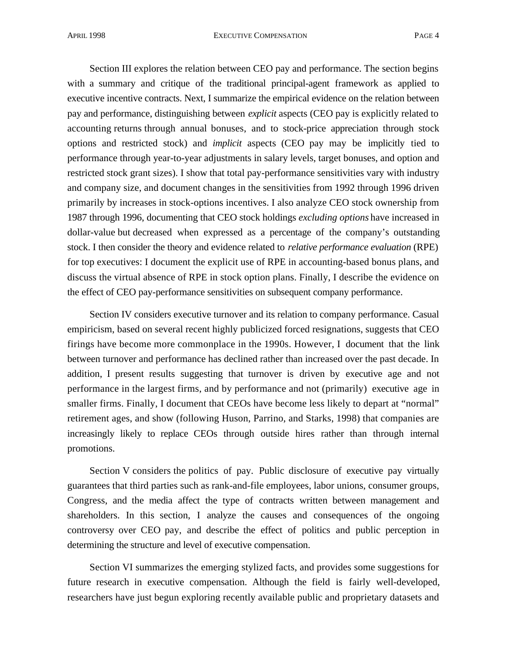Section III explores the relation between CEO pay and performance. The section begins with a summary and critique of the traditional principal-agent framework as applied to executive incentive contracts. Next, I summarize the empirical evidence on the relation between pay and performance, distinguishing between *explicit* aspects (CEO pay is explicitly related to accounting returns through annual bonuses, and to stock-price appreciation through stock options and restricted stock) and *implicit* aspects (CEO pay may be implicitly tied to performance through year-to-year adjustments in salary levels, target bonuses, and option and restricted stock grant sizes). I show that total pay-performance sensitivities vary with industry and company size, and document changes in the sensitivities from 1992 through 1996 driven primarily by increases in stock-options incentives. I also analyze CEO stock ownership from 1987 through 1996, documenting that CEO stock holdings *excluding options* have increased in dollar-value but decreased when expressed as a percentage of the company's outstanding stock. I then consider the theory and evidence related to *relative performance evaluation* (RPE) for top executives: I document the explicit use of RPE in accounting-based bonus plans, and discuss the virtual absence of RPE in stock option plans. Finally, I describe the evidence on the effect of CEO pay-performance sensitivities on subsequent company performance.

Section IV considers executive turnover and its relation to company performance. Casual empiricism, based on several recent highly publicized forced resignations, suggests that CEO firings have become more commonplace in the 1990s. However, I document that the link between turnover and performance has declined rather than increased over the past decade. In addition, I present results suggesting that turnover is driven by executive age and not performance in the largest firms, and by performance and not (primarily) executive age in smaller firms. Finally, I document that CEOs have become less likely to depart at "normal" retirement ages, and show (following Huson, Parrino, and Starks, 1998) that companies are increasingly likely to replace CEOs through outside hires rather than through internal promotions.

Section V considers the politics of pay. Public disclosure of executive pay virtually guarantees that third parties such as rank-and-file employees, labor unions, consumer groups, Congress, and the media affect the type of contracts written between management and shareholders. In this section, I analyze the causes and consequences of the ongoing controversy over CEO pay, and describe the effect of politics and public perception in determining the structure and level of executive compensation.

Section VI summarizes the emerging stylized facts, and provides some suggestions for future research in executive compensation. Although the field is fairly well-developed, researchers have just begun exploring recently available public and proprietary datasets and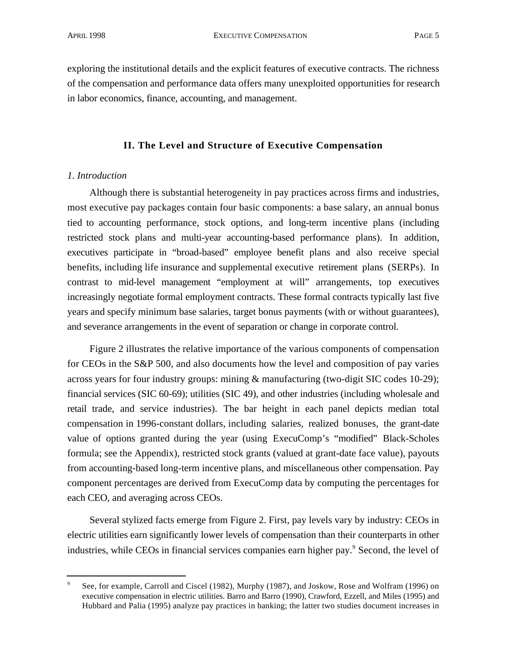exploring the institutional details and the explicit features of executive contracts. The richness of the compensation and performance data offers many unexploited opportunities for research in labor economics, finance, accounting, and management.

## **II. The Level and Structure of Executive Compensation**

## *1. Introduction*

l

Although there is substantial heterogeneity in pay practices across firms and industries, most executive pay packages contain four basic components: a base salary, an annual bonus tied to accounting performance, stock options, and long-term incentive plans (including restricted stock plans and multi-year accounting-based performance plans). In addition, executives participate in "broad-based" employee benefit plans and also receive special benefits, including life insurance and supplemental executive retirement plans (SERPs). In contrast to mid-level management "employment at will" arrangements, top executives increasingly negotiate formal employment contracts. These formal contracts typically last five years and specify minimum base salaries, target bonus payments (with or without guarantees), and severance arrangements in the event of separation or change in corporate control.

Figure 2 illustrates the relative importance of the various components of compensation for CEOs in the S&P 500, and also documents how the level and composition of pay varies across years for four industry groups: mining & manufacturing (two-digit SIC codes 10-29); financial services (SIC 60-69); utilities (SIC 49), and other industries (including wholesale and retail trade, and service industries). The bar height in each panel depicts median total compensation in 1996-constant dollars, including salaries, realized bonuses, the grant-date value of options granted during the year (using ExecuComp's "modified" Black-Scholes formula; see the Appendix), restricted stock grants (valued at grant-date face value), payouts from accounting-based long-term incentive plans, and miscellaneous other compensation. Pay component percentages are derived from ExecuComp data by computing the percentages for each CEO, and averaging across CEOs.

Several stylized facts emerge from Figure 2. First, pay levels vary by industry: CEOs in electric utilities earn significantly lower levels of compensation than their counterparts in other industries, while CEOs in financial services companies earn higher pay.<sup>9</sup> Second, the level of

<sup>&</sup>lt;sup>9</sup> See, for example, Carroll and Ciscel (1982), Murphy (1987), and Joskow, Rose and Wolfram (1996) on executive compensation in electric utilities. Barro and Barro (1990), Crawford, Ezzell, and Miles (1995) and Hubbard and Palia (1995) analyze pay practices in banking; the latter two studies document increases in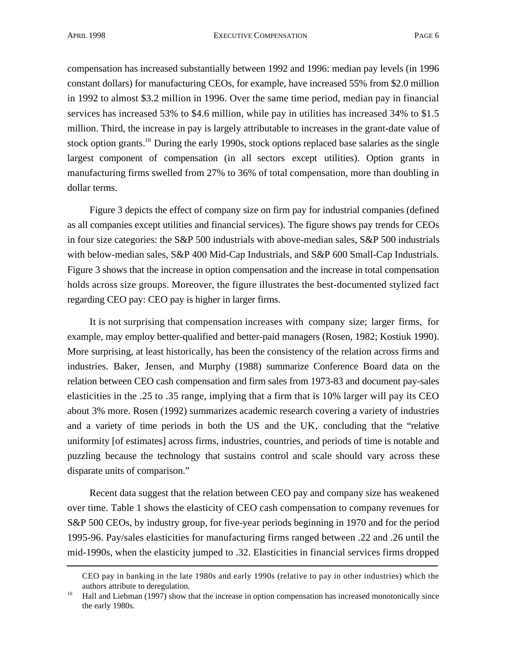compensation has increased substantially between 1992 and 1996: median pay levels (in 1996 constant dollars) for manufacturing CEOs, for example, have increased 55% from \$2.0 million in 1992 to almost \$3.2 million in 1996. Over the same time period, median pay in financial services has increased 53% to \$4.6 million, while pay in utilities has increased 34% to \$1.5 million. Third, the increase in pay is largely attributable to increases in the grant-date value of stock option grants.<sup>10</sup> During the early 1990s, stock options replaced base salaries as the single largest component of compensation (in all sectors except utilities). Option grants in manufacturing firms swelled from 27% to 36% of total compensation, more than doubling in dollar terms.

Figure 3 depicts the effect of company size on firm pay for industrial companies (defined as all companies except utilities and financial services). The figure shows pay trends for CEOs in four size categories: the S&P 500 industrials with above-median sales, S&P 500 industrials with below-median sales, S&P 400 Mid-Cap Industrials, and S&P 600 Small-Cap Industrials. Figure 3 shows that the increase in option compensation and the increase in total compensation holds across size groups. Moreover, the figure illustrates the best-documented stylized fact regarding CEO pay: CEO pay is higher in larger firms.

It is not surprising that compensation increases with company size; larger firms, for example, may employ better-qualified and better-paid managers (Rosen, 1982; Kostiuk 1990). More surprising, at least historically, has been the consistency of the relation across firms and industries. Baker, Jensen, and Murphy (1988) summarize Conference Board data on the relation between CEO cash compensation and firm sales from 1973-83 and document pay-sales elasticities in the .25 to .35 range, implying that a firm that is 10% larger will pay its CEO about 3% more. Rosen (1992) summarizes academic research covering a variety of industries and a variety of time periods in both the US and the UK, concluding that the "relative uniformity [of estimates] across firms, industries, countries, and periods of time is notable and puzzling because the technology that sustains control and scale should vary across these disparate units of comparison."

Recent data suggest that the relation between CEO pay and company size has weakened over time. Table 1 shows the elasticity of CEO cash compensation to company revenues for S&P 500 CEOs, by industry group, for five-year periods beginning in 1970 and for the period 1995-96. Pay/sales elasticities for manufacturing firms ranged between .22 and .26 until the mid-1990s, when the elasticity jumped to .32. Elasticities in financial services firms dropped

CEO pay in banking in the late 1980s and early 1990s (relative to pay in other industries) which the authors attribute to deregulation.

 $10$  Hall and Liebman (1997) show that the increase in option compensation has increased monotonically since the early 1980s.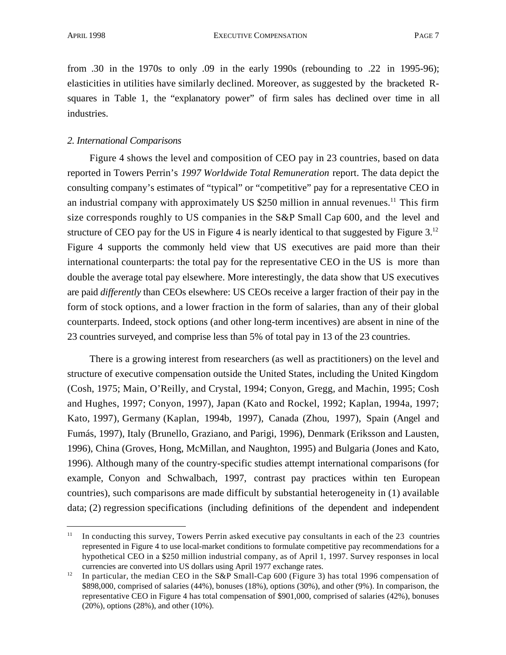from .30 in the 1970s to only .09 in the early 1990s (rebounding to .22 in 1995-96); elasticities in utilities have similarly declined. Moreover, as suggested by the bracketed Rsquares in Table 1, the "explanatory power" of firm sales has declined over time in all industries.

#### *2. International Comparisons*

Figure 4 shows the level and composition of CEO pay in 23 countries, based on data reported in Towers Perrin's *1997 Worldwide Total Remuneration* report. The data depict the consulting company's estimates of "typical" or "competitive" pay for a representative CEO in an industrial company with approximately US  $$250$  million in annual revenues.<sup>11</sup> This firm size corresponds roughly to US companies in the S&P Small Cap 600, and the level and structure of CEO pay for the US in Figure 4 is nearly identical to that suggested by Figure  $3<sup>12</sup>$ Figure 4 supports the commonly held view that US executives are paid more than their international counterparts: the total pay for the representative CEO in the US is more than double the average total pay elsewhere. More interestingly, the data show that US executives are paid *differently* than CEOs elsewhere: US CEOs receive a larger fraction of their pay in the form of stock options, and a lower fraction in the form of salaries, than any of their global counterparts. Indeed, stock options (and other long-term incentives) are absent in nine of the 23 countries surveyed, and comprise less than 5% of total pay in 13 of the 23 countries.

There is a growing interest from researchers (as well as practitioners) on the level and structure of executive compensation outside the United States, including the United Kingdom (Cosh, 1975; Main, O'Reilly, and Crystal, 1994; Conyon, Gregg, and Machin, 1995; Cosh and Hughes, 1997; Conyon, 1997), Japan (Kato and Rockel, 1992; Kaplan, 1994a, 1997; Kato, 1997), Germany (Kaplan, 1994b, 1997), Canada (Zhou, 1997), Spain (Angel and Fumás, 1997), Italy (Brunello, Graziano, and Parigi, 1996), Denmark (Eriksson and Lausten, 1996), China (Groves, Hong, McMillan, and Naughton, 1995) and Bulgaria (Jones and Kato, 1996). Although many of the country-specific studies attempt international comparisons (for example, Conyon and Schwalbach, 1997, contrast pay practices within ten European countries), such comparisons are made difficult by substantial heterogeneity in (1) available data; (2) regression specifications (including definitions of the dependent and independent

<sup>&</sup>lt;sup>11</sup> In conducting this survey, Towers Perrin asked executive pay consultants in each of the 23 countries represented in Figure 4 to use local-market conditions to formulate competitive pay recommendations for a hypothetical CEO in a \$250 million industrial company, as of April 1, 1997. Survey responses in local currencies are converted into US dollars using April 1977 exchange rates.

<sup>12</sup> In particular, the median CEO in the S&P Small-Cap 600 (Figure 3) has total 1996 compensation of \$898,000, comprised of salaries (44%), bonuses (18%), options (30%), and other (9%). In comparison, the representative CEO in Figure 4 has total compensation of \$901,000, comprised of salaries (42%), bonuses (20%), options (28%), and other (10%).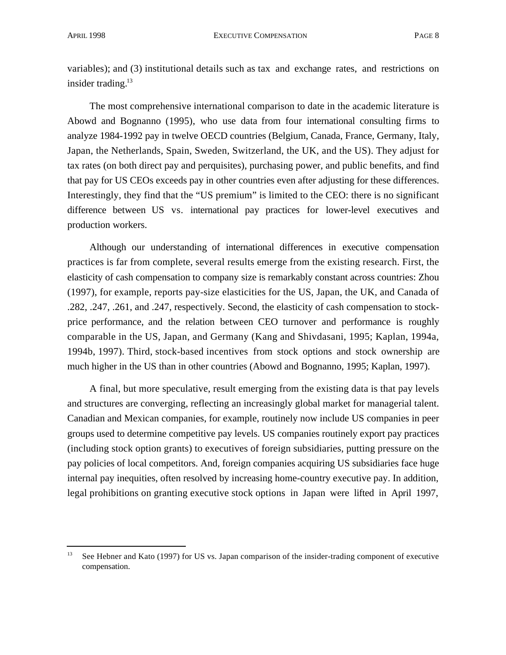variables); and (3) institutional details such as tax and exchange rates, and restrictions on insider trading. $13$ 

The most comprehensive international comparison to date in the academic literature is Abowd and Bognanno (1995), who use data from four international consulting firms to analyze 1984-1992 pay in twelve OECD countries (Belgium, Canada, France, Germany, Italy, Japan, the Netherlands, Spain, Sweden, Switzerland, the UK, and the US). They adjust for tax rates (on both direct pay and perquisites), purchasing power, and public benefits, and find that pay for US CEOs exceeds pay in other countries even after adjusting for these differences. Interestingly, they find that the "US premium" is limited to the CEO: there is no significant difference between US vs. international pay practices for lower-level executives and production workers.

Although our understanding of international differences in executive compensation practices is far from complete, several results emerge from the existing research. First, the elasticity of cash compensation to company size is remarkably constant across countries: Zhou (1997), for example, reports pay-size elasticities for the US, Japan, the UK, and Canada of .282, .247, .261, and .247, respectively. Second, the elasticity of cash compensation to stockprice performance, and the relation between CEO turnover and performance is roughly comparable in the US, Japan, and Germany (Kang and Shivdasani, 1995; Kaplan, 1994a, 1994b, 1997). Third, stock-based incentives from stock options and stock ownership are much higher in the US than in other countries (Abowd and Bognanno, 1995; Kaplan, 1997).

A final, but more speculative, result emerging from the existing data is that pay levels and structures are converging, reflecting an increasingly global market for managerial talent. Canadian and Mexican companies, for example, routinely now include US companies in peer groups used to determine competitive pay levels. US companies routinely export pay practices (including stock option grants) to executives of foreign subsidiaries, putting pressure on the pay policies of local competitors. And, foreign companies acquiring US subsidiaries face huge internal pay inequities, often resolved by increasing home-country executive pay. In addition, legal prohibitions on granting executive stock options in Japan were lifted in April 1997,

<sup>&</sup>lt;sup>13</sup> See Hebner and Kato (1997) for US vs. Japan comparison of the insider-trading component of executive compensation.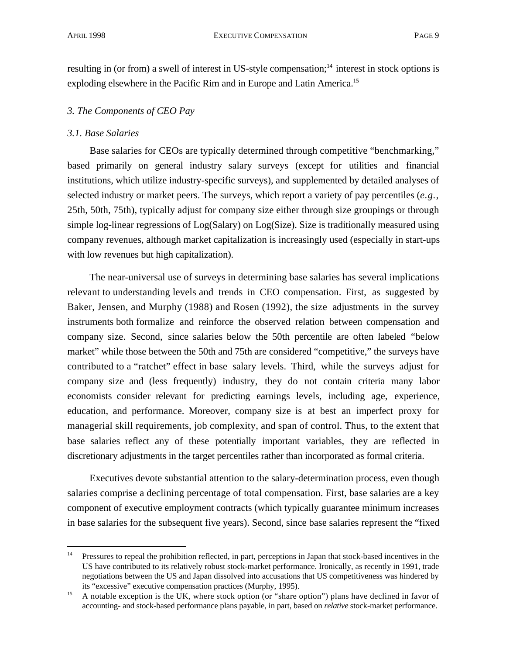resulting in (or from) a swell of interest in US-style compensation;<sup>14</sup> interest in stock options is exploding elsewhere in the Pacific Rim and in Europe and Latin America.<sup>15</sup>

## *3. The Components of CEO Pay*

## *3.1. Base Salaries*

l

Base salaries for CEOs are typically determined through competitive "benchmarking," based primarily on general industry salary surveys (except for utilities and financial institutions, which utilize industry-specific surveys), and supplemented by detailed analyses of selected industry or market peers. The surveys, which report a variety of pay percentiles (*e.g.,* 25th, 50th, 75th), typically adjust for company size either through size groupings or through simple log-linear regressions of Log(Salary) on Log(Size). Size is traditionally measured using company revenues, although market capitalization is increasingly used (especially in start-ups with low revenues but high capitalization).

The near-universal use of surveys in determining base salaries has several implications relevant to understanding levels and trends in CEO compensation. First, as suggested by Baker, Jensen, and Murphy (1988) and Rosen (1992), the size adjustments in the survey instruments both formalize and reinforce the observed relation between compensation and company size. Second, since salaries below the 50th percentile are often labeled "below market" while those between the 50th and 75th are considered "competitive," the surveys have contributed to a "ratchet" effect in base salary levels. Third, while the surveys adjust for company size and (less frequently) industry, they do not contain criteria many labor economists consider relevant for predicting earnings levels, including age, experience, education, and performance. Moreover, company size is at best an imperfect proxy for managerial skill requirements, job complexity, and span of control. Thus, to the extent that base salaries reflect any of these potentially important variables, they are reflected in discretionary adjustments in the target percentiles rather than incorporated as formal criteria.

Executives devote substantial attention to the salary-determination process, even though salaries comprise a declining percentage of total compensation. First, base salaries are a key component of executive employment contracts (which typically guarantee minimum increases in base salaries for the subsequent five years). Second, since base salaries represent the "fixed

<sup>&</sup>lt;sup>14</sup> Pressures to repeal the prohibition reflected, in part, perceptions in Japan that stock-based incentives in the US have contributed to its relatively robust stock-market performance. Ironically, as recently in 1991, trade negotiations between the US and Japan dissolved into accusations that US competitiveness was hindered by its "excessive" executive compensation practices (Murphy, 1995).

<sup>&</sup>lt;sup>15</sup> A notable exception is the UK, where stock option (or "share option") plans have declined in favor of accounting- and stock-based performance plans payable, in part, based on *relative* stock-market performance.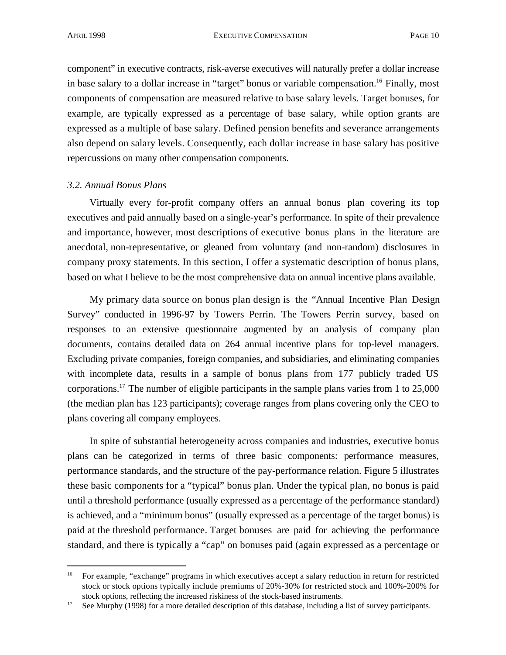component" in executive contracts, risk-averse executives will naturally prefer a dollar increase in base salary to a dollar increase in "target" bonus or variable compensation.<sup>16</sup> Finally, most components of compensation are measured relative to base salary levels. Target bonuses, for example, are typically expressed as a percentage of base salary, while option grants are expressed as a multiple of base salary. Defined pension benefits and severance arrangements also depend on salary levels. Consequently, each dollar increase in base salary has positive repercussions on many other compensation components.

#### *3.2. Annual Bonus Plans*

Virtually every for-profit company offers an annual bonus plan covering its top executives and paid annually based on a single-year's performance. In spite of their prevalence and importance, however, most descriptions of executive bonus plans in the literature are anecdotal, non-representative, or gleaned from voluntary (and non-random) disclosures in company proxy statements. In this section, I offer a systematic description of bonus plans, based on what I believe to be the most comprehensive data on annual incentive plans available.

My primary data source on bonus plan design is the "Annual Incentive Plan Design Survey" conducted in 1996-97 by Towers Perrin. The Towers Perrin survey, based on responses to an extensive questionnaire augmented by an analysis of company plan documents, contains detailed data on 264 annual incentive plans for top-level managers. Excluding private companies, foreign companies, and subsidiaries, and eliminating companies with incomplete data, results in a sample of bonus plans from 177 publicly traded US corporations.<sup>17</sup> The number of eligible participants in the sample plans varies from 1 to  $25,000$ (the median plan has 123 participants); coverage ranges from plans covering only the CEO to plans covering all company employees.

In spite of substantial heterogeneity across companies and industries, executive bonus plans can be categorized in terms of three basic components: performance measures, performance standards, and the structure of the pay-performance relation. Figure 5 illustrates these basic components for a "typical" bonus plan. Under the typical plan, no bonus is paid until a threshold performance (usually expressed as a percentage of the performance standard) is achieved, and a "minimum bonus" (usually expressed as a percentage of the target bonus) is paid at the threshold performance. Target bonuses are paid for achieving the performance standard, and there is typically a "cap" on bonuses paid (again expressed as a percentage or

<sup>&</sup>lt;sup>16</sup> For example, "exchange" programs in which executives accept a salary reduction in return for restricted stock or stock options typically include premiums of 20%-30% for restricted stock and 100%-200% for stock options, reflecting the increased riskiness of the stock-based instruments.

<sup>&</sup>lt;sup>17</sup> See Murphy (1998) for a more detailed description of this database, including a list of survey participants.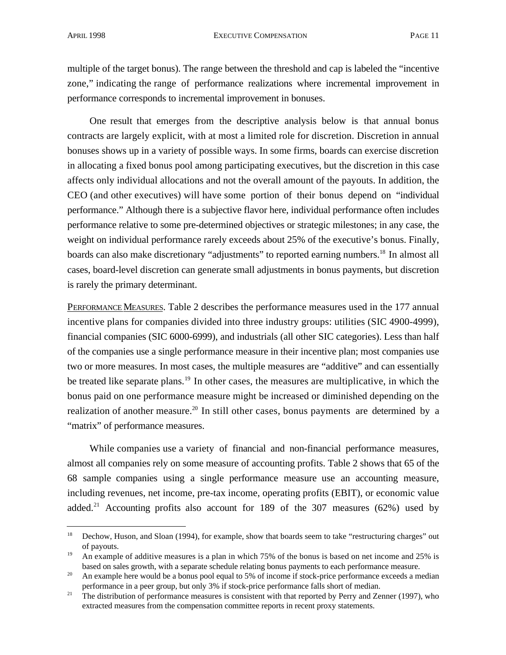multiple of the target bonus). The range between the threshold and cap is labeled the "incentive zone," indicating the range of performance realizations where incremental improvement in performance corresponds to incremental improvement in bonuses.

One result that emerges from the descriptive analysis below is that annual bonus contracts are largely explicit, with at most a limited role for discretion. Discretion in annual bonuses shows up in a variety of possible ways. In some firms, boards can exercise discretion in allocating a fixed bonus pool among participating executives, but the discretion in this case affects only individual allocations and not the overall amount of the payouts. In addition, the CEO (and other executives) will have some portion of their bonus depend on "individual performance." Although there is a subjective flavor here, individual performance often includes performance relative to some pre-determined objectives or strategic milestones; in any case, the weight on individual performance rarely exceeds about 25% of the executive's bonus. Finally, boards can also make discretionary "adjustments" to reported earning numbers.<sup>18</sup> In almost all cases, board-level discretion can generate small adjustments in bonus payments, but discretion is rarely the primary determinant.

PERFORMANCE MEASURES. Table 2 describes the performance measures used in the 177 annual incentive plans for companies divided into three industry groups: utilities (SIC 4900-4999), financial companies (SIC 6000-6999), and industrials (all other SIC categories). Less than half of the companies use a single performance measure in their incentive plan; most companies use two or more measures. In most cases, the multiple measures are "additive" and can essentially be treated like separate plans.<sup>19</sup> In other cases, the measures are multiplicative, in which the bonus paid on one performance measure might be increased or diminished depending on the realization of another measure.<sup>20</sup> In still other cases, bonus payments are determined by a "matrix" of performance measures.

While companies use a variety of financial and non-financial performance measures, almost all companies rely on some measure of accounting profits. Table 2 shows that 65 of the 68 sample companies using a single performance measure use an accounting measure, including revenues, net income, pre-tax income, operating profits (EBIT), or economic value added.<sup>21</sup> Accounting profits also account for 189 of the 307 measures  $(62%)$  used by

<sup>&</sup>lt;sup>18</sup> Dechow, Huson, and Sloan (1994), for example, show that boards seem to take "restructuring charges" out of payouts.

<sup>&</sup>lt;sup>19</sup> An example of additive measures is a plan in which 75% of the bonus is based on net income and 25% is based on sales growth, with a separate schedule relating bonus payments to each performance measure.

<sup>&</sup>lt;sup>20</sup> An example here would be a bonus pool equal to 5% of income if stock-price performance exceeds a median performance in a peer group, but only 3% if stock-price performance falls short of median.

<sup>&</sup>lt;sup>21</sup> The distribution of performance measures is consistent with that reported by Perry and Zenner (1997), who extracted measures from the compensation committee reports in recent proxy statements.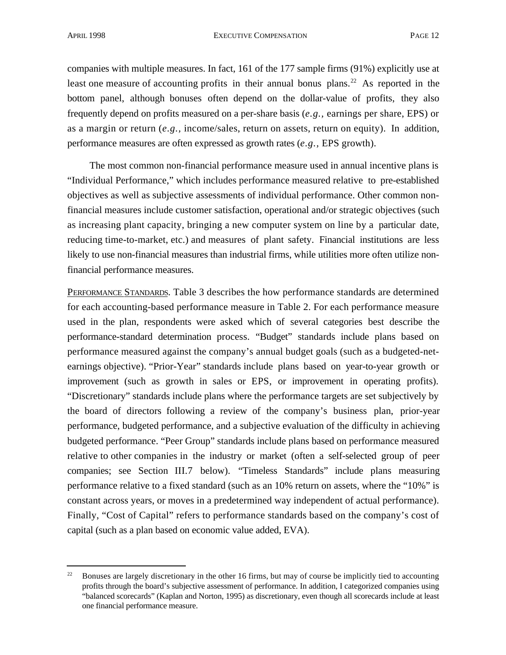companies with multiple measures. In fact, 161 of the 177 sample firms (91%) explicitly use at least one measure of accounting profits in their annual bonus plans.<sup>22</sup> As reported in the bottom panel, although bonuses often depend on the dollar-value of profits, they also frequently depend on profits measured on a per-share basis (*e.g.,* earnings per share, EPS) or as a margin or return (*e.g.,* income/sales, return on assets, return on equity). In addition, performance measures are often expressed as growth rates (*e.g.,* EPS growth).

The most common non-financial performance measure used in annual incentive plans is "Individual Performance," which includes performance measured relative to pre-established objectives as well as subjective assessments of individual performance. Other common nonfinancial measures include customer satisfaction, operational and/or strategic objectives (such as increasing plant capacity, bringing a new computer system on line by a particular date, reducing time-to-market, etc.) and measures of plant safety. Financial institutions are less likely to use non-financial measures than industrial firms, while utilities more often utilize nonfinancial performance measures.

PERFORMANCE STANDARDS. Table 3 describes the how performance standards are determined for each accounting-based performance measure in Table 2. For each performance measure used in the plan, respondents were asked which of several categories best describe the performance-standard determination process. "Budget" standards include plans based on performance measured against the company's annual budget goals (such as a budgeted-netearnings objective). "Prior-Year" standards include plans based on year-to-year growth or improvement (such as growth in sales or EPS, or improvement in operating profits). "Discretionary" standards include plans where the performance targets are set subjectively by the board of directors following a review of the company's business plan, prior-year performance, budgeted performance, and a subjective evaluation of the difficulty in achieving budgeted performance. "Peer Group" standards include plans based on performance measured relative to other companies in the industry or market (often a self-selected group of peer companies; see Section III.7 below). "Timeless Standards" include plans measuring performance relative to a fixed standard (such as an 10% return on assets, where the "10%" is constant across years, or moves in a predetermined way independent of actual performance). Finally, "Cost of Capital" refers to performance standards based on the company's cost of capital (such as a plan based on economic value added, EVA).

<sup>&</sup>lt;sup>22</sup> Bonuses are largely discretionary in the other 16 firms, but may of course be implicitly tied to accounting profits through the board's subjective assessment of performance. In addition, I categorized companies using "balanced scorecards" (Kaplan and Norton, 1995) as discretionary, even though all scorecards include at least one financial performance measure.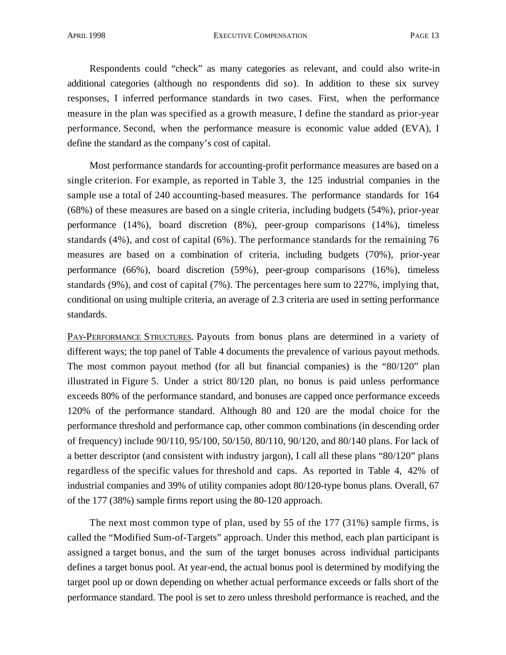Respondents could "check" as many categories as relevant, and could also write-in additional categories (although no respondents did so). In addition to these six survey responses, I inferred performance standards in two cases. First, when the performance measure in the plan was specified as a growth measure, I define the standard as prior-year performance. Second, when the performance measure is economic value added (EVA), I define the standard as the company's cost of capital.

Most performance standards for accounting-profit performance measures are based on a single criterion. For example, as reported in Table 3, the 125 industrial companies in the sample use a total of 240 accounting-based measures. The performance standards for 164 (68%) of these measures are based on a single criteria, including budgets (54%), prior-year performance (14%), board discretion (8%), peer-group comparisons (14%), timeless standards (4%), and cost of capital (6%). The performance standards for the remaining 76 measures are based on a combination of criteria, including budgets (70%), prior-year performance (66%), board discretion (59%), peer-group comparisons (16%), timeless standards (9%), and cost of capital (7%). The percentages here sum to 227%, implying that, conditional on using multiple criteria, an average of 2.3 criteria are used in setting performance standards.

PAY-PERFORMANCE STRUCTURES. Payouts from bonus plans are determined in a variety of different ways; the top panel of Table 4 documents the prevalence of various payout methods. The most common payout method (for all but financial companies) is the "80/120" plan illustrated in Figure 5. Under a strict 80/120 plan, no bonus is paid unless performance exceeds 80% of the performance standard, and bonuses are capped once performance exceeds 120% of the performance standard. Although 80 and 120 are the modal choice for the performance threshold and performance cap, other common combinations (in descending order of frequency) include 90/110, 95/100, 50/150, 80/110, 90/120, and 80/140 plans. For lack of a better descriptor (and consistent with industry jargon), I call all these plans "80/120" plans regardless of the specific values for threshold and caps. As reported in Table 4, 42% of industrial companies and 39% of utility companies adopt 80/120-type bonus plans. Overall, 67 of the 177 (38%) sample firms report using the 80-120 approach.

The next most common type of plan, used by 55 of the 177 (31%) sample firms, is called the "Modified Sum-of-Targets" approach. Under this method, each plan participant is assigned a target bonus, and the sum of the target bonuses across individual participants defines a target bonus pool. At year-end, the actual bonus pool is determined by modifying the target pool up or down depending on whether actual performance exceeds or falls short of the performance standard. The pool is set to zero unless threshold performance is reached, and the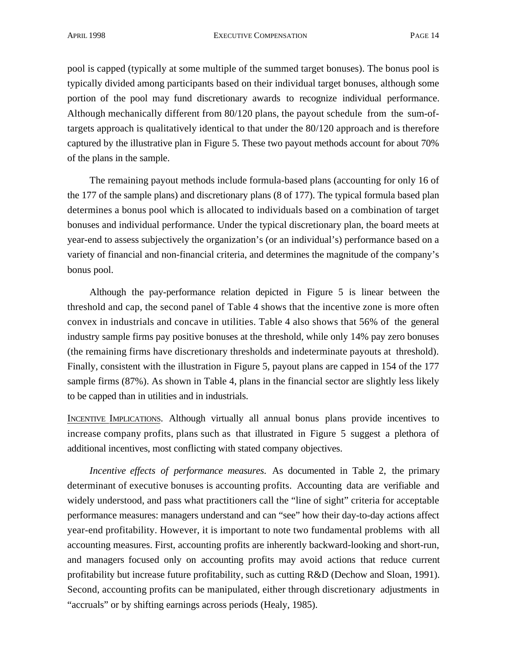pool is capped (typically at some multiple of the summed target bonuses). The bonus pool is typically divided among participants based on their individual target bonuses, although some portion of the pool may fund discretionary awards to recognize individual performance. Although mechanically different from 80/120 plans, the payout schedule from the sum-oftargets approach is qualitatively identical to that under the 80/120 approach and is therefore captured by the illustrative plan in Figure 5. These two payout methods account for about 70% of the plans in the sample.

The remaining payout methods include formula-based plans (accounting for only 16 of the 177 of the sample plans) and discretionary plans (8 of 177). The typical formula based plan determines a bonus pool which is allocated to individuals based on a combination of target bonuses and individual performance. Under the typical discretionary plan, the board meets at year-end to assess subjectively the organization's (or an individual's) performance based on a variety of financial and non-financial criteria, and determines the magnitude of the company's bonus pool.

Although the pay-performance relation depicted in Figure 5 is linear between the threshold and cap, the second panel of Table 4 shows that the incentive zone is more often convex in industrials and concave in utilities. Table 4 also shows that 56% of the general industry sample firms pay positive bonuses at the threshold, while only 14% pay zero bonuses (the remaining firms have discretionary thresholds and indeterminate payouts at threshold). Finally, consistent with the illustration in Figure 5, payout plans are capped in 154 of the 177 sample firms (87%). As shown in Table 4, plans in the financial sector are slightly less likely to be capped than in utilities and in industrials.

INCENTIVE IMPLICATIONS. Although virtually all annual bonus plans provide incentives to increase company profits, plans such as that illustrated in Figure 5 suggest a plethora of additional incentives, most conflicting with stated company objectives.

*Incentive effects of performance measures*. As documented in Table 2, the primary determinant of executive bonuses is accounting profits. Accounting data are verifiable and widely understood, and pass what practitioners call the "line of sight" criteria for acceptable performance measures: managers understand and can "see" how their day-to-day actions affect year-end profitability. However, it is important to note two fundamental problems with all accounting measures. First, accounting profits are inherently backward-looking and short-run, and managers focused only on accounting profits may avoid actions that reduce current profitability but increase future profitability, such as cutting R&D (Dechow and Sloan, 1991). Second, accounting profits can be manipulated, either through discretionary adjustments in "accruals" or by shifting earnings across periods (Healy, 1985).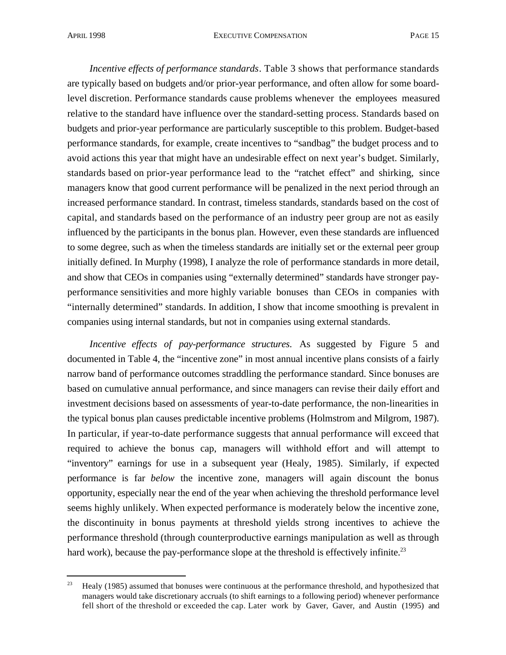*Incentive effects of performance standards*. Table 3 shows that performance standards are typically based on budgets and/or prior-year performance, and often allow for some boardlevel discretion. Performance standards cause problems whenever the employees measured relative to the standard have influence over the standard-setting process. Standards based on budgets and prior-year performance are particularly susceptible to this problem. Budget-based performance standards, for example, create incentives to "sandbag" the budget process and to avoid actions this year that might have an undesirable effect on next year's budget. Similarly, standards based on prior-year performance lead to the "ratchet effect" and shirking, since managers know that good current performance will be penalized in the next period through an increased performance standard. In contrast, timeless standards, standards based on the cost of capital, and standards based on the performance of an industry peer group are not as easily influenced by the participants in the bonus plan. However, even these standards are influenced to some degree, such as when the timeless standards are initially set or the external peer group initially defined. In Murphy (1998), I analyze the role of performance standards in more detail, and show that CEOs in companies using "externally determined" standards have stronger payperformance sensitivities and more highly variable bonuses than CEOs in companies with "internally determined" standards. In addition, I show that income smoothing is prevalent in companies using internal standards, but not in companies using external standards.

*Incentive effects of pay-performance structures*. As suggested by Figure 5 and documented in Table 4, the "incentive zone" in most annual incentive plans consists of a fairly narrow band of performance outcomes straddling the performance standard. Since bonuses are based on cumulative annual performance, and since managers can revise their daily effort and investment decisions based on assessments of year-to-date performance, the non-linearities in the typical bonus plan causes predictable incentive problems (Holmstrom and Milgrom, 1987). In particular, if year-to-date performance suggests that annual performance will exceed that required to achieve the bonus cap, managers will withhold effort and will attempt to "inventory" earnings for use in a subsequent year (Healy, 1985). Similarly, if expected performance is far *below* the incentive zone, managers will again discount the bonus opportunity, especially near the end of the year when achieving the threshold performance level seems highly unlikely. When expected performance is moderately below the incentive zone, the discontinuity in bonus payments at threshold yields strong incentives to achieve the performance threshold (through counterproductive earnings manipulation as well as through hard work), because the pay-performance slope at the threshold is effectively infinite.<sup>23</sup>

<sup>&</sup>lt;sup>23</sup> Healy (1985) assumed that bonuses were continuous at the performance threshold, and hypothesized that managers would take discretionary accruals (to shift earnings to a following period) whenever performance fell short of the threshold or exceeded the cap. Later work by Gaver, Gaver, and Austin (1995) and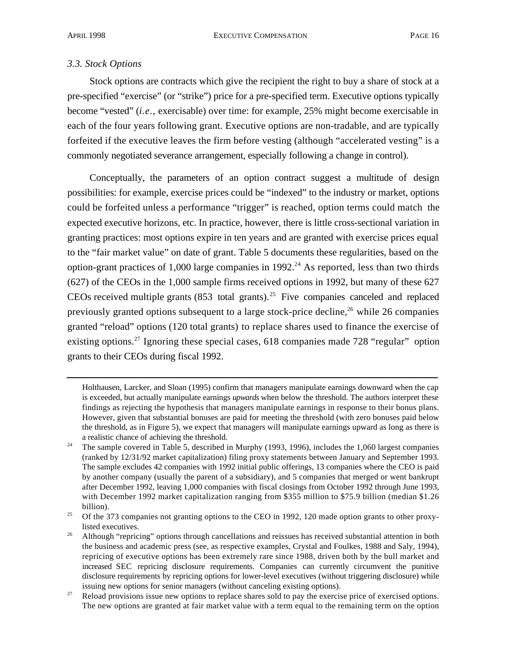## *3.3. Stock Options*

Stock options are contracts which give the recipient the right to buy a share of stock at a pre-specified "exercise" (or "strike") price for a pre-specified term. Executive options typically become "vested" (*i.e.,* exercisable) over time: for example, 25% might become exercisable in each of the four years following grant. Executive options are non-tradable, and are typically forfeited if the executive leaves the firm before vesting (although "accelerated vesting" is a commonly negotiated severance arrangement, especially following a change in control).

Conceptually, the parameters of an option contract suggest a multitude of design possibilities: for example, exercise prices could be "indexed" to the industry or market, options could be forfeited unless a performance "trigger" is reached, option terms could match the expected executive horizons, etc. In practice, however, there is little cross-sectional variation in granting practices: most options expire in ten years and are granted with exercise prices equal to the "fair market value" on date of grant. Table 5 documents these regularities, based on the option-grant practices of 1,000 large companies in 1992.<sup>24</sup> As reported, less than two thirds (627) of the CEOs in the 1,000 sample firms received options in 1992, but many of these 627 CEOs received multiple grants  $(853 \text{ total grants})$ .<sup>25</sup> Five companies canceled and replaced previously granted options subsequent to a large stock-price decline,<sup>26</sup> while 26 companies granted "reload" options (120 total grants) to replace shares used to finance the exercise of existing options.<sup>27</sup> Ignoring these special cases, 618 companies made 728 "regular" option grants to their CEOs during fiscal 1992.

Holthausen, Larcker, and Sloan (1995) confirm that managers manipulate earnings downward when the cap is exceeded, but actually manipulate earnings *upwards* when below the threshold. The authors interpret these findings as rejecting the hypothesis that managers manipulate earnings in response to their bonus plans. However, given that substantial bonuses are paid for meeting the threshold (with zero bonuses paid below the threshold, as in Figure 5), we expect that managers will manipulate earnings upward as long as there is a realistic chance of achieving the threshold.

<sup>&</sup>lt;sup>24</sup> The sample covered in Table 5, described in Murphy (1993, 1996), includes the 1,060 largest companies (ranked by 12/31/92 market capitalization) filing proxy statements between January and September 1993. The sample excludes 42 companies with 1992 initial public offerings, 13 companies where the CEO is paid by another company (usually the parent of a subsidiary), and 5 companies that merged or went bankrupt after December 1992, leaving 1,000 companies with fiscal closings from October 1992 through June 1993, with December 1992 market capitalization ranging from \$355 million to \$75.9 billion (median \$1.26) billion).

<sup>&</sup>lt;sup>25</sup> Of the 373 companies not granting options to the CEO in 1992, 120 made option grants to other proxylisted executives.

<sup>&</sup>lt;sup>26</sup> Although "repricing" options through cancellations and reissues has received substantial attention in both the business and academic press (see, as respective examples, Crystal and Foulkes, 1988 and Saly, 1994), repricing of executive options has been extremely rare since 1988, driven both by the bull market and increased SEC repricing disclosure requirements. Companies can currently circumvent the punitive disclosure requirements by repricing options for lower-level executives (without triggering disclosure) while issuing new options for senior managers (without canceling existing options).

<sup>&</sup>lt;sup>27</sup> Reload provisions issue new options to replace shares sold to pay the exercise price of exercised options. The new options are granted at fair market value with a term equal to the remaining term on the option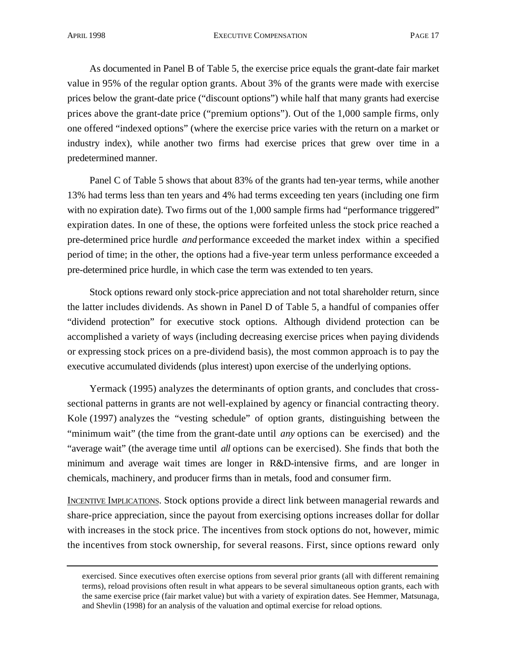As documented in Panel B of Table 5, the exercise price equals the grant-date fair market value in 95% of the regular option grants. About 3% of the grants were made with exercise prices below the grant-date price ("discount options") while half that many grants had exercise prices above the grant-date price ("premium options"). Out of the 1,000 sample firms, only one offered "indexed options" (where the exercise price varies with the return on a market or industry index), while another two firms had exercise prices that grew over time in a predetermined manner.

Panel C of Table 5 shows that about 83% of the grants had ten-year terms, while another 13% had terms less than ten years and 4% had terms exceeding ten years (including one firm with no expiration date). Two firms out of the 1,000 sample firms had "performance triggered" expiration dates. In one of these, the options were forfeited unless the stock price reached a pre-determined price hurdle *and* performance exceeded the market index within a specified period of time; in the other, the options had a five-year term unless performance exceeded a pre-determined price hurdle, in which case the term was extended to ten years.

Stock options reward only stock-price appreciation and not total shareholder return, since the latter includes dividends. As shown in Panel D of Table 5, a handful of companies offer "dividend protection" for executive stock options. Although dividend protection can be accomplished a variety of ways (including decreasing exercise prices when paying dividends or expressing stock prices on a pre-dividend basis), the most common approach is to pay the executive accumulated dividends (plus interest) upon exercise of the underlying options.

Yermack (1995) analyzes the determinants of option grants, and concludes that crosssectional patterns in grants are not well-explained by agency or financial contracting theory. Kole (1997) analyzes the "vesting schedule" of option grants, distinguishing between the "minimum wait" (the time from the grant-date until *any* options can be exercised) and the "average wait" (the average time until *all* options can be exercised). She finds that both the minimum and average wait times are longer in R&D-intensive firms, and are longer in chemicals, machinery, and producer firms than in metals, food and consumer firm.

INCENTIVE IMPLICATIONS. Stock options provide a direct link between managerial rewards and share-price appreciation, since the payout from exercising options increases dollar for dollar with increases in the stock price. The incentives from stock options do not, however, mimic the incentives from stock ownership, for several reasons. First, since options reward only

exercised. Since executives often exercise options from several prior grants (all with different remaining terms), reload provisions often result in what appears to be several simultaneous option grants, each with the same exercise price (fair market value) but with a variety of expiration dates. See Hemmer, Matsunaga, and Shevlin (1998) for an analysis of the valuation and optimal exercise for reload options.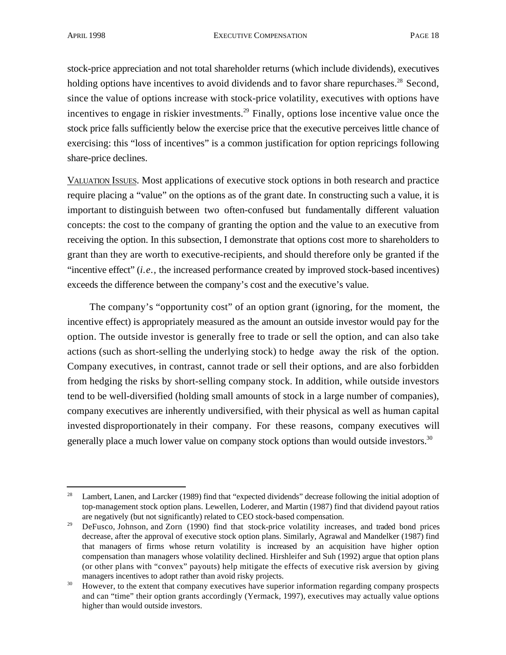stock-price appreciation and not total shareholder returns (which include dividends), executives holding options have incentives to avoid dividends and to favor share repurchases.<sup>28</sup> Second, since the value of options increase with stock-price volatility, executives with options have incentives to engage in riskier investments.<sup>29</sup> Finally, options lose incentive value once the stock price falls sufficiently below the exercise price that the executive perceives little chance of exercising: this "loss of incentives" is a common justification for option repricings following share-price declines.

VALUATION ISSUES. Most applications of executive stock options in both research and practice require placing a "value" on the options as of the grant date. In constructing such a value, it is important to distinguish between two often-confused but fundamentally different valuation concepts: the cost to the company of granting the option and the value to an executive from receiving the option. In this subsection, I demonstrate that options cost more to shareholders to grant than they are worth to executive-recipients, and should therefore only be granted if the "incentive effect" (*i.e.,* the increased performance created by improved stock-based incentives) exceeds the difference between the company's cost and the executive's value.

The company's "opportunity cost" of an option grant (ignoring, for the moment, the incentive effect) is appropriately measured as the amount an outside investor would pay for the option. The outside investor is generally free to trade or sell the option, and can also take actions (such as short-selling the underlying stock) to hedge away the risk of the option. Company executives, in contrast, cannot trade or sell their options, and are also forbidden from hedging the risks by short-selling company stock. In addition, while outside investors tend to be well-diversified (holding small amounts of stock in a large number of companies), company executives are inherently undiversified, with their physical as well as human capital invested disproportionately in their company. For these reasons, company executives will generally place a much lower value on company stock options than would outside investors.<sup>30</sup>

<sup>&</sup>lt;sup>28</sup> Lambert, Lanen, and Larcker (1989) find that "expected dividends" decrease following the initial adoption of top-management stock option plans. Lewellen, Loderer, and Martin (1987) find that dividend payout ratios are negatively (but not significantly) related to CEO stock-based compensation.

<sup>&</sup>lt;sup>29</sup> DeFusco, Johnson, and Zorn (1990) find that stock-price volatility increases, and traded bond prices decrease, after the approval of executive stock option plans. Similarly, Agrawal and Mandelker (1987) find that managers of firms whose return volatility is increased by an acquisition have higher option compensation than managers whose volatility declined. Hirshleifer and Suh (1992) argue that option plans (or other plans with "convex" payouts) help mitigate the effects of executive risk aversion by giving managers incentives to adopt rather than avoid risky projects.

<sup>&</sup>lt;sup>30</sup> However, to the extent that company executives have superior information regarding company prospects and can "time" their option grants accordingly (Yermack, 1997), executives may actually value options higher than would outside investors.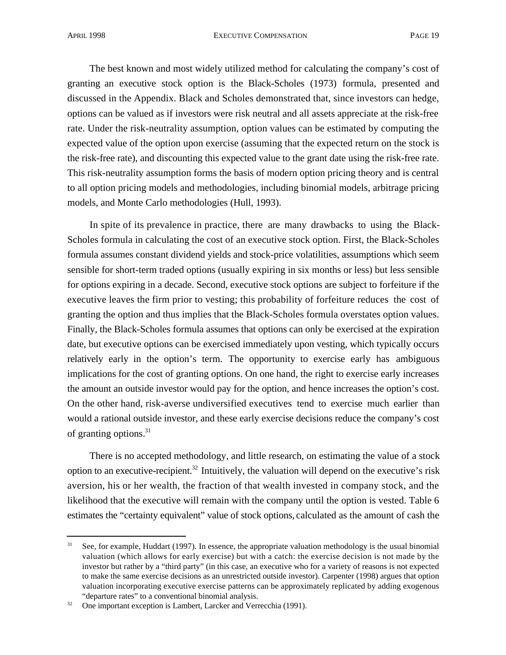The best known and most widely utilized method for calculating the company's cost of granting an executive stock option is the Black-Scholes (1973) formula, presented and discussed in the Appendix. Black and Scholes demonstrated that, since investors can hedge, options can be valued as if investors were risk neutral and all assets appreciate at the risk-free rate. Under the risk-neutrality assumption, option values can be estimated by computing the expected value of the option upon exercise (assuming that the expected return on the stock is the risk-free rate), and discounting this expected value to the grant date using the risk-free rate. This risk-neutrality assumption forms the basis of modern option pricing theory and is central to all option pricing models and methodologies, including binomial models, arbitrage pricing models, and Monte Carlo methodologies (Hull, 1993).

In spite of its prevalence in practice, there are many drawbacks to using the Black-Scholes formula in calculating the cost of an executive stock option. First, the Black-Scholes formula assumes constant dividend yields and stock-price volatilities, assumptions which seem sensible for short-term traded options (usually expiring in six months or less) but less sensible for options expiring in a decade. Second, executive stock options are subject to forfeiture if the executive leaves the firm prior to vesting; this probability of forfeiture reduces the cost of granting the option and thus implies that the Black-Scholes formula overstates option values. Finally, the Black-Scholes formula assumes that options can only be exercised at the expiration date, but executive options can be exercised immediately upon vesting, which typically occurs relatively early in the option's term. The opportunity to exercise early has ambiguous implications for the cost of granting options. On one hand, the right to exercise early increases the amount an outside investor would pay for the option, and hence increases the option's cost. On the other hand, risk-averse undiversified executives tend to exercise much earlier than would a rational outside investor, and these early exercise decisions reduce the company's cost of granting options.<sup>31</sup>

There is no accepted methodology, and little research, on estimating the value of a stock option to an executive-recipient.<sup>32</sup> Intuitively, the valuation will depend on the executive's risk aversion, his or her wealth, the fraction of that wealth invested in company stock, and the likelihood that the executive will remain with the company until the option is vested. Table 6 estimates the "certainty equivalent" value of stock options, calculated as the amount of cash the

<sup>&</sup>lt;sup>31</sup> See, for example, Huddart (1997). In essence, the appropriate valuation methodology is the usual binomial valuation (which allows for early exercise) but with a catch: the exercise decision is not made by the investor but rather by a "third party" (in this case, an executive who for a variety of reasons is not expected to make the same exercise decisions as an unrestricted outside investor). Carpenter (1998) argues that option valuation incorporating executive exercise patterns can be approximately replicated by adding exogenous "departure rates" to a conventional binomial analysis.

 $32$  One important exception is Lambert, Larcker and Verrecchia (1991).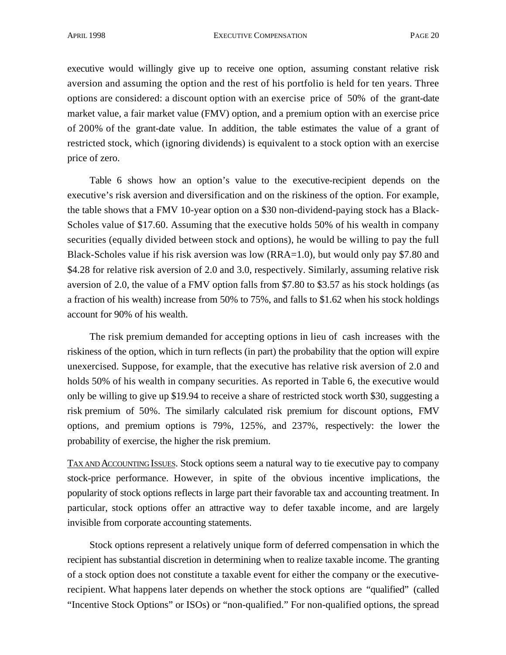executive would willingly give up to receive one option, assuming constant relative risk aversion and assuming the option and the rest of his portfolio is held for ten years. Three options are considered: a discount option with an exercise price of 50% of the grant-date market value, a fair market value (FMV) option, and a premium option with an exercise price of 200% of the grant-date value. In addition, the table estimates the value of a grant of restricted stock, which (ignoring dividends) is equivalent to a stock option with an exercise price of zero.

Table 6 shows how an option's value to the executive-recipient depends on the executive's risk aversion and diversification and on the riskiness of the option. For example, the table shows that a FMV 10-year option on a \$30 non-dividend-paying stock has a Black-Scholes value of \$17.60. Assuming that the executive holds 50% of his wealth in company securities (equally divided between stock and options), he would be willing to pay the full Black-Scholes value if his risk aversion was low (RRA=1.0), but would only pay \$7.80 and \$4.28 for relative risk aversion of 2.0 and 3.0, respectively. Similarly, assuming relative risk aversion of 2.0, the value of a FMV option falls from \$7.80 to \$3.57 as his stock holdings (as a fraction of his wealth) increase from 50% to 75%, and falls to \$1.62 when his stock holdings account for 90% of his wealth.

The risk premium demanded for accepting options in lieu of cash increases with the riskiness of the option, which in turn reflects (in part) the probability that the option will expire unexercised. Suppose, for example, that the executive has relative risk aversion of 2.0 and holds 50% of his wealth in company securities. As reported in Table 6, the executive would only be willing to give up \$19.94 to receive a share of restricted stock worth \$30, suggesting a risk premium of 50%. The similarly calculated risk premium for discount options, FMV options, and premium options is 79%, 125%, and 237%, respectively: the lower the probability of exercise, the higher the risk premium.

TAX AND ACCOUNTING ISSUES. Stock options seem a natural way to tie executive pay to company stock-price performance. However, in spite of the obvious incentive implications, the popularity of stock options reflects in large part their favorable tax and accounting treatment. In particular, stock options offer an attractive way to defer taxable income, and are largely invisible from corporate accounting statements.

Stock options represent a relatively unique form of deferred compensation in which the recipient has substantial discretion in determining when to realize taxable income. The granting of a stock option does not constitute a taxable event for either the company or the executiverecipient. What happens later depends on whether the stock options are "qualified" (called "Incentive Stock Options" or ISOs) or "non-qualified." For non-qualified options, the spread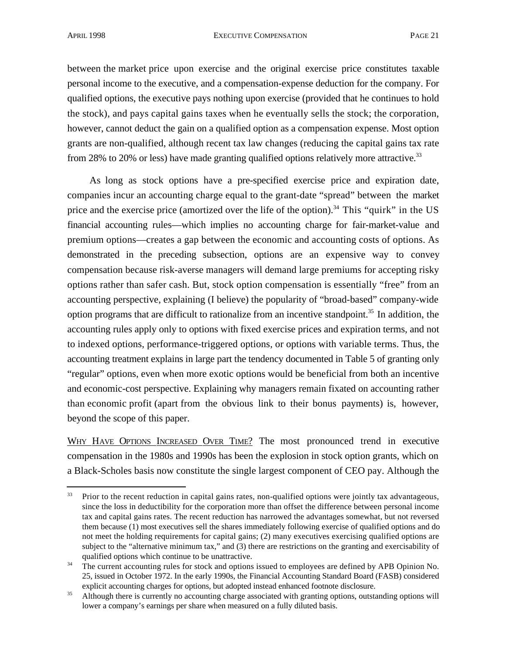between the market price upon exercise and the original exercise price constitutes taxable personal income to the executive, and a compensation-expense deduction for the company. For qualified options, the executive pays nothing upon exercise (provided that he continues to hold the stock), and pays capital gains taxes when he eventually sells the stock; the corporation, however, cannot deduct the gain on a qualified option as a compensation expense. Most option grants are non-qualified, although recent tax law changes (reducing the capital gains tax rate from 28% to 20% or less) have made granting qualified options relatively more attractive.<sup>33</sup>

As long as stock options have a pre-specified exercise price and expiration date, companies incur an accounting charge equal to the grant-date "spread" between the market price and the exercise price (amortized over the life of the option).<sup>34</sup> This "quirk" in the US financial accounting rules—which implies no accounting charge for fair-market-value and premium options—creates a gap between the economic and accounting costs of options. As demonstrated in the preceding subsection, options are an expensive way to convey compensation because risk-averse managers will demand large premiums for accepting risky options rather than safer cash. But, stock option compensation is essentially "free" from an accounting perspective, explaining (I believe) the popularity of "broad-based" company-wide option programs that are difficult to rationalize from an incentive standpoint.<sup>35</sup> In addition, the accounting rules apply only to options with fixed exercise prices and expiration terms, and not to indexed options, performance-triggered options, or options with variable terms. Thus, the accounting treatment explains in large part the tendency documented in Table 5 of granting only "regular" options, even when more exotic options would be beneficial from both an incentive and economic-cost perspective. Explaining why managers remain fixated on accounting rather than economic profit (apart from the obvious link to their bonus payments) is, however, beyond the scope of this paper.

WHY HAVE OPTIONS INCREASED OVER TIME? The most pronounced trend in executive compensation in the 1980s and 1990s has been the explosion in stock option grants, which on a Black-Scholes basis now constitute the single largest component of CEO pay. Although the

<sup>&</sup>lt;sup>33</sup> Prior to the recent reduction in capital gains rates, non-qualified options were jointly tax advantageous, since the loss in deductibility for the corporation more than offset the difference between personal income tax and capital gains rates. The recent reduction has narrowed the advantages somewhat, but not reversed them because (1) most executives sell the shares immediately following exercise of qualified options and do not meet the holding requirements for capital gains; (2) many executives exercising qualified options are subject to the "alternative minimum tax," and (3) there are restrictions on the granting and exercisability of qualified options which continue to be unattractive.

<sup>&</sup>lt;sup>34</sup> The current accounting rules for stock and options issued to employees are defined by APB Opinion No. 25, issued in October 1972. In the early 1990s, the Financial Accounting Standard Board (FASB) considered explicit accounting charges for options, but adopted instead enhanced footnote disclosure.

<sup>&</sup>lt;sup>35</sup> Although there is currently no accounting charge associated with granting options, outstanding options will lower a company's earnings per share when measured on a fully diluted basis.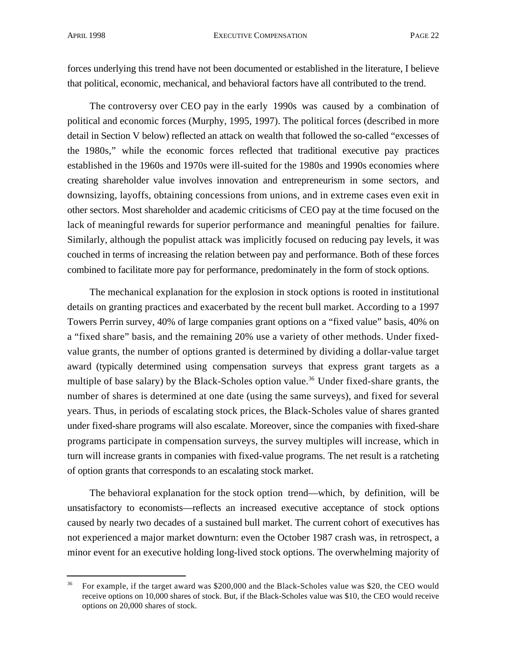forces underlying this trend have not been documented or established in the literature, I believe that political, economic, mechanical, and behavioral factors have all contributed to the trend.

The controversy over CEO pay in the early 1990s was caused by a combination of political and economic forces (Murphy, 1995, 1997). The political forces (described in more detail in Section V below) reflected an attack on wealth that followed the so-called "excesses of the 1980s," while the economic forces reflected that traditional executive pay practices established in the 1960s and 1970s were ill-suited for the 1980s and 1990s economies where creating shareholder value involves innovation and entrepreneurism in some sectors, and downsizing, layoffs, obtaining concessions from unions, and in extreme cases even exit in other sectors. Most shareholder and academic criticisms of CEO pay at the time focused on the lack of meaningful rewards for superior performance and meaningful penalties for failure. Similarly, although the populist attack was implicitly focused on reducing pay levels, it was couched in terms of increasing the relation between pay and performance. Both of these forces combined to facilitate more pay for performance, predominately in the form of stock options.

The mechanical explanation for the explosion in stock options is rooted in institutional details on granting practices and exacerbated by the recent bull market. According to a 1997 Towers Perrin survey, 40% of large companies grant options on a "fixed value" basis, 40% on a "fixed share" basis, and the remaining 20% use a variety of other methods. Under fixedvalue grants, the number of options granted is determined by dividing a dollar-value target award (typically determined using compensation surveys that express grant targets as a multiple of base salary) by the Black-Scholes option value.<sup>36</sup> Under fixed-share grants, the number of shares is determined at one date (using the same surveys), and fixed for several years. Thus, in periods of escalating stock prices, the Black-Scholes value of shares granted under fixed-share programs will also escalate. Moreover, since the companies with fixed-share programs participate in compensation surveys, the survey multiples will increase, which in turn will increase grants in companies with fixed-value programs. The net result is a ratcheting of option grants that corresponds to an escalating stock market.

The behavioral explanation for the stock option trend—which, by definition, will be unsatisfactory to economists—reflects an increased executive acceptance of stock options caused by nearly two decades of a sustained bull market. The current cohort of executives has not experienced a major market downturn: even the October 1987 crash was, in retrospect, a minor event for an executive holding long-lived stock options. The overwhelming majority of

<sup>&</sup>lt;sup>36</sup> For example, if the target award was \$200,000 and the Black-Scholes value was \$20, the CEO would receive options on 10,000 shares of stock. But, if the Black-Scholes value was \$10, the CEO would receive options on 20,000 shares of stock.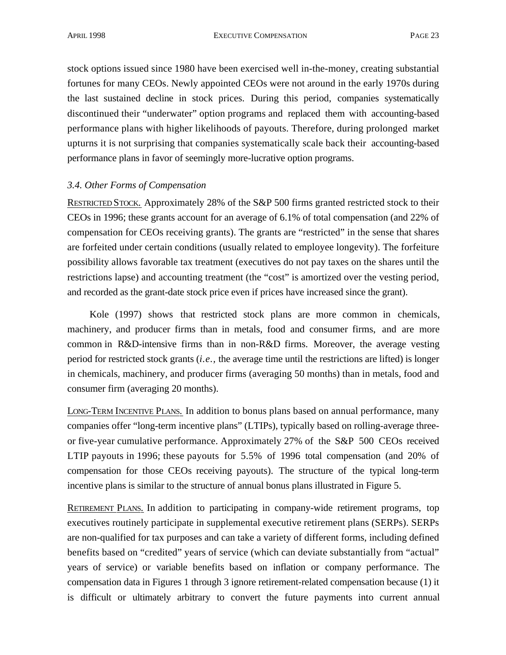stock options issued since 1980 have been exercised well in-the-money, creating substantial fortunes for many CEOs. Newly appointed CEOs were not around in the early 1970s during the last sustained decline in stock prices. During this period, companies systematically discontinued their "underwater" option programs and replaced them with accounting-based performance plans with higher likelihoods of payouts. Therefore, during prolonged market upturns it is not surprising that companies systematically scale back their accounting-based performance plans in favor of seemingly more-lucrative option programs.

## *3.4. Other Forms of Compensation*

RESTRICTED STOCK. Approximately 28% of the S&P 500 firms granted restricted stock to their CEOs in 1996; these grants account for an average of 6.1% of total compensation (and 22% of compensation for CEOs receiving grants). The grants are "restricted" in the sense that shares are forfeited under certain conditions (usually related to employee longevity). The forfeiture possibility allows favorable tax treatment (executives do not pay taxes on the shares until the restrictions lapse) and accounting treatment (the "cost" is amortized over the vesting period, and recorded as the grant-date stock price even if prices have increased since the grant).

Kole (1997) shows that restricted stock plans are more common in chemicals, machinery, and producer firms than in metals, food and consumer firms, and are more common in R&D-intensive firms than in non-R&D firms. Moreover, the average vesting period for restricted stock grants (*i.e.,* the average time until the restrictions are lifted) is longer in chemicals, machinery, and producer firms (averaging 50 months) than in metals, food and consumer firm (averaging 20 months).

LONG-TERM INCENTIVE PLANS. In addition to bonus plans based on annual performance, many companies offer "long-term incentive plans" (LTIPs), typically based on rolling-average threeor five-year cumulative performance. Approximately 27% of the S&P 500 CEOs received LTIP payouts in 1996; these payouts for 5.5% of 1996 total compensation (and 20% of compensation for those CEOs receiving payouts). The structure of the typical long-term incentive plans is similar to the structure of annual bonus plans illustrated in Figure 5.

RETIREMENT PLANS. In addition to participating in company-wide retirement programs, top executives routinely participate in supplemental executive retirement plans (SERPs). SERPs are non-qualified for tax purposes and can take a variety of different forms, including defined benefits based on "credited" years of service (which can deviate substantially from "actual" years of service) or variable benefits based on inflation or company performance. The compensation data in Figures 1 through 3 ignore retirement-related compensation because (1) it is difficult or ultimately arbitrary to convert the future payments into current annual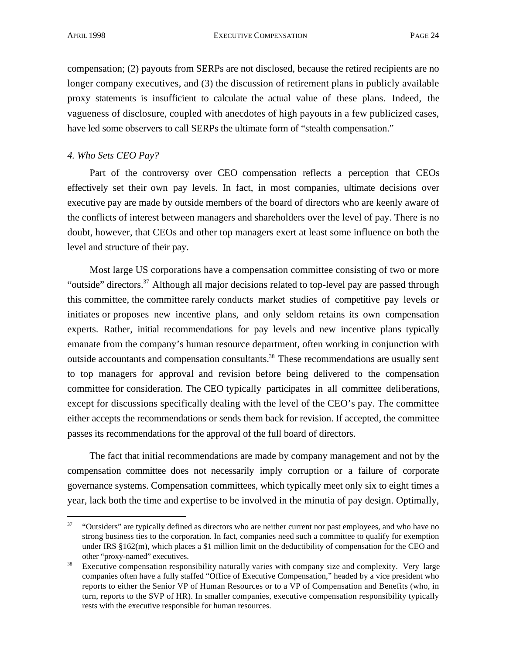compensation; (2) payouts from SERPs are not disclosed, because the retired recipients are no longer company executives, and (3) the discussion of retirement plans in publicly available proxy statements is insufficient to calculate the actual value of these plans. Indeed, the vagueness of disclosure, coupled with anecdotes of high payouts in a few publicized cases, have led some observers to call SERPs the ultimate form of "stealth compensation."

#### *4. Who Sets CEO Pay?*

Part of the controversy over CEO compensation reflects a perception that CEOs effectively set their own pay levels. In fact, in most companies, ultimate decisions over executive pay are made by outside members of the board of directors who are keenly aware of the conflicts of interest between managers and shareholders over the level of pay. There is no doubt, however, that CEOs and other top managers exert at least some influence on both the level and structure of their pay.

Most large US corporations have a compensation committee consisting of two or more "outside" directors.<sup>37</sup> Although all major decisions related to top-level pay are passed through this committee, the committee rarely conducts market studies of competitive pay levels or initiates or proposes new incentive plans, and only seldom retains its own compensation experts. Rather, initial recommendations for pay levels and new incentive plans typically emanate from the company's human resource department, often working in conjunction with outside accountants and compensation consultants.<sup>38</sup> These recommendations are usually sent to top managers for approval and revision before being delivered to the compensation committee for consideration. The CEO typically participates in all committee deliberations, except for discussions specifically dealing with the level of the CEO's pay. The committee either accepts the recommendations or sends them back for revision. If accepted, the committee passes its recommendations for the approval of the full board of directors.

The fact that initial recommendations are made by company management and not by the compensation committee does not necessarily imply corruption or a failure of corporate governance systems. Compensation committees, which typically meet only six to eight times a year, lack both the time and expertise to be involved in the minutia of pay design. Optimally,

<sup>&</sup>lt;sup>37</sup> "Outsiders" are typically defined as directors who are neither current nor past employees, and who have no strong business ties to the corporation. In fact, companies need such a committee to qualify for exemption under IRS §162(m), which places a \$1 million limit on the deductibility of compensation for the CEO and other "proxy-named" executives.

<sup>&</sup>lt;sup>38</sup> Executive compensation responsibility naturally varies with company size and complexity. Very large companies often have a fully staffed "Office of Executive Compensation," headed by a vice president who reports to either the Senior VP of Human Resources or to a VP of Compensation and Benefits (who, in turn, reports to the SVP of HR). In smaller companies, executive compensation responsibility typically rests with the executive responsible for human resources.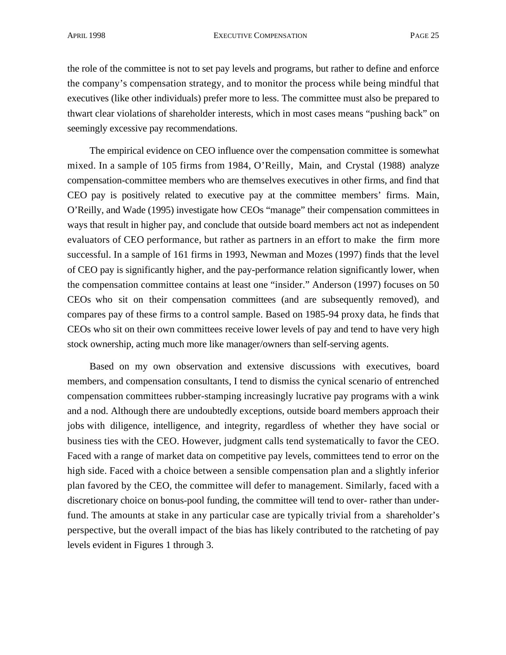the role of the committee is not to set pay levels and programs, but rather to define and enforce the company's compensation strategy, and to monitor the process while being mindful that executives (like other individuals) prefer more to less. The committee must also be prepared to thwart clear violations of shareholder interests, which in most cases means "pushing back" on seemingly excessive pay recommendations.

The empirical evidence on CEO influence over the compensation committee is somewhat mixed. In a sample of 105 firms from 1984, O'Reilly, Main, and Crystal (1988) analyze compensation-committee members who are themselves executives in other firms, and find that CEO pay is positively related to executive pay at the committee members' firms. Main, O'Reilly, and Wade (1995) investigate how CEOs "manage" their compensation committees in ways that result in higher pay, and conclude that outside board members act not as independent evaluators of CEO performance, but rather as partners in an effort to make the firm more successful. In a sample of 161 firms in 1993, Newman and Mozes (1997) finds that the level of CEO pay is significantly higher, and the pay-performance relation significantly lower, when the compensation committee contains at least one "insider." Anderson (1997) focuses on 50 CEOs who sit on their compensation committees (and are subsequently removed), and compares pay of these firms to a control sample. Based on 1985-94 proxy data, he finds that CEOs who sit on their own committees receive lower levels of pay and tend to have very high stock ownership, acting much more like manager/owners than self-serving agents.

Based on my own observation and extensive discussions with executives, board members, and compensation consultants, I tend to dismiss the cynical scenario of entrenched compensation committees rubber-stamping increasingly lucrative pay programs with a wink and a nod. Although there are undoubtedly exceptions, outside board members approach their jobs with diligence, intelligence, and integrity, regardless of whether they have social or business ties with the CEO. However, judgment calls tend systematically to favor the CEO. Faced with a range of market data on competitive pay levels, committees tend to error on the high side. Faced with a choice between a sensible compensation plan and a slightly inferior plan favored by the CEO, the committee will defer to management. Similarly, faced with a discretionary choice on bonus-pool funding, the committee will tend to over- rather than underfund. The amounts at stake in any particular case are typically trivial from a shareholder's perspective, but the overall impact of the bias has likely contributed to the ratcheting of pay levels evident in Figures 1 through 3.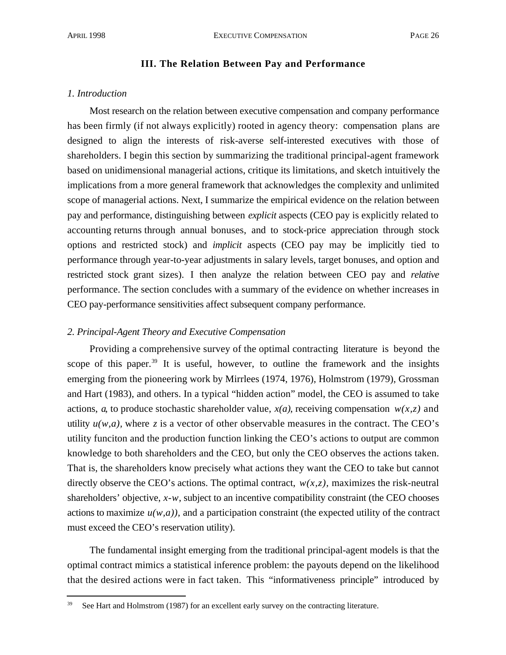### **III. The Relation Between Pay and Performance**

#### *1. Introduction*

l

Most research on the relation between executive compensation and company performance has been firmly (if not always explicitly) rooted in agency theory: compensation plans are designed to align the interests of risk-averse self-interested executives with those of shareholders. I begin this section by summarizing the traditional principal-agent framework based on unidimensional managerial actions, critique its limitations, and sketch intuitively the implications from a more general framework that acknowledges the complexity and unlimited scope of managerial actions. Next, I summarize the empirical evidence on the relation between pay and performance, distinguishing between *explicit* aspects (CEO pay is explicitly related to accounting returns through annual bonuses, and to stock-price appreciation through stock options and restricted stock) and *implicit* aspects (CEO pay may be implicitly tied to performance through year-to-year adjustments in salary levels, target bonuses, and option and restricted stock grant sizes). I then analyze the relation between CEO pay and *relative* performance. The section concludes with a summary of the evidence on whether increases in CEO pay-performance sensitivities affect subsequent company performance.

## *2. Principal-Agent Theory and Executive Compensation*

Providing a comprehensive survey of the optimal contracting literature is beyond the scope of this paper.<sup>39</sup> It is useful, however, to outline the framework and the insights emerging from the pioneering work by Mirrlees (1974, 1976), Holmstrom (1979), Grossman and Hart (1983), and others. In a typical "hidden action" model, the CEO is assumed to take actions, *a*, to produce stochastic shareholder value,  $x(a)$ , receiving compensation  $w(x, z)$  and utility  $u(w, a)$ , where z is a vector of other observable measures in the contract. The CEO's utility funciton and the production function linking the CEO's actions to output are common knowledge to both shareholders and the CEO, but only the CEO observes the actions taken. That is, the shareholders know precisely what actions they want the CEO to take but cannot directly observe the CEO's actions. The optimal contract,  $w(x, z)$ , maximizes the risk-neutral shareholders' objective, *x-w*, subject to an incentive compatibility constraint (the CEO chooses actions to maximize  $u(w, a)$ , and a participation constraint (the expected utility of the contract must exceed the CEO's reservation utility).

The fundamental insight emerging from the traditional principal-agent models is that the optimal contract mimics a statistical inference problem: the payouts depend on the likelihood that the desired actions were in fact taken. This "informativeness principle" introduced by

<sup>&</sup>lt;sup>39</sup> See Hart and Holmstrom (1987) for an excellent early survey on the contracting literature.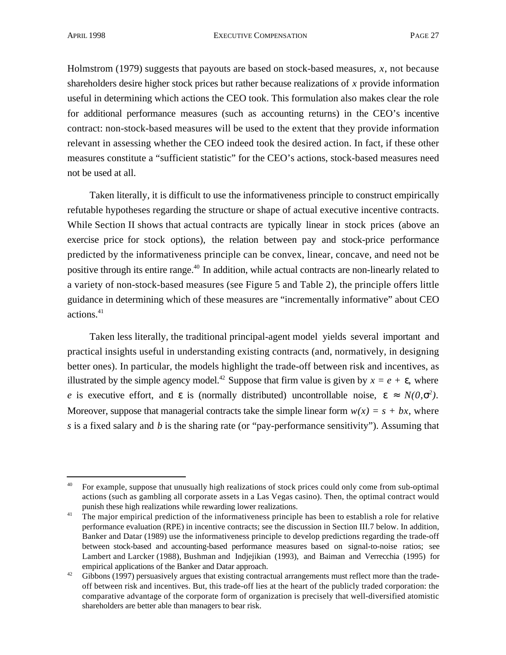Holmstrom (1979) suggests that payouts are based on stock-based measures, *x*, not because shareholders desire higher stock prices but rather because realizations of *x* provide information useful in determining which actions the CEO took. This formulation also makes clear the role for additional performance measures (such as accounting returns) in the CEO's incentive contract: non-stock-based measures will be used to the extent that they provide information relevant in assessing whether the CEO indeed took the desired action. In fact, if these other measures constitute a "sufficient statistic" for the CEO's actions, stock-based measures need not be used at all.

Taken literally, it is difficult to use the informativeness principle to construct empirically refutable hypotheses regarding the structure or shape of actual executive incentive contracts. While Section II shows that actual contracts are typically linear in stock prices (above an exercise price for stock options), the relation between pay and stock-price performance predicted by the informativeness principle can be convex, linear, concave, and need not be positive through its entire range.<sup>40</sup> In addition, while actual contracts are non-linearly related to a variety of non-stock-based measures (see Figure 5 and Table 2), the principle offers little guidance in determining which of these measures are "incrementally informative" about CEO actions.<sup>41</sup>

Taken less literally, the traditional principal-agent model yields several important and practical insights useful in understanding existing contracts (and, normatively, in designing better ones). In particular, the models highlight the trade-off between risk and incentives, as illustrated by the simple agency model.<sup>42</sup> Suppose that firm value is given by  $x = e +$ , where *e* is executive effort, and is (normally distributed) uncontrollable noise,  $N(0, 2)$ . Moreover, suppose that managerial contracts take the simple linear form  $w(x) = s + bx$ , where *s* is a fixed salary and *b* is the sharing rate (or "pay-performance sensitivity"). Assuming that

 $^{40}$  For example, suppose that unusually high realizations of stock prices could only come from sub-optimal actions (such as gambling all corporate assets in a Las Vegas casino). Then, the optimal contract would punish these high realizations while rewarding lower realizations.

<sup>&</sup>lt;sup>41</sup> The major empirical prediction of the informativeness principle has been to establish a role for relative performance evaluation (RPE) in incentive contracts; see the discussion in Section III.7 below. In addition, Banker and Datar (1989) use the informativeness principle to develop predictions regarding the trade-off between stock-based and accounting-based performance measures based on signal-to-noise ratios; see Lambert and Larcker (1988), Bushman and Indjejikian (1993), and Baiman and Verrecchia (1995) for empirical applications of the Banker and Datar approach.

<sup>&</sup>lt;sup>42</sup> Gibbons (1997) persuasively argues that existing contractual arrangements must reflect more than the tradeoff between risk and incentives. But, this trade-off lies at the heart of the publicly traded corporation: the comparative advantage of the corporate form of organization is precisely that well-diversified atomistic shareholders are better able than managers to bear risk.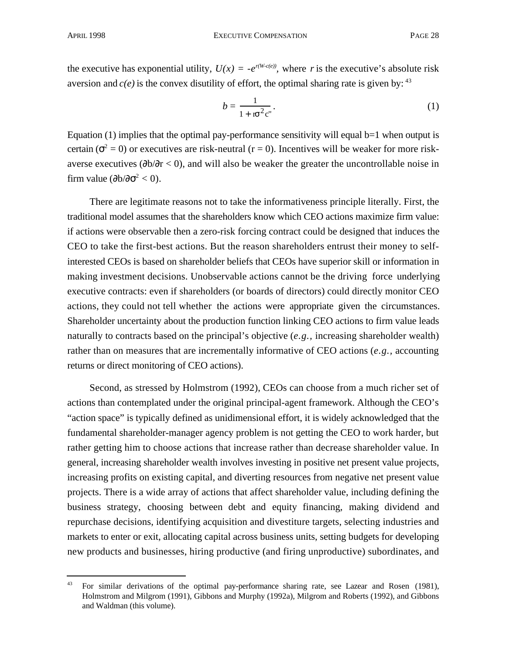the executive has exponential utility,  $U(x) = -e^{r(W-c(e))}$ , where *r* is the executive's absolute risk aversion and  $c(e)$  is the convex disutility of effort, the optimal sharing rate is given by: <sup>43</sup>

$$
b = \frac{1}{1 + r^{-2}c^{n}}.
$$
 (1)

Equation  $(1)$  implies that the optimal pay-performance sensitivity will equal  $b=1$  when output is certain ( $^2$  = 0) or executives are risk-neutral (r = 0). Incentives will be weaker for more riskaverse executives ( $b/r < 0$ ), and will also be weaker the greater the uncontrollable noise in firm value (b/ $^2$  < 0).

There are legitimate reasons not to take the informativeness principle literally. First, the traditional model assumes that the shareholders know which CEO actions maximize firm value: if actions were observable then a zero-risk forcing contract could be designed that induces the CEO to take the first-best actions. But the reason shareholders entrust their money to selfinterested CEOs is based on shareholder beliefs that CEOs have superior skill or information in making investment decisions. Unobservable actions cannot be the driving force underlying executive contracts: even if shareholders (or boards of directors) could directly monitor CEO actions, they could not tell whether the actions were appropriate given the circumstances. Shareholder uncertainty about the production function linking CEO actions to firm value leads naturally to contracts based on the principal's objective (*e.g.,* increasing shareholder wealth) rather than on measures that are incrementally informative of CEO actions (*e.g.,* accounting returns or direct monitoring of CEO actions).

Second, as stressed by Holmstrom (1992), CEOs can choose from a much richer set of actions than contemplated under the original principal-agent framework. Although the CEO's "action space" is typically defined as unidimensional effort, it is widely acknowledged that the fundamental shareholder-manager agency problem is not getting the CEO to work harder, but rather getting him to choose actions that increase rather than decrease shareholder value. In general, increasing shareholder wealth involves investing in positive net present value projects, increasing profits on existing capital, and diverting resources from negative net present value projects. There is a wide array of actions that affect shareholder value, including defining the business strategy, choosing between debt and equity financing, making dividend and repurchase decisions, identifying acquisition and divestiture targets, selecting industries and markets to enter or exit, allocating capital across business units, setting budgets for developing new products and businesses, hiring productive (and firing unproductive) subordinates, and

<sup>&</sup>lt;sup>43</sup> For similar derivations of the optimal pay-performance sharing rate, see Lazear and Rosen (1981), Holmstrom and Milgrom (1991), Gibbons and Murphy (1992a), Milgrom and Roberts (1992), and Gibbons and Waldman (this volume).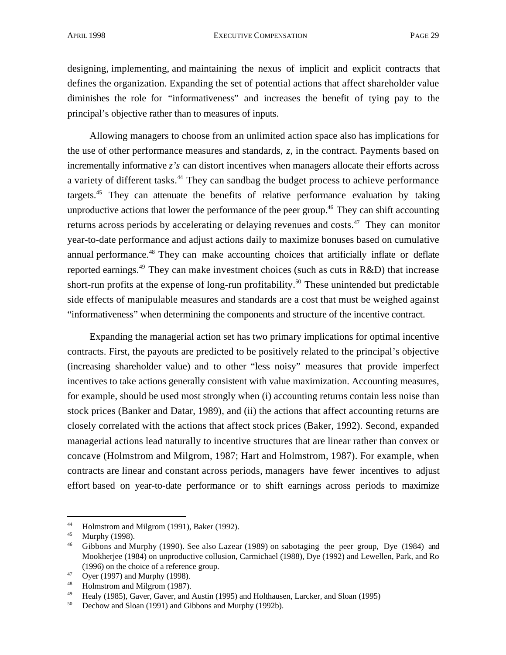designing, implementing, and maintaining the nexus of implicit and explicit contracts that defines the organization. Expanding the set of potential actions that affect shareholder value diminishes the role for "informativeness" and increases the benefit of tying pay to the principal's objective rather than to measures of inputs.

Allowing managers to choose from an unlimited action space also has implications for the use of other performance measures and standards, *z*, in the contract. Payments based on incrementally informative  $z$ 's can distort incentives when managers allocate their efforts across a variety of different tasks.<sup>44</sup> They can sandbag the budget process to achieve performance targets. $45$  They can attenuate the benefits of relative performance evaluation by taking unproductive actions that lower the performance of the peer group.<sup>46</sup> They can shift accounting returns across periods by accelerating or delaying revenues and costs.<sup>47</sup> They can monitor year-to-date performance and adjust actions daily to maximize bonuses based on cumulative annual performance.<sup>48</sup> They can make accounting choices that artificially inflate or deflate reported earnings.<sup>49</sup> They can make investment choices (such as cuts in  $R&D$ ) that increase short-run profits at the expense of long-run profitability.<sup>50</sup> These unintended but predictable side effects of manipulable measures and standards are a cost that must be weighed against "informativeness" when determining the components and structure of the incentive contract.

Expanding the managerial action set has two primary implications for optimal incentive contracts. First, the payouts are predicted to be positively related to the principal's objective (increasing shareholder value) and to other "less noisy" measures that provide imperfect incentives to take actions generally consistent with value maximization. Accounting measures, for example, should be used most strongly when (i) accounting returns contain less noise than stock prices (Banker and Datar, 1989), and (ii) the actions that affect accounting returns are closely correlated with the actions that affect stock prices (Baker, 1992). Second, expanded managerial actions lead naturally to incentive structures that are linear rather than convex or concave (Holmstrom and Milgrom, 1987; Hart and Holmstrom, 1987). For example, when contracts are linear and constant across periods, managers have fewer incentives to adjust effort based on year-to-date performance or to shift earnings across periods to maximize

l

<sup>&</sup>lt;sup>44</sup> Holmstrom and Milgrom (1991), Baker (1992).<br>Murphy (1998)

 $^{45}$  Murphy (1998).

<sup>46</sup> Gibbons and Murphy (1990). See also Lazear (1989) on sabotaging the peer group, Dye (1984) and Mookherjee (1984) on unproductive collusion, Carmichael (1988), Dye (1992) and Lewellen, Park, and Ro (1996) on the choice of a reference group.

<sup>&</sup>lt;sup>47</sup> Oyer (1997) and Murphy (1998).

<sup>&</sup>lt;sup>48</sup> Holmstrom and Milgrom (1987).<br><sup>49</sup> Healy (1985) Gaver Gaver and

<sup>&</sup>lt;sup>49</sup> Healy (1985), Gaver, Gaver, and Austin (1995) and Holthausen, Larcker, and Sloan (1995)<br><sup>50</sup> Deabour and Sloan (1991) and Gibbons and Murphy (1992b)

Dechow and Sloan (1991) and Gibbons and Murphy (1992b).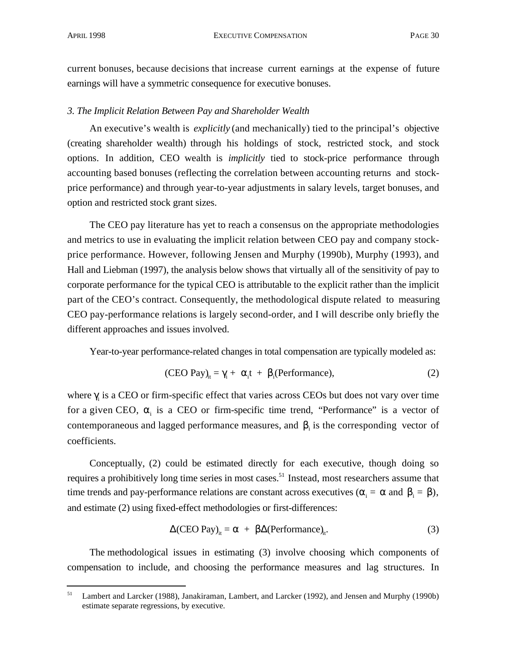current bonuses, because decisions that increase current earnings at the expense of future earnings will have a symmetric consequence for executive bonuses.

## *3. The Implicit Relation Between Pay and Shareholder Wealth*

An executive's wealth is *explicitly* (and mechanically) tied to the principal's objective (creating shareholder wealth) through his holdings of stock, restricted stock, and stock options. In addition, CEO wealth is *implicitly* tied to stock-price performance through accounting based bonuses (reflecting the correlation between accounting returns and stockprice performance) and through year-to-year adjustments in salary levels, target bonuses, and option and restricted stock grant sizes.

The CEO pay literature has yet to reach a consensus on the appropriate methodologies and metrics to use in evaluating the implicit relation between CEO pay and company stockprice performance. However, following Jensen and Murphy (1990b), Murphy (1993), and Hall and Liebman (1997), the analysis below shows that virtually all of the sensitivity of pay to corporate performance for the typical CEO is attributable to the explicit rather than the implicit part of the CEO's contract. Consequently, the methodological dispute related to measuring CEO pay-performance relations is largely second-order, and I will describe only briefly the different approaches and issues involved.

Year-to-year performance-related changes in total compensation are typically modeled as:

$$
(CEO Pay)it = i + i t + i(Performance),
$$
\n(2)

where  $\frac{1}{1}$  is a CEO or firm-specific effect that varies across CEOs but does not vary over time for a given CEO,  $\frac{1}{1}$  is a CEO or firm-specific time trend, "Performance" is a vector of contemporaneous and lagged performance measures, and  $\mathbf{a}_i$  is the corresponding vector of coefficients.

Conceptually, (2) could be estimated directly for each executive, though doing so requires a prohibitively long time series in most cases.<sup>51</sup> Instead, most researchers assume that time trends and pay-performance relations are constant across executives  $(i =$  and  $(i = 1)$ , and estimate (2) using fixed-effect methodologies or first-differences:

$$
(CEO Pay)it = + (Performance)it.
$$
 (3)

The methodological issues in estimating (3) involve choosing which components of compensation to include, and choosing the performance measures and lag structures. In

<sup>51</sup> Lambert and Larcker (1988), Janakiraman, Lambert, and Larcker (1992), and Jensen and Murphy (1990b) estimate separate regressions, by executive.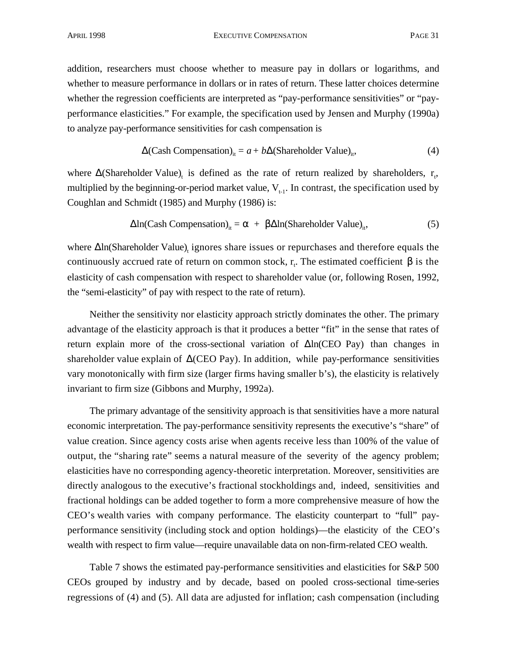addition, researchers must choose whether to measure pay in dollars or logarithms, and whether to measure performance in dollars or in rates of return. These latter choices determine whether the regression coefficients are interpreted as "pay-performance sensitivities" or "payperformance elasticities." For example, the specification used by Jensen and Murphy (1990a) to analyze pay-performance sensitivities for cash compensation is

(Cash Compensation)<sub>it</sub> = 
$$
a + b
$$
 (Shareholder Value)<sub>it</sub>, (4)

where (Shareholder Value), is defined as the rate of return realized by shareholders,  $r_t$ , multiplied by the beginning-or-period market value,  $V_{t-1}$ . In contrast, the specification used by Coughlan and Schmidt (1985) and Murphy (1986) is:

$$
ln(Cash\text{Comparison})_{it} = + ln(Shareholder\text{ Value})_{it}, \qquad (5)
$$

where  $\ln(S$ hareholder Value)<sub>t</sub> ignores share issues or repurchases and therefore equals the continuously accrued rate of return on common stock,  $r_t$ . The estimated coefficient is the elasticity of cash compensation with respect to shareholder value (or, following Rosen, 1992, the "semi-elasticity" of pay with respect to the rate of return).

Neither the sensitivity nor elasticity approach strictly dominates the other. The primary advantage of the elasticity approach is that it produces a better "fit" in the sense that rates of return explain more of the cross-sectional variation of ln(CEO Pay) than changes in shareholder value explain of (CEO Pay). In addition, while pay-performance sensitivities vary monotonically with firm size (larger firms having smaller b's), the elasticity is relatively invariant to firm size (Gibbons and Murphy, 1992a).

The primary advantage of the sensitivity approach is that sensitivities have a more natural economic interpretation. The pay-performance sensitivity represents the executive's "share" of value creation. Since agency costs arise when agents receive less than 100% of the value of output, the "sharing rate" seems a natural measure of the severity of the agency problem; elasticities have no corresponding agency-theoretic interpretation. Moreover, sensitivities are directly analogous to the executive's fractional stockholdings and, indeed, sensitivities and fractional holdings can be added together to form a more comprehensive measure of how the CEO's wealth varies with company performance. The elasticity counterpart to "full" payperformance sensitivity (including stock and option holdings)—the elasticity of the CEO's wealth with respect to firm value—require unavailable data on non-firm-related CEO wealth.

Table 7 shows the estimated pay-performance sensitivities and elasticities for S&P 500 CEOs grouped by industry and by decade, based on pooled cross-sectional time-series regressions of (4) and (5). All data are adjusted for inflation; cash compensation (including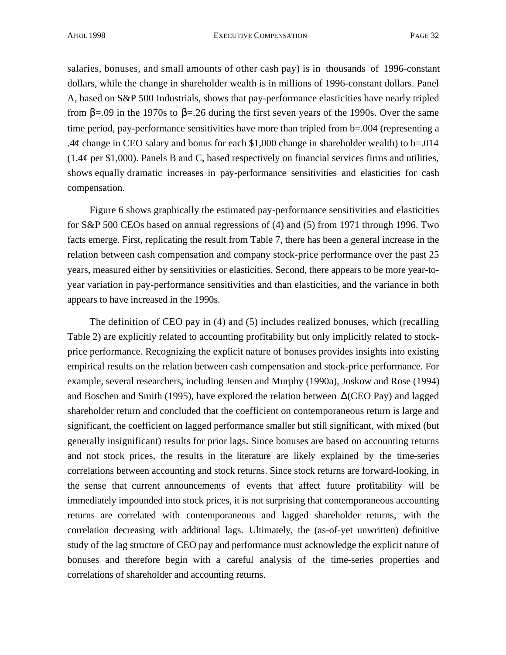salaries, bonuses, and small amounts of other cash pay) is in thousands of 1996-constant dollars, while the change in shareholder wealth is in millions of 1996-constant dollars. Panel A, based on S&P 500 Industrials, shows that pay-performance elasticities have nearly tripled from  $=$ .09 in the 1970s to  $=$ .26 during the first seven years of the 1990s. Over the same time period, pay-performance sensitivities have more than tripled from b=.004 (representing a .4¢ change in CEO salary and bonus for each \$1,000 change in shareholder wealth) to b=.014  $(1.4¢$  per \$1,000). Panels B and C, based respectively on financial services firms and utilities, shows equally dramatic increases in pay-performance sensitivities and elasticities for cash compensation.

Figure 6 shows graphically the estimated pay-performance sensitivities and elasticities for S&P 500 CEOs based on annual regressions of (4) and (5) from 1971 through 1996. Two facts emerge. First, replicating the result from Table 7, there has been a general increase in the relation between cash compensation and company stock-price performance over the past 25 years, measured either by sensitivities or elasticities. Second, there appears to be more year-toyear variation in pay-performance sensitivities and than elasticities, and the variance in both appears to have increased in the 1990s.

The definition of CEO pay in (4) and (5) includes realized bonuses, which (recalling Table 2) are explicitly related to accounting profitability but only implicitly related to stockprice performance. Recognizing the explicit nature of bonuses provides insights into existing empirical results on the relation between cash compensation and stock-price performance. For example, several researchers, including Jensen and Murphy (1990a), Joskow and Rose (1994) and Boschen and Smith (1995), have explored the relation between (CEO Pay) and lagged shareholder return and concluded that the coefficient on contemporaneous return is large and significant, the coefficient on lagged performance smaller but still significant, with mixed (but generally insignificant) results for prior lags. Since bonuses are based on accounting returns and not stock prices, the results in the literature are likely explained by the time-series correlations between accounting and stock returns. Since stock returns are forward-looking, in the sense that current announcements of events that affect future profitability will be immediately impounded into stock prices, it is not surprising that contemporaneous accounting returns are correlated with contemporaneous and lagged shareholder returns, with the correlation decreasing with additional lags. Ultimately, the (as-of-yet unwritten) definitive study of the lag structure of CEO pay and performance must acknowledge the explicit nature of bonuses and therefore begin with a careful analysis of the time-series properties and correlations of shareholder and accounting returns.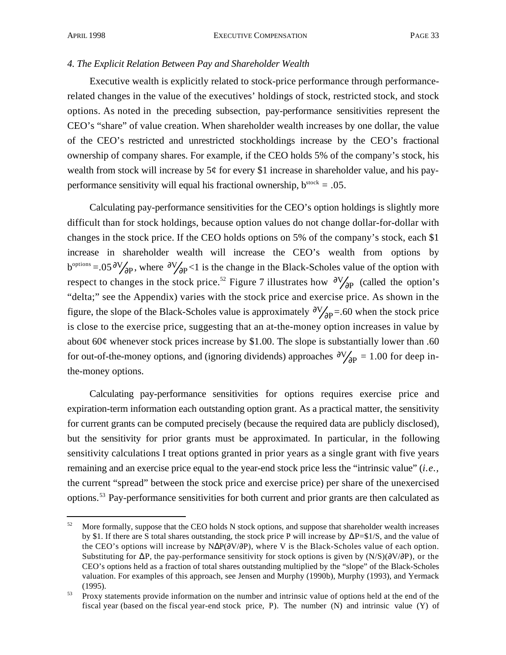#### *4. The Explicit Relation Between Pay and Shareholder Wealth*

Executive wealth is explicitly related to stock-price performance through performancerelated changes in the value of the executives' holdings of stock, restricted stock, and stock options. As noted in the preceding subsection, pay-performance sensitivities represent the CEO's "share" of value creation. When shareholder wealth increases by one dollar, the value of the CEO's restricted and unrestricted stockholdings increase by the CEO's fractional ownership of company shares. For example, if the CEO holds 5% of the company's stock, his wealth from stock will increase by  $5¢$  for every \$1 increase in shareholder value, and his payperformance sensitivity will equal his fractional ownership,  $b^{stock} = .05$ .

Calculating pay-performance sensitivities for the CEO's option holdings is slightly more difficult than for stock holdings, because option values do not change dollar-for-dollar with changes in the stock price. If the CEO holds options on 5% of the company's stock, each \$1 increase in shareholder wealth will increase the CEO's wealth from options by  $b^{\text{options}} = .05 \, \text{V}_{\text{P}}$ , where  $\, \text{V}_{\text{P}}$  <1 is the change in the Black-Scholes value of the option with respect to changes in the stock price.<sup>52</sup> Figure 7 illustrates how  $V_{P}$  (called the option's "delta;" see the Appendix) varies with the stock price and exercise price. As shown in the figure, the slope of the Black-Scholes value is approximately  $\sqrt{p} = .60$  when the stock price is close to the exercise price, suggesting that an at-the-money option increases in value by about 60 $\varphi$  whenever stock prices increase by \$1.00. The slope is substantially lower than .60 for out-of-the-money options, and (ignoring dividends) approaches  $V_P = 1.00$  for deep inthe-money options.

Calculating pay-performance sensitivities for options requires exercise price and expiration-term information each outstanding option grant. As a practical matter, the sensitivity for current grants can be computed precisely (because the required data are publicly disclosed), but the sensitivity for prior grants must be approximated. In particular, in the following sensitivity calculations I treat options granted in prior years as a single grant with five years remaining and an exercise price equal to the year-end stock price less the "intrinsic value" (*i.e.,* the current "spread" between the stock price and exercise price) per share of the unexercised options.<sup>53</sup> Pay-performance sensitivities for both current and prior grants are then calculated as

<sup>52</sup> More formally, suppose that the CEO holds N stock options, and suppose that shareholder wealth increases by \$1. If there are S total shares outstanding, the stock price P will increase by  $P=\frac{1}{S}$ 1/S, and the value of the CEO's options will increase by N  $P(V/P)$ , where V is the Black-Scholes value of each option. Substituting for P, the pay-performance sensitivity for stock options is given by  $(N/S)(V/P)$ , or the CEO's options held as a fraction of total shares outstanding multiplied by the "slope" of the Black-Scholes valuation. For examples of this approach, see Jensen and Murphy (1990b), Murphy (1993), and Yermack (1995).

<sup>&</sup>lt;sup>53</sup> Proxy statements provide information on the number and intrinsic value of options held at the end of the fiscal year (based on the fiscal year-end stock price, P). The number (N) and intrinsic value (Y) of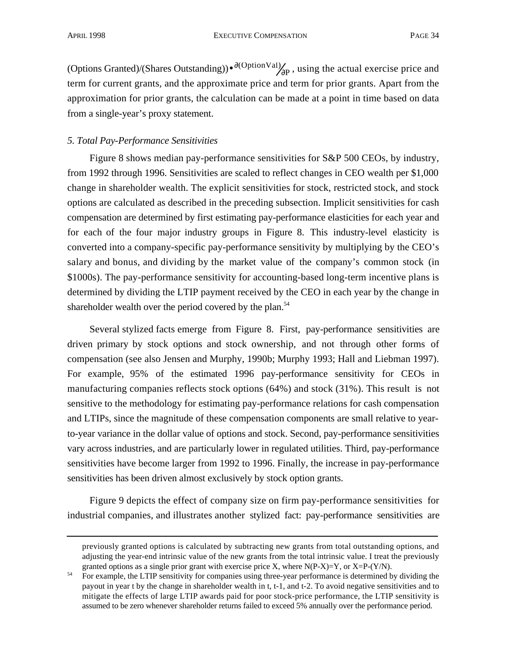(Options Granted)/(Shares Outstanding))• (OptionVal) P , using the actual exercise price and term for current grants, and the approximate price and term for prior grants. Apart from the approximation for prior grants, the calculation can be made at a point in time based on data from a single-year's proxy statement.

#### *5. Total Pay-Performance Sensitivities*

Figure 8 shows median pay-performance sensitivities for S&P 500 CEOs, by industry, from 1992 through 1996. Sensitivities are scaled to reflect changes in CEO wealth per \$1,000 change in shareholder wealth. The explicit sensitivities for stock, restricted stock, and stock options are calculated as described in the preceding subsection. Implicit sensitivities for cash compensation are determined by first estimating pay-performance elasticities for each year and for each of the four major industry groups in Figure 8. This industry-level elasticity is converted into a company-specific pay-performance sensitivity by multiplying by the CEO's salary and bonus, and dividing by the market value of the company's common stock (in \$1000s). The pay-performance sensitivity for accounting-based long-term incentive plans is determined by dividing the LTIP payment received by the CEO in each year by the change in shareholder wealth over the period covered by the plan.<sup>54</sup>

Several stylized facts emerge from Figure 8. First, pay-performance sensitivities are driven primary by stock options and stock ownership, and not through other forms of compensation (see also Jensen and Murphy, 1990b; Murphy 1993; Hall and Liebman 1997). For example, 95% of the estimated 1996 pay-performance sensitivity for CEOs in manufacturing companies reflects stock options (64%) and stock (31%). This result is not sensitive to the methodology for estimating pay-performance relations for cash compensation and LTIPs, since the magnitude of these compensation components are small relative to yearto-year variance in the dollar value of options and stock. Second, pay-performance sensitivities vary across industries, and are particularly lower in regulated utilities. Third, pay-performance sensitivities have become larger from 1992 to 1996. Finally, the increase in pay-performance sensitivities has been driven almost exclusively by stock option grants.

Figure 9 depicts the effect of company size on firm pay-performance sensitivities for industrial companies, and illustrates another stylized fact: pay-performance sensitivities are

previously granted options is calculated by subtracting new grants from total outstanding options, and adjusting the year-end intrinsic value of the new grants from the total intrinsic value. I treat the previously granted options as a single prior grant with exercise price X, where  $N(P-X)=Y$ , or  $X=P-(Y/N)$ .

<sup>54</sup> For example, the LTIP sensitivity for companies using three-year performance is determined by dividing the payout in year t by the change in shareholder wealth in t, t-1, and t-2. To avoid negative sensitivities and to mitigate the effects of large LTIP awards paid for poor stock-price performance, the LTIP sensitivity is assumed to be zero whenever shareholder returns failed to exceed 5% annually over the performance period.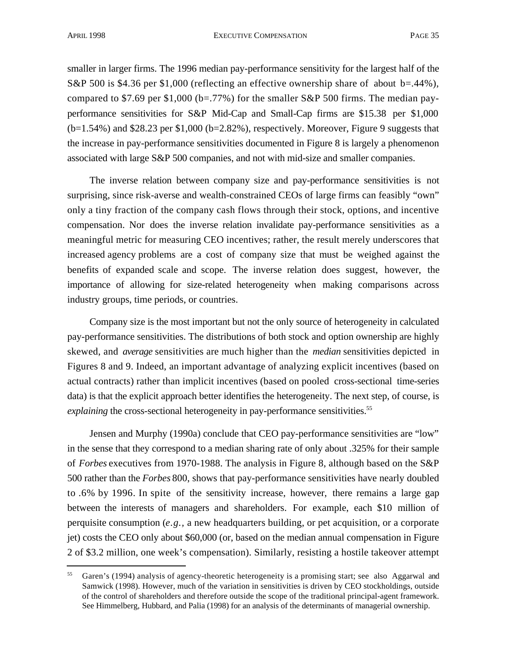smaller in larger firms. The 1996 median pay-performance sensitivity for the largest half of the S&P 500 is \$4.36 per \$1,000 (reflecting an effective ownership share of about b=.44%), compared to \$7.69 per  $$1,000$  (b=.77%) for the smaller S&P 500 firms. The median payperformance sensitivities for S&P Mid-Cap and Small-Cap firms are \$15.38 per \$1,000  $(b=1.54\%)$  and \$28.23 per \$1,000 ( $b=2.82\%$ ), respectively. Moreover, Figure 9 suggests that the increase in pay-performance sensitivities documented in Figure 8 is largely a phenomenon associated with large S&P 500 companies, and not with mid-size and smaller companies.

The inverse relation between company size and pay-performance sensitivities is not surprising, since risk-averse and wealth-constrained CEOs of large firms can feasibly "own" only a tiny fraction of the company cash flows through their stock, options, and incentive compensation. Nor does the inverse relation invalidate pay-performance sensitivities as a meaningful metric for measuring CEO incentives; rather, the result merely underscores that increased agency problems are a cost of company size that must be weighed against the benefits of expanded scale and scope. The inverse relation does suggest, however, the importance of allowing for size-related heterogeneity when making comparisons across industry groups, time periods, or countries.

Company size is the most important but not the only source of heterogeneity in calculated pay-performance sensitivities. The distributions of both stock and option ownership are highly skewed, and *average* sensitivities are much higher than the *median* sensitivities depicted in Figures 8 and 9. Indeed, an important advantage of analyzing explicit incentives (based on actual contracts) rather than implicit incentives (based on pooled cross-sectional time-series data) is that the explicit approach better identifies the heterogeneity. The next step, of course, is *explaining* the cross-sectional heterogeneity in pay-performance sensitivities.<sup>55</sup>

Jensen and Murphy (1990a) conclude that CEO pay-performance sensitivities are "low" in the sense that they correspond to a median sharing rate of only about .325% for their sample of *Forbes* executives from 1970-1988. The analysis in Figure 8, although based on the S&P 500 rather than the *Forbes* 800, shows that pay-performance sensitivities have nearly doubled to .6% by 1996. In spite of the sensitivity increase, however, there remains a large gap between the interests of managers and shareholders. For example, each \$10 million of perquisite consumption (*e.g.,* a new headquarters building, or pet acquisition, or a corporate jet) costs the CEO only about \$60,000 (or, based on the median annual compensation in Figure 2 of \$3.2 million, one week's compensation). Similarly, resisting a hostile takeover attempt

<sup>55</sup> Garen's (1994) analysis of agency-theoretic heterogeneity is a promising start; see also Aggarwal and Samwick (1998). However, much of the variation in sensitivities is driven by CEO stockholdings, outside of the control of shareholders and therefore outside the scope of the traditional principal-agent framework. See Himmelberg, Hubbard, and Palia (1998) for an analysis of the determinants of managerial ownership.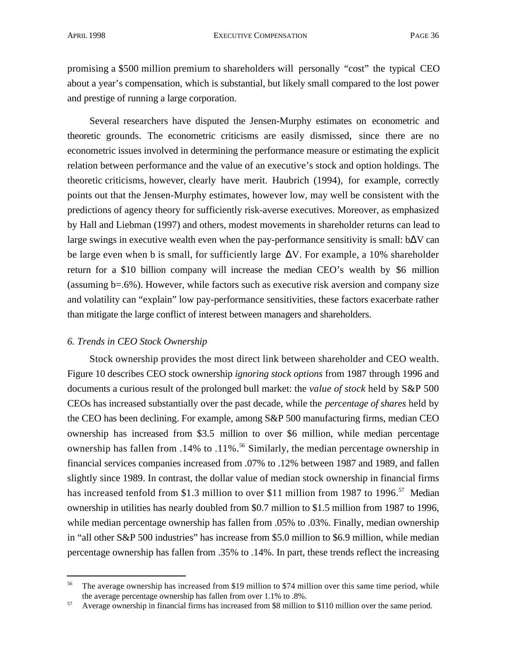promising a \$500 million premium to shareholders will personally "cost" the typical CEO about a year's compensation, which is substantial, but likely small compared to the lost power and prestige of running a large corporation.

Several researchers have disputed the Jensen-Murphy estimates on econometric and theoretic grounds. The econometric criticisms are easily dismissed, since there are no econometric issues involved in determining the performance measure or estimating the explicit relation between performance and the value of an executive's stock and option holdings. The theoretic criticisms, however, clearly have merit. Haubrich (1994), for example, correctly points out that the Jensen-Murphy estimates, however low, may well be consistent with the predictions of agency theory for sufficiently risk-averse executives. Moreover, as emphasized by Hall and Liebman (1997) and others, modest movements in shareholder returns can lead to large swings in executive wealth even when the pay-performance sensitivity is small: b V can be large even when b is small, for sufficiently large V. For example, a 10% shareholder return for a \$10 billion company will increase the median CEO's wealth by \$6 million (assuming b=.6%). However, while factors such as executive risk aversion and company size and volatility can "explain" low pay-performance sensitivities, these factors exacerbate rather than mitigate the large conflict of interest between managers and shareholders.

## *6. Trends in CEO Stock Ownership*

l

Stock ownership provides the most direct link between shareholder and CEO wealth. Figure 10 describes CEO stock ownership *ignoring stock options* from 1987 through 1996 and documents a curious result of the prolonged bull market: the *value of stock* held by S&P 500 CEOs has increased substantially over the past decade, while the *percentage of shares* held by the CEO has been declining. For example, among S&P 500 manufacturing firms, median CEO ownership has increased from \$3.5 million to over \$6 million, while median percentage ownership has fallen from .14% to .11%.<sup>56</sup> Similarly, the median percentage ownership in financial services companies increased from .07% to .12% between 1987 and 1989, and fallen slightly since 1989. In contrast, the dollar value of median stock ownership in financial firms has increased tenfold from \$1.3 million to over \$11 million from 1987 to 1996.<sup>57</sup> Median ownership in utilities has nearly doubled from \$0.7 million to \$1.5 million from 1987 to 1996, while median percentage ownership has fallen from .05% to .03%. Finally, median ownership in "all other S&P 500 industries" has increase from \$5.0 million to \$6.9 million, while median percentage ownership has fallen from .35% to .14%. In part, these trends reflect the increasing

<sup>&</sup>lt;sup>56</sup> The average ownership has increased from \$19 million to \$74 million over this same time period, while the average percentage ownership has fallen from over 1.1% to .8%.

<sup>&</sup>lt;sup>57</sup> Average ownership in financial firms has increased from \$8 million to \$110 million over the same period.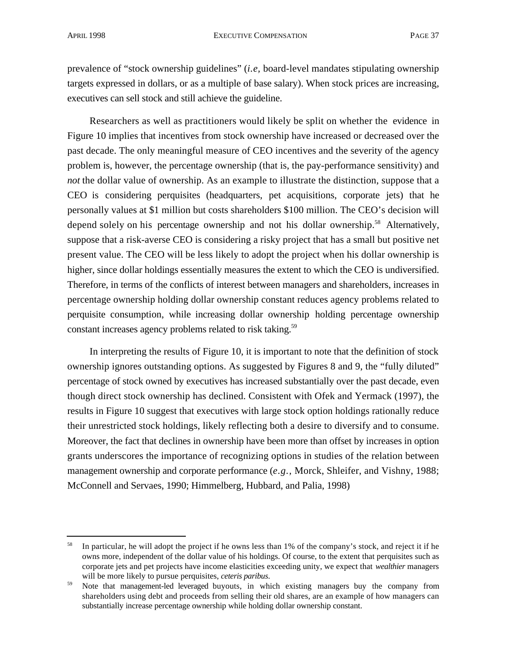prevalence of "stock ownership guidelines" (*i.e,* board-level mandates stipulating ownership targets expressed in dollars, or as a multiple of base salary). When stock prices are increasing, executives can sell stock and still achieve the guideline.

Researchers as well as practitioners would likely be split on whether the evidence in Figure 10 implies that incentives from stock ownership have increased or decreased over the past decade. The only meaningful measure of CEO incentives and the severity of the agency problem is, however, the percentage ownership (that is, the pay-performance sensitivity) and *not* the dollar value of ownership. As an example to illustrate the distinction, suppose that a CEO is considering perquisites (headquarters, pet acquisitions, corporate jets) that he personally values at \$1 million but costs shareholders \$100 million. The CEO's decision will depend solely on his percentage ownership and not his dollar ownership.<sup>58</sup> Alternatively, suppose that a risk-averse CEO is considering a risky project that has a small but positive net present value. The CEO will be less likely to adopt the project when his dollar ownership is higher, since dollar holdings essentially measures the extent to which the CEO is undiversified. Therefore, in terms of the conflicts of interest between managers and shareholders, increases in percentage ownership holding dollar ownership constant reduces agency problems related to perquisite consumption, while increasing dollar ownership holding percentage ownership constant increases agency problems related to risk taking.<sup>59</sup>

In interpreting the results of Figure 10, it is important to note that the definition of stock ownership ignores outstanding options. As suggested by Figures 8 and 9, the "fully diluted" percentage of stock owned by executives has increased substantially over the past decade, even though direct stock ownership has declined. Consistent with Ofek and Yermack (1997), the results in Figure 10 suggest that executives with large stock option holdings rationally reduce their unrestricted stock holdings, likely reflecting both a desire to diversify and to consume. Moreover, the fact that declines in ownership have been more than offset by increases in option grants underscores the importance of recognizing options in studies of the relation between management ownership and corporate performance (*e.g.,* Morck, Shleifer, and Vishny, 1988; McConnell and Servaes, 1990; Himmelberg, Hubbard, and Palia, 1998)

<sup>&</sup>lt;sup>58</sup> In particular, he will adopt the project if he owns less than 1% of the company's stock, and reject it if he owns more, independent of the dollar value of his holdings. Of course, to the extent that perquisites such as corporate jets and pet projects have income elasticities exceeding unity, we expect that *wealthier* managers will be more likely to pursue perquisites, *ceteris paribus*.

<sup>&</sup>lt;sup>59</sup> Note that management-led leveraged buyouts, in which existing managers buy the company from shareholders using debt and proceeds from selling their old shares, are an example of how managers can substantially increase percentage ownership while holding dollar ownership constant.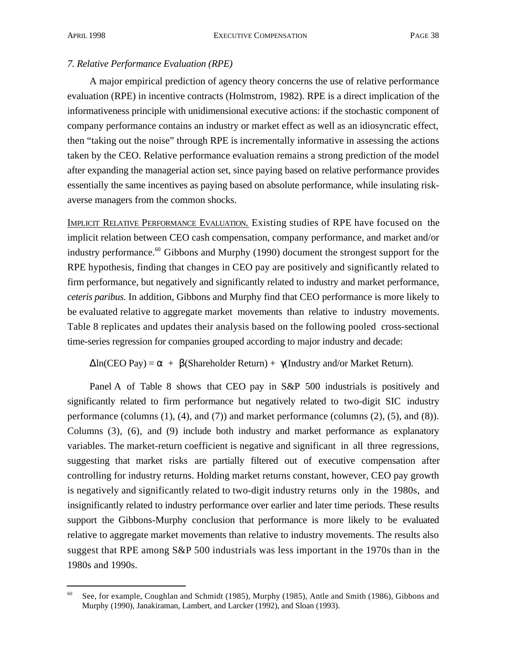# *7. Relative Performance Evaluation (RPE)*

A major empirical prediction of agency theory concerns the use of relative performance evaluation (RPE) in incentive contracts (Holmstrom, 1982). RPE is a direct implication of the informativeness principle with unidimensional executive actions: if the stochastic component of company performance contains an industry or market effect as well as an idiosyncratic effect, then "taking out the noise" through RPE is incrementally informative in assessing the actions taken by the CEO. Relative performance evaluation remains a strong prediction of the model after expanding the managerial action set, since paying based on relative performance provides essentially the same incentives as paying based on absolute performance, while insulating riskaverse managers from the common shocks.

IMPLICIT RELATIVE PERFORMANCE EVALUATION. Existing studies of RPE have focused on the implicit relation between CEO cash compensation, company performance, and market and/or industry performance.<sup>60</sup> Gibbons and Murphy (1990) document the strongest support for the RPE hypothesis, finding that changes in CEO pay are positively and significantly related to firm performance, but negatively and significantly related to industry and market performance, *ceteris paribus*. In addition, Gibbons and Murphy find that CEO performance is more likely to be evaluated relative to aggregate market movements than relative to industry movements. Table 8 replicates and updates their analysis based on the following pooled cross-sectional time-series regression for companies grouped according to major industry and decade:

 $ln(CEO Pay) = + (Shareholder Return) + (Industry and/or Market Return).$ 

Panel A of Table 8 shows that CEO pay in S&P 500 industrials is positively and significantly related to firm performance but negatively related to two-digit SIC industry performance (columns (1), (4), and (7)) and market performance (columns (2), (5), and (8)). Columns (3), (6), and (9) include both industry and market performance as explanatory variables. The market-return coefficient is negative and significant in all three regressions, suggesting that market risks are partially filtered out of executive compensation after controlling for industry returns. Holding market returns constant, however, CEO pay growth is negatively and significantly related to two-digit industry returns only in the 1980s, and insignificantly related to industry performance over earlier and later time periods. These results support the Gibbons-Murphy conclusion that performance is more likely to be evaluated relative to aggregate market movements than relative to industry movements. The results also suggest that RPE among S&P 500 industrials was less important in the 1970s than in the 1980s and 1990s.

<sup>60</sup> See, for example, Coughlan and Schmidt (1985), Murphy (1985), Antle and Smith (1986), Gibbons and Murphy (1990), Janakiraman, Lambert, and Larcker (1992), and Sloan (1993).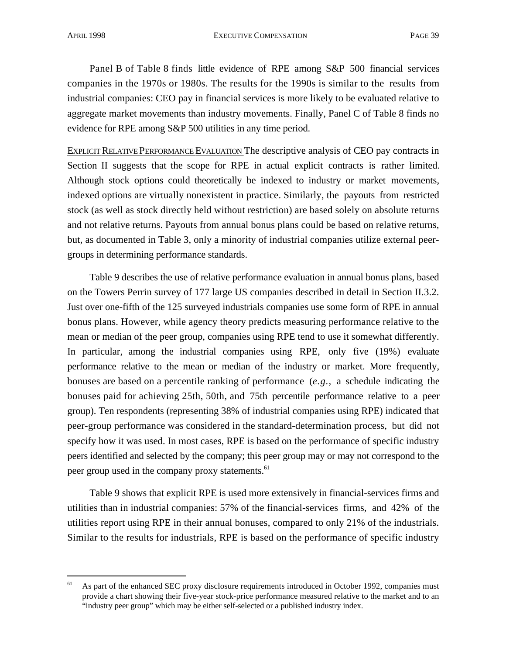Panel B of Table 8 finds little evidence of RPE among S&P 500 financial services companies in the 1970s or 1980s. The results for the 1990s is similar to the results from industrial companies: CEO pay in financial services is more likely to be evaluated relative to aggregate market movements than industry movements. Finally, Panel C of Table 8 finds no evidence for RPE among S&P 500 utilities in any time period.

EXPLICIT RELATIVE PERFORMANCE EVALUATION The descriptive analysis of CEO pay contracts in Section II suggests that the scope for RPE in actual explicit contracts is rather limited. Although stock options could theoretically be indexed to industry or market movements, indexed options are virtually nonexistent in practice. Similarly, the payouts from restricted stock (as well as stock directly held without restriction) are based solely on absolute returns and not relative returns. Payouts from annual bonus plans could be based on relative returns, but, as documented in Table 3, only a minority of industrial companies utilize external peergroups in determining performance standards.

Table 9 describes the use of relative performance evaluation in annual bonus plans, based on the Towers Perrin survey of 177 large US companies described in detail in Section II.3.2. Just over one-fifth of the 125 surveyed industrials companies use some form of RPE in annual bonus plans. However, while agency theory predicts measuring performance relative to the mean or median of the peer group, companies using RPE tend to use it somewhat differently. In particular, among the industrial companies using RPE, only five (19%) evaluate performance relative to the mean or median of the industry or market. More frequently, bonuses are based on a percentile ranking of performance (*e.g.,* a schedule indicating the bonuses paid for achieving 25th, 50th, and 75th percentile performance relative to a peer group). Ten respondents (representing 38% of industrial companies using RPE) indicated that peer-group performance was considered in the standard-determination process, but did not specify how it was used. In most cases, RPE is based on the performance of specific industry peers identified and selected by the company; this peer group may or may not correspond to the peer group used in the company proxy statements.<sup>61</sup>

Table 9 shows that explicit RPE is used more extensively in financial-services firms and utilities than in industrial companies: 57% of the financial-services firms, and 42% of the utilities report using RPE in their annual bonuses, compared to only 21% of the industrials. Similar to the results for industrials, RPE is based on the performance of specific industry

 $61$  As part of the enhanced SEC proxy disclosure requirements introduced in October 1992, companies must provide a chart showing their five-year stock-price performance measured relative to the market and to an "industry peer group" which may be either self-selected or a published industry index.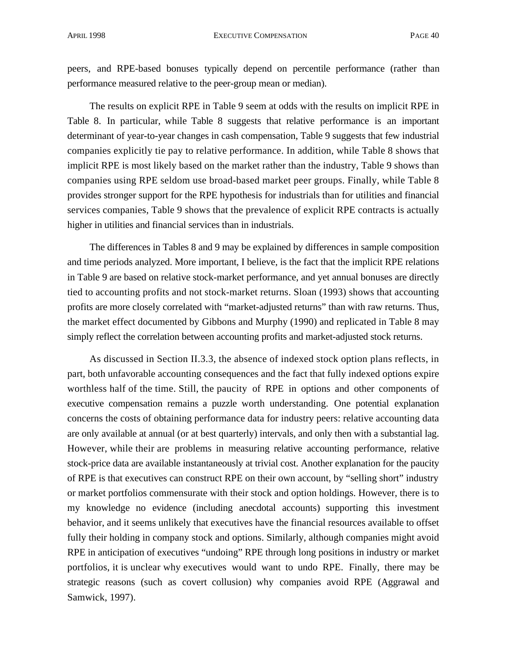peers, and RPE-based bonuses typically depend on percentile performance (rather than performance measured relative to the peer-group mean or median).

The results on explicit RPE in Table 9 seem at odds with the results on implicit RPE in Table 8. In particular, while Table 8 suggests that relative performance is an important determinant of year-to-year changes in cash compensation, Table 9 suggests that few industrial companies explicitly tie pay to relative performance. In addition, while Table 8 shows that implicit RPE is most likely based on the market rather than the industry, Table 9 shows than companies using RPE seldom use broad-based market peer groups. Finally, while Table 8 provides stronger support for the RPE hypothesis for industrials than for utilities and financial services companies, Table 9 shows that the prevalence of explicit RPE contracts is actually higher in utilities and financial services than in industrials.

The differences in Tables 8 and 9 may be explained by differences in sample composition and time periods analyzed. More important, I believe, is the fact that the implicit RPE relations in Table 9 are based on relative stock-market performance, and yet annual bonuses are directly tied to accounting profits and not stock-market returns. Sloan (1993) shows that accounting profits are more closely correlated with "market-adjusted returns" than with raw returns. Thus, the market effect documented by Gibbons and Murphy (1990) and replicated in Table 8 may simply reflect the correlation between accounting profits and market-adjusted stock returns.

As discussed in Section II.3.3, the absence of indexed stock option plans reflects, in part, both unfavorable accounting consequences and the fact that fully indexed options expire worthless half of the time. Still, the paucity of RPE in options and other components of executive compensation remains a puzzle worth understanding. One potential explanation concerns the costs of obtaining performance data for industry peers: relative accounting data are only available at annual (or at best quarterly) intervals, and only then with a substantial lag. However, while their are problems in measuring relative accounting performance, relative stock-price data are available instantaneously at trivial cost. Another explanation for the paucity of RPE is that executives can construct RPE on their own account, by "selling short" industry or market portfolios commensurate with their stock and option holdings. However, there is to my knowledge no evidence (including anecdotal accounts) supporting this investment behavior, and it seems unlikely that executives have the financial resources available to offset fully their holding in company stock and options. Similarly, although companies might avoid RPE in anticipation of executives "undoing" RPE through long positions in industry or market portfolios, it is unclear why executives would want to undo RPE. Finally, there may be strategic reasons (such as covert collusion) why companies avoid RPE (Aggrawal and Samwick, 1997).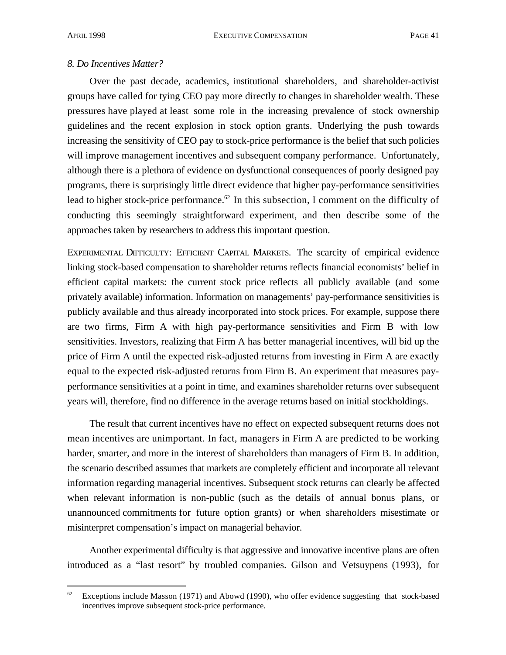# *8. Do Incentives Matter?*

Over the past decade, academics, institutional shareholders, and shareholder-activist groups have called for tying CEO pay more directly to changes in shareholder wealth. These pressures have played at least some role in the increasing prevalence of stock ownership guidelines and the recent explosion in stock option grants. Underlying the push towards increasing the sensitivity of CEO pay to stock-price performance is the belief that such policies will improve management incentives and subsequent company performance. Unfortunately, although there is a plethora of evidence on dysfunctional consequences of poorly designed pay programs, there is surprisingly little direct evidence that higher pay-performance sensitivities lead to higher stock-price performance.<sup>62</sup> In this subsection, I comment on the difficulty of conducting this seemingly straightforward experiment, and then describe some of the approaches taken by researchers to address this important question.

EXPERIMENTAL DIFFICULTY: EFFICIENT CAPITAL MARKETS. The scarcity of empirical evidence linking stock-based compensation to shareholder returns reflects financial economists' belief in efficient capital markets: the current stock price reflects all publicly available (and some privately available) information. Information on managements' pay-performance sensitivities is publicly available and thus already incorporated into stock prices. For example, suppose there are two firms, Firm A with high pay-performance sensitivities and Firm B with low sensitivities. Investors, realizing that Firm A has better managerial incentives, will bid up the price of Firm A until the expected risk-adjusted returns from investing in Firm A are exactly equal to the expected risk-adjusted returns from Firm B. An experiment that measures payperformance sensitivities at a point in time, and examines shareholder returns over subsequent years will, therefore, find no difference in the average returns based on initial stockholdings.

The result that current incentives have no effect on expected subsequent returns does not mean incentives are unimportant. In fact, managers in Firm A are predicted to be working harder, smarter, and more in the interest of shareholders than managers of Firm B. In addition, the scenario described assumes that markets are completely efficient and incorporate all relevant information regarding managerial incentives. Subsequent stock returns can clearly be affected when relevant information is non-public (such as the details of annual bonus plans, or unannounced commitments for future option grants) or when shareholders misestimate or misinterpret compensation's impact on managerial behavior.

Another experimental difficulty is that aggressive and innovative incentive plans are often introduced as a "last resort" by troubled companies. Gilson and Vetsuypens (1993), for

<sup>62</sup> Exceptions include Masson (1971) and Abowd (1990), who offer evidence suggesting that stock-based incentives improve subsequent stock-price performance.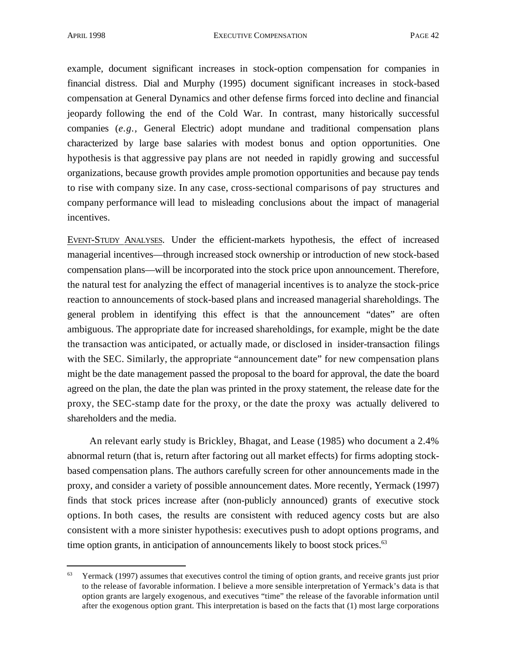example, document significant increases in stock-option compensation for companies in financial distress. Dial and Murphy (1995) document significant increases in stock-based compensation at General Dynamics and other defense firms forced into decline and financial jeopardy following the end of the Cold War. In contrast, many historically successful companies (*e.g.,* General Electric) adopt mundane and traditional compensation plans characterized by large base salaries with modest bonus and option opportunities. One hypothesis is that aggressive pay plans are not needed in rapidly growing and successful organizations, because growth provides ample promotion opportunities and because pay tends to rise with company size. In any case, cross-sectional comparisons of pay structures and company performance will lead to misleading conclusions about the impact of managerial incentives.

EVENT-STUDY ANALYSES. Under the efficient-markets hypothesis, the effect of increased managerial incentives—through increased stock ownership or introduction of new stock-based compensation plans—will be incorporated into the stock price upon announcement. Therefore, the natural test for analyzing the effect of managerial incentives is to analyze the stock-price reaction to announcements of stock-based plans and increased managerial shareholdings. The general problem in identifying this effect is that the announcement "dates" are often ambiguous. The appropriate date for increased shareholdings, for example, might be the date the transaction was anticipated, or actually made, or disclosed in insider-transaction filings with the SEC. Similarly, the appropriate "announcement date" for new compensation plans might be the date management passed the proposal to the board for approval, the date the board agreed on the plan, the date the plan was printed in the proxy statement, the release date for the proxy, the SEC-stamp date for the proxy, or the date the proxy was actually delivered to shareholders and the media.

An relevant early study is Brickley, Bhagat, and Lease (1985) who document a 2.4% abnormal return (that is, return after factoring out all market effects) for firms adopting stockbased compensation plans. The authors carefully screen for other announcements made in the proxy, and consider a variety of possible announcement dates. More recently, Yermack (1997) finds that stock prices increase after (non-publicly announced) grants of executive stock options. In both cases, the results are consistent with reduced agency costs but are also consistent with a more sinister hypothesis: executives push to adopt options programs, and time option grants, in anticipation of announcements likely to boost stock prices.<sup>63</sup>

<sup>63</sup> Yermack (1997) assumes that executives control the timing of option grants, and receive grants just prior to the release of favorable information. I believe a more sensible interpretation of Yermack's data is that option grants are largely exogenous, and executives "time" the release of the favorable information until after the exogenous option grant. This interpretation is based on the facts that (1) most large corporations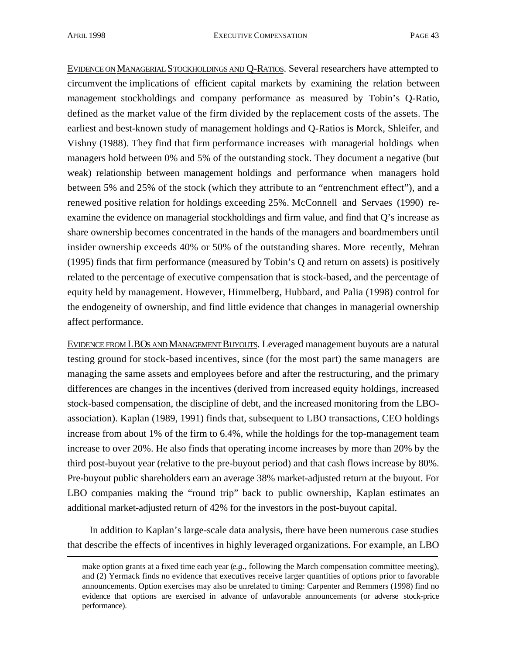EVIDENCE ON MANAGERIAL STOCKHOLDINGS AND Q-RATIOS. Several researchers have attempted to circumvent the implications of efficient capital markets by examining the relation between management stockholdings and company performance as measured by Tobin's Q-Ratio, defined as the market value of the firm divided by the replacement costs of the assets. The earliest and best-known study of management holdings and Q-Ratios is Morck, Shleifer, and Vishny (1988). They find that firm performance increases with managerial holdings when managers hold between 0% and 5% of the outstanding stock. They document a negative (but weak) relationship between management holdings and performance when managers hold between 5% and 25% of the stock (which they attribute to an "entrenchment effect"), and a renewed positive relation for holdings exceeding 25%. McConnell and Servaes (1990) reexamine the evidence on managerial stockholdings and firm value, and find that Q's increase as share ownership becomes concentrated in the hands of the managers and boardmembers until insider ownership exceeds 40% or 50% of the outstanding shares. More recently, Mehran (1995) finds that firm performance (measured by Tobin's Q and return on assets) is positively related to the percentage of executive compensation that is stock-based, and the percentage of equity held by management. However, Himmelberg, Hubbard, and Palia (1998) control for the endogeneity of ownership, and find little evidence that changes in managerial ownership affect performance.

EVIDENCE FROM LBOS AND MANAGEMENT BUYOUTS. Leveraged management buyouts are a natural testing ground for stock-based incentives, since (for the most part) the same managers are managing the same assets and employees before and after the restructuring, and the primary differences are changes in the incentives (derived from increased equity holdings, increased stock-based compensation, the discipline of debt, and the increased monitoring from the LBOassociation). Kaplan (1989, 1991) finds that, subsequent to LBO transactions, CEO holdings increase from about 1% of the firm to 6.4%, while the holdings for the top-management team increase to over 20%. He also finds that operating income increases by more than 20% by the third post-buyout year (relative to the pre-buyout period) and that cash flows increase by 80%. Pre-buyout public shareholders earn an average 38% market-adjusted return at the buyout. For LBO companies making the "round trip" back to public ownership, Kaplan estimates an additional market-adjusted return of 42% for the investors in the post-buyout capital.

In addition to Kaplan's large-scale data analysis, there have been numerous case studies that describe the effects of incentives in highly leveraged organizations. For example, an LBO l

make option grants at a fixed time each year (*e.g*., following the March compensation committee meeting), and (2) Yermack finds no evidence that executives receive larger quantities of options prior to favorable announcements. Option exercises may also be unrelated to timing: Carpenter and Remmers (1998) find no evidence that options are exercised in advance of unfavorable announcements (or adverse stock-price performance).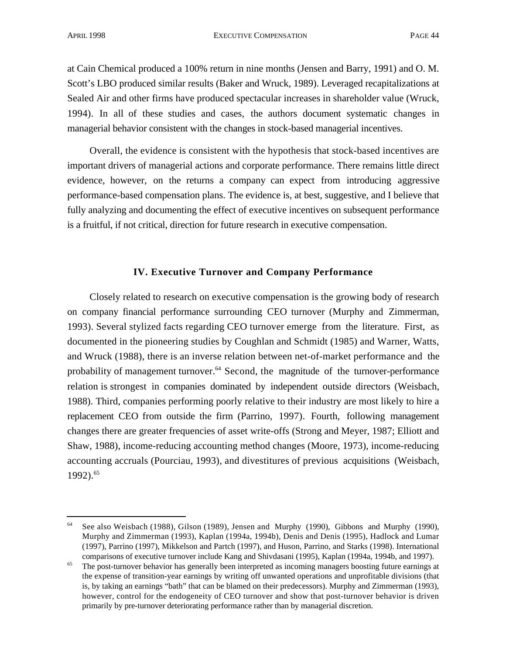at Cain Chemical produced a 100% return in nine months (Jensen and Barry, 1991) and O. M. Scott's LBO produced similar results (Baker and Wruck, 1989). Leveraged recapitalizations at Sealed Air and other firms have produced spectacular increases in shareholder value (Wruck, 1994). In all of these studies and cases, the authors document systematic changes in managerial behavior consistent with the changes in stock-based managerial incentives.

Overall, the evidence is consistent with the hypothesis that stock-based incentives are important drivers of managerial actions and corporate performance. There remains little direct evidence, however, on the returns a company can expect from introducing aggressive performance-based compensation plans. The evidence is, at best, suggestive, and I believe that fully analyzing and documenting the effect of executive incentives on subsequent performance is a fruitful, if not critical, direction for future research in executive compensation.

# **IV. Executive Turnover and Company Performance**

Closely related to research on executive compensation is the growing body of research on company financial performance surrounding CEO turnover (Murphy and Zimmerman, 1993). Several stylized facts regarding CEO turnover emerge from the literature. First, as documented in the pioneering studies by Coughlan and Schmidt (1985) and Warner, Watts, and Wruck (1988), there is an inverse relation between net-of-market performance and the probability of management turnover.<sup>64</sup> Second, the magnitude of the turnover-performance relation is strongest in companies dominated by independent outside directors (Weisbach, 1988). Third, companies performing poorly relative to their industry are most likely to hire a replacement CEO from outside the firm (Parrino, 1997). Fourth, following management changes there are greater frequencies of asset write-offs (Strong and Meyer, 1987; Elliott and Shaw, 1988), income-reducing accounting method changes (Moore, 1973), income-reducing accounting accruals (Pourciau, 1993), and divestitures of previous acquisitions (Weisbach, 1992).<sup>65</sup>

<sup>64</sup> See also Weisbach (1988), Gilson (1989), Jensen and Murphy (1990), Gibbons and Murphy (1990), Murphy and Zimmerman (1993), Kaplan (1994a, 1994b), Denis and Denis (1995), Hadlock and Lumar (1997), Parrino (1997), Mikkelson and Partch (1997), and Huson, Parrino, and Starks (1998). International comparisons of executive turnover include Kang and Shivdasani (1995), Kaplan (1994a, 1994b, and 1997).

<sup>&</sup>lt;sup>65</sup> The post-turnover behavior has generally been interpreted as incoming managers boosting future earnings at the expense of transition-year earnings by writing off unwanted operations and unprofitable divisions (that is, by taking an earnings "bath" that can be blamed on their predecessors). Murphy and Zimmerman (1993), however, control for the endogeneity of CEO turnover and show that post-turnover behavior is driven primarily by pre-turnover deteriorating performance rather than by managerial discretion.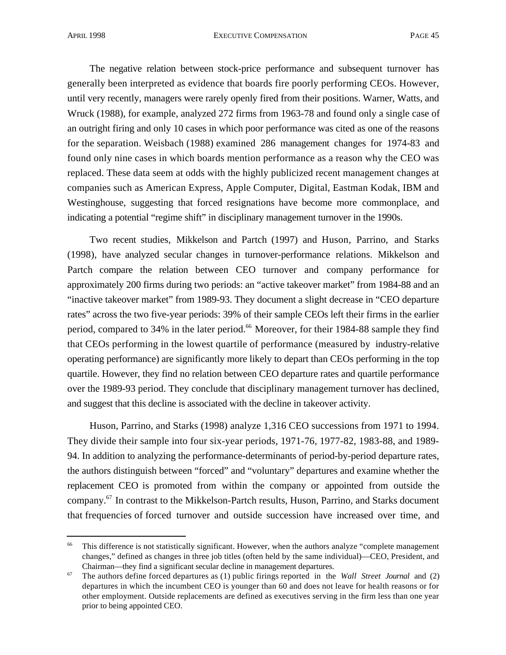The negative relation between stock-price performance and subsequent turnover has generally been interpreted as evidence that boards fire poorly performing CEOs. However, until very recently, managers were rarely openly fired from their positions. Warner, Watts, and Wruck (1988), for example, analyzed 272 firms from 1963-78 and found only a single case of an outright firing and only 10 cases in which poor performance was cited as one of the reasons for the separation. Weisbach (1988) examined 286 management changes for 1974-83 and found only nine cases in which boards mention performance as a reason why the CEO was replaced. These data seem at odds with the highly publicized recent management changes at companies such as American Express, Apple Computer, Digital, Eastman Kodak, IBM and Westinghouse, suggesting that forced resignations have become more commonplace, and indicating a potential "regime shift" in disciplinary management turnover in the 1990s.

Two recent studies, Mikkelson and Partch (1997) and Huson, Parrino, and Starks (1998), have analyzed secular changes in turnover-performance relations. Mikkelson and Partch compare the relation between CEO turnover and company performance for approximately 200 firms during two periods: an "active takeover market" from 1984-88 and an "inactive takeover market" from 1989-93. They document a slight decrease in "CEO departure rates" across the two five-year periods: 39% of their sample CEOs left their firms in the earlier period, compared to 34% in the later period.<sup>66</sup> Moreover, for their 1984-88 sample they find that CEOs performing in the lowest quartile of performance (measured by industry-relative operating performance) are significantly more likely to depart than CEOs performing in the top quartile. However, they find no relation between CEO departure rates and quartile performance over the 1989-93 period. They conclude that disciplinary management turnover has declined, and suggest that this decline is associated with the decline in takeover activity.

Huson, Parrino, and Starks (1998) analyze 1,316 CEO successions from 1971 to 1994. They divide their sample into four six-year periods, 1971-76, 1977-82, 1983-88, and 1989- 94. In addition to analyzing the performance-determinants of period-by-period departure rates, the authors distinguish between "forced" and "voluntary" departures and examine whether the replacement CEO is promoted from within the company or appointed from outside the company.<sup>67</sup> In contrast to the Mikkelson-Partch results, Huson, Parrino, and Starks document that frequencies of forced turnover and outside succession have increased over time, and

This difference is not statistically significant. However, when the authors analyze "complete management" changes," defined as changes in three job titles (often held by the same individual)—CEO, President, and Chairman—they find a significant secular decline in management departures.

<sup>67</sup> The authors define forced departures as (1) public firings reported in the *Wall Street Journal* and (2) departures in which the incumbent CEO is younger than 60 and does not leave for health reasons or for other employment. Outside replacements are defined as executives serving in the firm less than one year prior to being appointed CEO.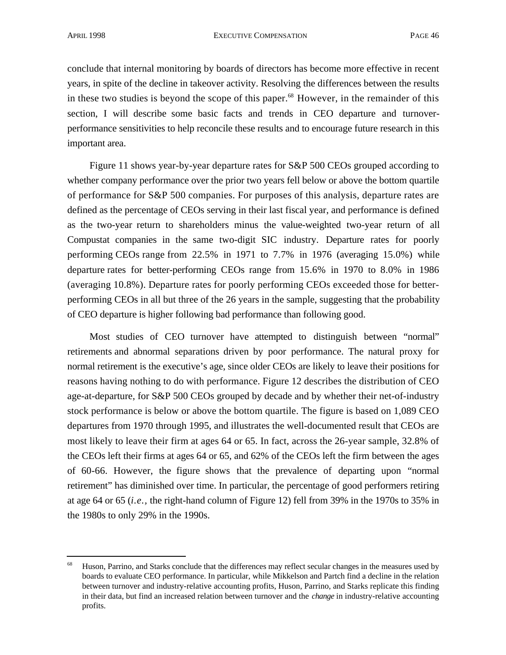conclude that internal monitoring by boards of directors has become more effective in recent years, in spite of the decline in takeover activity. Resolving the differences between the results in these two studies is beyond the scope of this paper. $68$  However, in the remainder of this section, I will describe some basic facts and trends in CEO departure and turnoverperformance sensitivities to help reconcile these results and to encourage future research in this important area.

Figure 11 shows year-by-year departure rates for S&P 500 CEOs grouped according to whether company performance over the prior two years fell below or above the bottom quartile of performance for S&P 500 companies. For purposes of this analysis, departure rates are defined as the percentage of CEOs serving in their last fiscal year, and performance is defined as the two-year return to shareholders minus the value-weighted two-year return of all Compustat companies in the same two-digit SIC industry. Departure rates for poorly performing CEOs range from 22.5% in 1971 to 7.7% in 1976 (averaging 15.0%) while departure rates for better-performing CEOs range from 15.6% in 1970 to 8.0% in 1986 (averaging 10.8%). Departure rates for poorly performing CEOs exceeded those for betterperforming CEOs in all but three of the 26 years in the sample, suggesting that the probability of CEO departure is higher following bad performance than following good.

Most studies of CEO turnover have attempted to distinguish between "normal" retirements and abnormal separations driven by poor performance. The natural proxy for normal retirement is the executive's age, since older CEOs are likely to leave their positions for reasons having nothing to do with performance. Figure 12 describes the distribution of CEO age-at-departure, for S&P 500 CEOs grouped by decade and by whether their net-of-industry stock performance is below or above the bottom quartile. The figure is based on 1,089 CEO departures from 1970 through 1995, and illustrates the well-documented result that CEOs are most likely to leave their firm at ages 64 or 65. In fact, across the 26-year sample, 32.8% of the CEOs left their firms at ages 64 or 65, and 62% of the CEOs left the firm between the ages of 60-66. However, the figure shows that the prevalence of departing upon "normal retirement" has diminished over time. In particular, the percentage of good performers retiring at age 64 or 65 (*i.e.,* the right-hand column of Figure 12) fell from 39% in the 1970s to 35% in the 1980s to only 29% in the 1990s.

<sup>&</sup>lt;sup>68</sup> Huson, Parrino, and Starks conclude that the differences may reflect secular changes in the measures used by boards to evaluate CEO performance. In particular, while Mikkelson and Partch find a decline in the relation between turnover and industry-relative accounting profits, Huson, Parrino, and Starks replicate this finding in their data, but find an increased relation between turnover and the *change* in industry-relative accounting profits.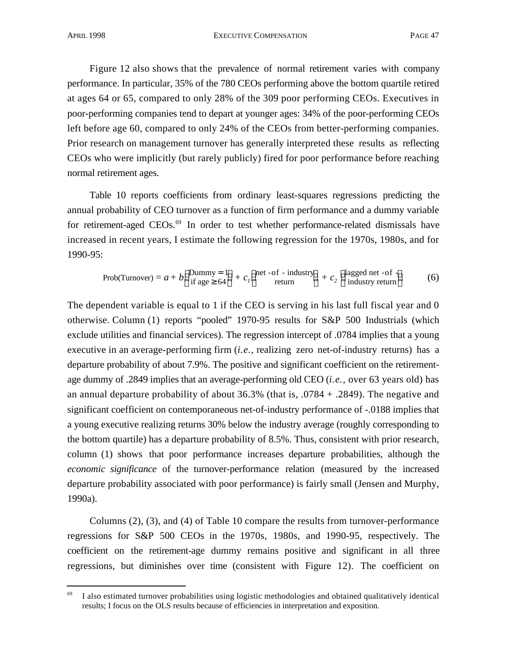Figure 12 also shows that the prevalence of normal retirement varies with company performance. In particular, 35% of the 780 CEOs performing above the bottom quartile retired at ages 64 or 65, compared to only 28% of the 309 poor performing CEOs. Executives in poor-performing companies tend to depart at younger ages: 34% of the poor-performing CEOs left before age 60, compared to only 24% of the CEOs from better-performing companies. Prior research on management turnover has generally interpreted these results as reflecting CEOs who were implicitly (but rarely publicly) fired for poor performance before reaching normal retirement ages.

Table 10 reports coefficients from ordinary least-squares regressions predicting the annual probability of CEO turnover as a function of firm performance and a dummy variable for retirement-aged CEOs.<sup>69</sup> In order to test whether performance-related dismissals have increased in recent years, I estimate the following regression for the 1970s, 1980s, and for 1990-95:

$$
Prob(Turnover) = a + b \quad \begin{array}{l} \text{Dummy} = 1 \\ \text{if age} \quad 64 \end{array} + c_1 \quad \begin{array}{l} \text{net - of - industry} \\ \text{return} \end{array} + c_2 \quad \begin{array}{l} \text{lagged net - of -} \\ \text{industry return} \end{array} \tag{6}
$$

The dependent variable is equal to 1 if the CEO is serving in his last full fiscal year and 0 otherwise. Column (1) reports "pooled" 1970-95 results for S&P 500 Industrials (which exclude utilities and financial services). The regression intercept of .0784 implies that a young executive in an average-performing firm (*i.e.*, realizing zero net-of-industry returns) has a departure probability of about 7.9%. The positive and significant coefficient on the retirementage dummy of .2849 implies that an average-performing old CEO (*i.e.,* over 63 years old) has an annual departure probability of about 36.3% (that is, .0784 + .2849). The negative and significant coefficient on contemporaneous net-of-industry performance of -.0188 implies that a young executive realizing returns 30% below the industry average (roughly corresponding to the bottom quartile) has a departure probability of 8.5%. Thus, consistent with prior research, column (1) shows that poor performance increases departure probabilities, although the *economic significance* of the turnover-performance relation (measured by the increased departure probability associated with poor performance) is fairly small (Jensen and Murphy, 1990a).

Columns (2), (3), and (4) of Table 10 compare the results from turnover-performance regressions for S&P 500 CEOs in the 1970s, 1980s, and 1990-95, respectively. The coefficient on the retirement-age dummy remains positive and significant in all three regressions, but diminishes over time (consistent with Figure 12). The coefficient on

<sup>69</sup> I also estimated turnover probabilities using logistic methodologies and obtained qualitatively identical results; I focus on the OLS results because of efficiencies in interpretation and exposition.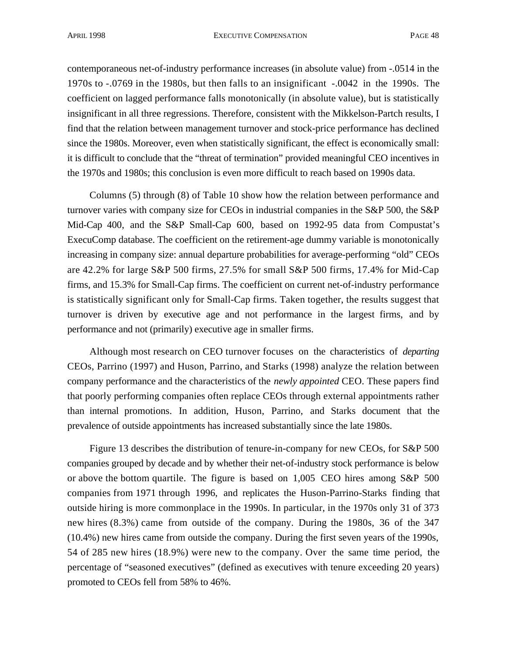contemporaneous net-of-industry performance increases (in absolute value) from -.0514 in the 1970s to -.0769 in the 1980s, but then falls to an insignificant -.0042 in the 1990s. The coefficient on lagged performance falls monotonically (in absolute value), but is statistically insignificant in all three regressions. Therefore, consistent with the Mikkelson-Partch results, I find that the relation between management turnover and stock-price performance has declined since the 1980s. Moreover, even when statistically significant, the effect is economically small: it is difficult to conclude that the "threat of termination" provided meaningful CEO incentives in the 1970s and 1980s; this conclusion is even more difficult to reach based on 1990s data.

Columns (5) through (8) of Table 10 show how the relation between performance and turnover varies with company size for CEOs in industrial companies in the S&P 500, the S&P Mid-Cap 400, and the S&P Small-Cap 600, based on 1992-95 data from Compustat's ExecuComp database. The coefficient on the retirement-age dummy variable is monotonically increasing in company size: annual departure probabilities for average-performing "old" CEOs are 42.2% for large S&P 500 firms, 27.5% for small S&P 500 firms, 17.4% for Mid-Cap firms, and 15.3% for Small-Cap firms. The coefficient on current net-of-industry performance is statistically significant only for Small-Cap firms. Taken together, the results suggest that turnover is driven by executive age and not performance in the largest firms, and by performance and not (primarily) executive age in smaller firms.

Although most research on CEO turnover focuses on the characteristics of *departing* CEOs, Parrino (1997) and Huson, Parrino, and Starks (1998) analyze the relation between company performance and the characteristics of the *newly appointed* CEO. These papers find that poorly performing companies often replace CEOs through external appointments rather than internal promotions. In addition, Huson, Parrino, and Starks document that the prevalence of outside appointments has increased substantially since the late 1980s.

Figure 13 describes the distribution of tenure-in-company for new CEOs, for S&P 500 companies grouped by decade and by whether their net-of-industry stock performance is below or above the bottom quartile. The figure is based on 1,005 CEO hires among S&P 500 companies from 1971 through 1996, and replicates the Huson-Parrino-Starks finding that outside hiring is more commonplace in the 1990s. In particular, in the 1970s only 31 of 373 new hires (8.3%) came from outside of the company. During the 1980s, 36 of the 347 (10.4%) new hires came from outside the company. During the first seven years of the 1990s, 54 of 285 new hires (18.9%) were new to the company. Over the same time period, the percentage of "seasoned executives" (defined as executives with tenure exceeding 20 years) promoted to CEOs fell from 58% to 46%.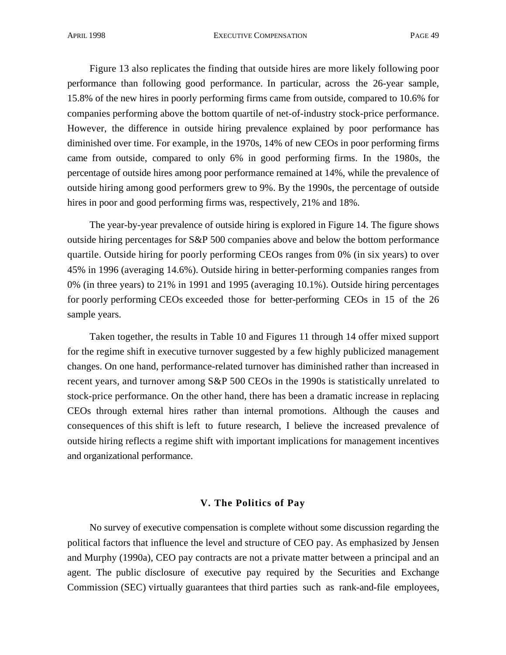Figure 13 also replicates the finding that outside hires are more likely following poor performance than following good performance. In particular, across the 26-year sample, 15.8% of the new hires in poorly performing firms came from outside, compared to 10.6% for companies performing above the bottom quartile of net-of-industry stock-price performance. However, the difference in outside hiring prevalence explained by poor performance has diminished over time. For example, in the 1970s, 14% of new CEOs in poor performing firms came from outside, compared to only 6% in good performing firms. In the 1980s, the percentage of outside hires among poor performance remained at 14%, while the prevalence of outside hiring among good performers grew to 9%. By the 1990s, the percentage of outside hires in poor and good performing firms was, respectively, 21% and 18%.

The year-by-year prevalence of outside hiring is explored in Figure 14. The figure shows outside hiring percentages for S&P 500 companies above and below the bottom performance quartile. Outside hiring for poorly performing CEOs ranges from 0% (in six years) to over 45% in 1996 (averaging 14.6%). Outside hiring in better-performing companies ranges from 0% (in three years) to 21% in 1991 and 1995 (averaging 10.1%). Outside hiring percentages for poorly performing CEOs exceeded those for better-performing CEOs in 15 of the 26 sample years.

Taken together, the results in Table 10 and Figures 11 through 14 offer mixed support for the regime shift in executive turnover suggested by a few highly publicized management changes. On one hand, performance-related turnover has diminished rather than increased in recent years, and turnover among S&P 500 CEOs in the 1990s is statistically unrelated to stock-price performance. On the other hand, there has been a dramatic increase in replacing CEOs through external hires rather than internal promotions. Although the causes and consequences of this shift is left to future research, I believe the increased prevalence of outside hiring reflects a regime shift with important implications for management incentives and organizational performance.

#### **V. The Politics of Pay**

No survey of executive compensation is complete without some discussion regarding the political factors that influence the level and structure of CEO pay. As emphasized by Jensen and Murphy (1990a), CEO pay contracts are not a private matter between a principal and an agent. The public disclosure of executive pay required by the Securities and Exchange Commission (SEC) virtually guarantees that third parties such as rank-and-file employees,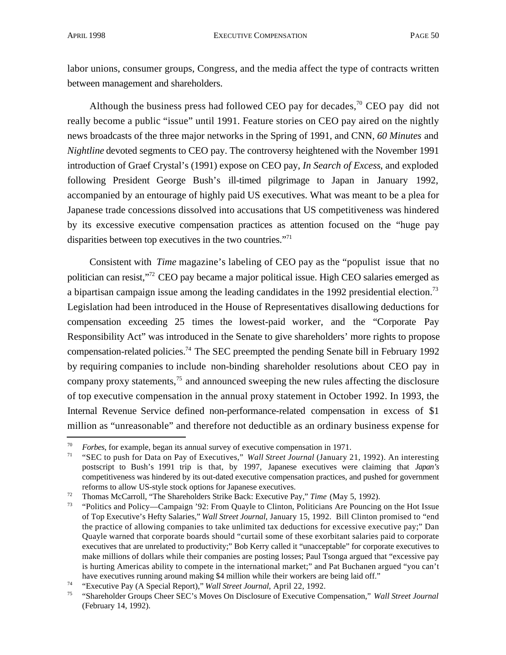labor unions, consumer groups, Congress, and the media affect the type of contracts written between management and shareholders.

Although the business press had followed CEO pay for decades,<sup>70</sup> CEO pay did not really become a public "issue" until 1991. Feature stories on CEO pay aired on the nightly news broadcasts of the three major networks in the Spring of 1991, and CNN, *60 Minutes* and *Nightline* devoted segments to CEO pay. The controversy heightened with the November 1991 introduction of Graef Crystal's (1991) expose on CEO pay, *In Search of Excess*, and exploded following President George Bush's ill-timed pilgrimage to Japan in January 1992, accompanied by an entourage of highly paid US executives. What was meant to be a plea for Japanese trade concessions dissolved into accusations that US competitiveness was hindered by its excessive executive compensation practices as attention focused on the "huge pay disparities between top executives in the two countries."<sup>71</sup>

Consistent with *Time* magazine's labeling of CEO pay as the "populist issue that no politician can resist,"<sup>72</sup> CEO pay became a major political issue. High CEO salaries emerged as a bipartisan campaign issue among the leading candidates in the 1992 presidential election.<sup>73</sup> Legislation had been introduced in the House of Representatives disallowing deductions for compensation exceeding 25 times the lowest-paid worker, and the "Corporate Pay Responsibility Act" was introduced in the Senate to give shareholders' more rights to propose compensation-related policies.<sup>74</sup> The SEC preempted the pending Senate bill in February 1992 by requiring companies to include non-binding shareholder resolutions about CEO pay in company proxy statements, $7<sup>5</sup>$  and announced sweeping the new rules affecting the disclosure of top executive compensation in the annual proxy statement in October 1992. In 1993, the Internal Revenue Service defined non-performance-related compensation in excess of \$1 million as "unreasonable" and therefore not deductible as an ordinary business expense for

<sup>&</sup>lt;sup>70</sup> *Forbes*, for example, began its annual survey of executive compensation in 1971.<br><sup>71</sup> **SEC to push for Data on Pay of Executives** *Nall Street Journal* (January 2)

<sup>71</sup> "SEC to push for Data on Pay of Executives," *Wall Street Journal* (January 21, 1992). An interesting postscript to Bush's 1991 trip is that, by 1997, Japanese executives were claiming that *Japan's* competitiveness was hindered by its out-dated executive compensation practices, and pushed for government reforms to allow US-style stock options for Japanese executives.

<sup>72</sup> Thomas McCarroll, "The Shareholders Strike Back: Executive Pay," *Time* (May 5, 1992).

<sup>73</sup> "Politics and Policy—Campaign '92: From Quayle to Clinton, Politicians Are Pouncing on the Hot Issue of Top Executive's Hefty Salaries," *Wall Street Journal*, January 15, 1992. Bill Clinton promised to "end the practice of allowing companies to take unlimited tax deductions for excessive executive pay;" Dan Quayle warned that corporate boards should "curtail some of these exorbitant salaries paid to corporate executives that are unrelated to productivity;" Bob Kerry called it "unacceptable" for corporate executives to make millions of dollars while their companies are posting losses; Paul Tsonga argued that "excessive pay is hurting Americas ability to compete in the international market;" and Pat Buchanen argued "you can't have executives running around making \$4 million while their workers are being laid off."

<sup>74</sup> "Executive Pay (A Special Report)," *Wall Street Journal*, April 22, 1992.

<sup>75</sup> "Shareholder Groups Cheer SEC's Moves On Disclosure of Executive Compensation," *Wall Street Journal* (February 14, 1992).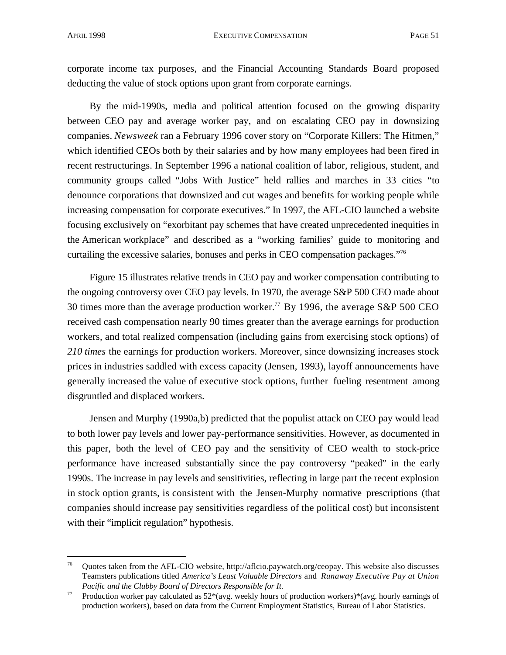corporate income tax purposes, and the Financial Accounting Standards Board proposed deducting the value of stock options upon grant from corporate earnings.

By the mid-1990s, media and political attention focused on the growing disparity between CEO pay and average worker pay, and on escalating CEO pay in downsizing companies. *Newsweek* ran a February 1996 cover story on "Corporate Killers: The Hitmen," which identified CEOs both by their salaries and by how many employees had been fired in recent restructurings. In September 1996 a national coalition of labor, religious, student, and community groups called "Jobs With Justice" held rallies and marches in 33 cities "to denounce corporations that downsized and cut wages and benefits for working people while increasing compensation for corporate executives." In 1997, the AFL-CIO launched a website focusing exclusively on "exorbitant pay schemes that have created unprecedented inequities in the American workplace" and described as a "working families' guide to monitoring and curtailing the excessive salaries, bonuses and perks in CEO compensation packages."<sup>76</sup>

Figure 15 illustrates relative trends in CEO pay and worker compensation contributing to the ongoing controversy over CEO pay levels. In 1970, the average S&P 500 CEO made about 30 times more than the average production worker.<sup>77</sup> By 1996, the average S&P 500 CEO received cash compensation nearly 90 times greater than the average earnings for production workers, and total realized compensation (including gains from exercising stock options) of *210 times* the earnings for production workers. Moreover, since downsizing increases stock prices in industries saddled with excess capacity (Jensen, 1993), layoff announcements have generally increased the value of executive stock options, further fueling resentment among disgruntled and displaced workers.

Jensen and Murphy (1990a,b) predicted that the populist attack on CEO pay would lead to both lower pay levels and lower pay-performance sensitivities. However, as documented in this paper, both the level of CEO pay and the sensitivity of CEO wealth to stock-price performance have increased substantially since the pay controversy "peaked" in the early 1990s. The increase in pay levels and sensitivities, reflecting in large part the recent explosion in stock option grants, is consistent with the Jensen-Murphy normative prescriptions (that companies should increase pay sensitivities regardless of the political cost) but inconsistent with their "implicit regulation" hypothesis.

<sup>76</sup> Quotes taken from the AFL-CIO website, http://aflcio.paywatch.org/ceopay. This website also discusses Teamsters publications titled *America's Least Valuable Directors* and *Runaway Executive Pay at Union Pacific and the Clubby Board of Directors Responsible for It*.

<sup>&</sup>lt;sup>77</sup> Production worker pay calculated as  $52*(avg$ . weekly hours of production workers)\*(avg. hourly earnings of production workers), based on data from the Current Employment Statistics, Bureau of Labor Statistics.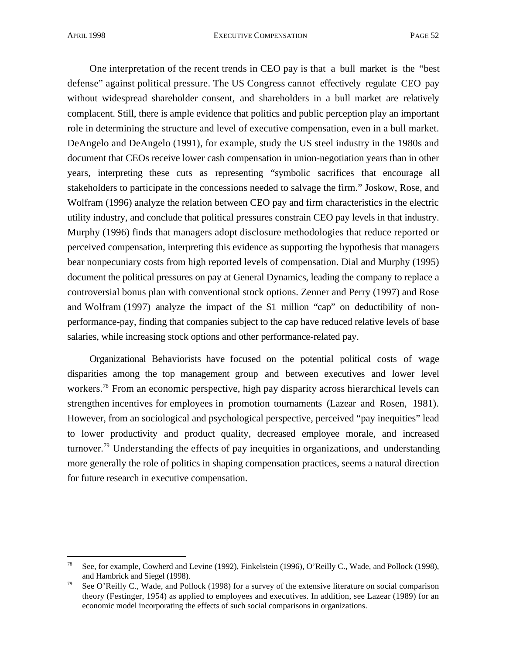One interpretation of the recent trends in CEO pay is that a bull market is the "best defense" against political pressure. The US Congress cannot effectively regulate CEO pay without widespread shareholder consent, and shareholders in a bull market are relatively complacent. Still, there is ample evidence that politics and public perception play an important role in determining the structure and level of executive compensation, even in a bull market. DeAngelo and DeAngelo (1991), for example, study the US steel industry in the 1980s and document that CEOs receive lower cash compensation in union-negotiation years than in other years, interpreting these cuts as representing "symbolic sacrifices that encourage all stakeholders to participate in the concessions needed to salvage the firm." Joskow, Rose, and Wolfram (1996) analyze the relation between CEO pay and firm characteristics in the electric utility industry, and conclude that political pressures constrain CEO pay levels in that industry. Murphy (1996) finds that managers adopt disclosure methodologies that reduce reported or perceived compensation, interpreting this evidence as supporting the hypothesis that managers bear nonpecuniary costs from high reported levels of compensation. Dial and Murphy (1995) document the political pressures on pay at General Dynamics, leading the company to replace a controversial bonus plan with conventional stock options. Zenner and Perry (1997) and Rose and Wolfram (1997) analyze the impact of the \$1 million "cap" on deductibility of nonperformance-pay, finding that companies subject to the cap have reduced relative levels of base salaries, while increasing stock options and other performance-related pay.

Organizational Behaviorists have focused on the potential political costs of wage disparities among the top management group and between executives and lower level workers.<sup>78</sup> From an economic perspective, high pay disparity across hierarchical levels can strengthen incentives for employees in promotion tournaments (Lazear and Rosen, 1981). However, from an sociological and psychological perspective, perceived "pay inequities" lead to lower productivity and product quality, decreased employee morale, and increased turnover.<sup>79</sup> Understanding the effects of pay inequities in organizations, and understanding more generally the role of politics in shaping compensation practices, seems a natural direction for future research in executive compensation.

<sup>&</sup>lt;sup>78</sup> See, for example, Cowherd and Levine (1992), Finkelstein (1996), O'Reilly C., Wade, and Pollock (1998), and Hambrick and Siegel (1998).

<sup>&</sup>lt;sup>79</sup> See O'Reilly C., Wade, and Pollock (1998) for a survey of the extensive literature on social comparison theory (Festinger, 1954) as applied to employees and executives. In addition, see Lazear (1989) for an economic model incorporating the effects of such social comparisons in organizations.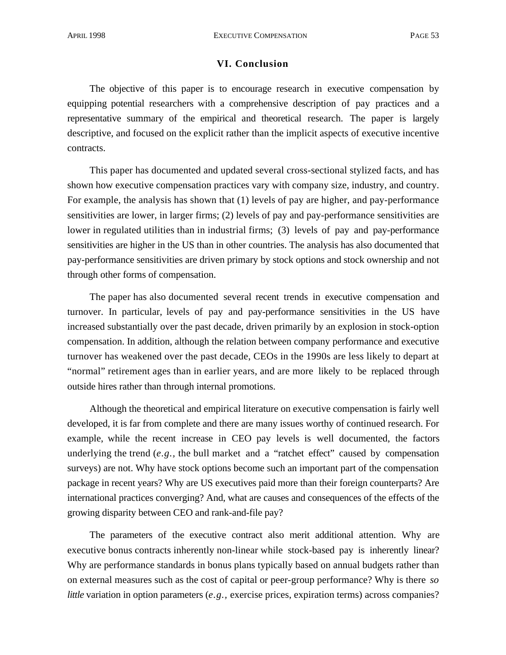#### **VI. Conclusion**

The objective of this paper is to encourage research in executive compensation by equipping potential researchers with a comprehensive description of pay practices and a representative summary of the empirical and theoretical research. The paper is largely descriptive, and focused on the explicit rather than the implicit aspects of executive incentive contracts.

This paper has documented and updated several cross-sectional stylized facts, and has shown how executive compensation practices vary with company size, industry, and country. For example, the analysis has shown that (1) levels of pay are higher, and pay-performance sensitivities are lower, in larger firms; (2) levels of pay and pay-performance sensitivities are lower in regulated utilities than in industrial firms; (3) levels of pay and pay-performance sensitivities are higher in the US than in other countries. The analysis has also documented that pay-performance sensitivities are driven primary by stock options and stock ownership and not through other forms of compensation.

The paper has also documented several recent trends in executive compensation and turnover. In particular, levels of pay and pay-performance sensitivities in the US have increased substantially over the past decade, driven primarily by an explosion in stock-option compensation. In addition, although the relation between company performance and executive turnover has weakened over the past decade, CEOs in the 1990s are less likely to depart at "normal" retirement ages than in earlier years, and are more likely to be replaced through outside hires rather than through internal promotions.

Although the theoretical and empirical literature on executive compensation is fairly well developed, it is far from complete and there are many issues worthy of continued research. For example, while the recent increase in CEO pay levels is well documented, the factors underlying the trend (*e.g.,* the bull market and a "ratchet effect" caused by compensation surveys) are not. Why have stock options become such an important part of the compensation package in recent years? Why are US executives paid more than their foreign counterparts? Are international practices converging? And, what are causes and consequences of the effects of the growing disparity between CEO and rank-and-file pay?

The parameters of the executive contract also merit additional attention. Why are executive bonus contracts inherently non-linear while stock-based pay is inherently linear? Why are performance standards in bonus plans typically based on annual budgets rather than on external measures such as the cost of capital or peer-group performance? Why is there *so little* variation in option parameters (*e.g.,* exercise prices, expiration terms) across companies?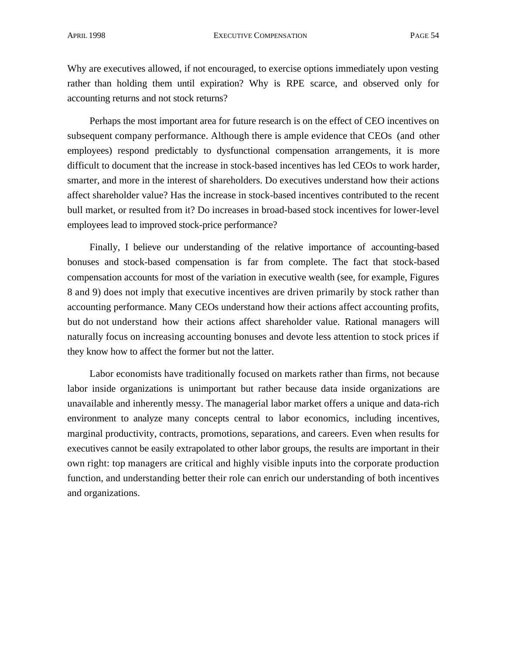Why are executives allowed, if not encouraged, to exercise options immediately upon vesting rather than holding them until expiration? Why is RPE scarce, and observed only for accounting returns and not stock returns?

Perhaps the most important area for future research is on the effect of CEO incentives on subsequent company performance. Although there is ample evidence that CEOs (and other employees) respond predictably to dysfunctional compensation arrangements, it is more difficult to document that the increase in stock-based incentives has led CEOs to work harder, smarter, and more in the interest of shareholders. Do executives understand how their actions affect shareholder value? Has the increase in stock-based incentives contributed to the recent bull market, or resulted from it? Do increases in broad-based stock incentives for lower-level employees lead to improved stock-price performance?

Finally, I believe our understanding of the relative importance of accounting-based bonuses and stock-based compensation is far from complete. The fact that stock-based compensation accounts for most of the variation in executive wealth (see, for example, Figures 8 and 9) does not imply that executive incentives are driven primarily by stock rather than accounting performance. Many CEOs understand how their actions affect accounting profits, but do not understand how their actions affect shareholder value. Rational managers will naturally focus on increasing accounting bonuses and devote less attention to stock prices if they know how to affect the former but not the latter.

Labor economists have traditionally focused on markets rather than firms, not because labor inside organizations is unimportant but rather because data inside organizations are unavailable and inherently messy. The managerial labor market offers a unique and data-rich environment to analyze many concepts central to labor economics, including incentives, marginal productivity, contracts, promotions, separations, and careers. Even when results for executives cannot be easily extrapolated to other labor groups, the results are important in their own right: top managers are critical and highly visible inputs into the corporate production function, and understanding better their role can enrich our understanding of both incentives and organizations.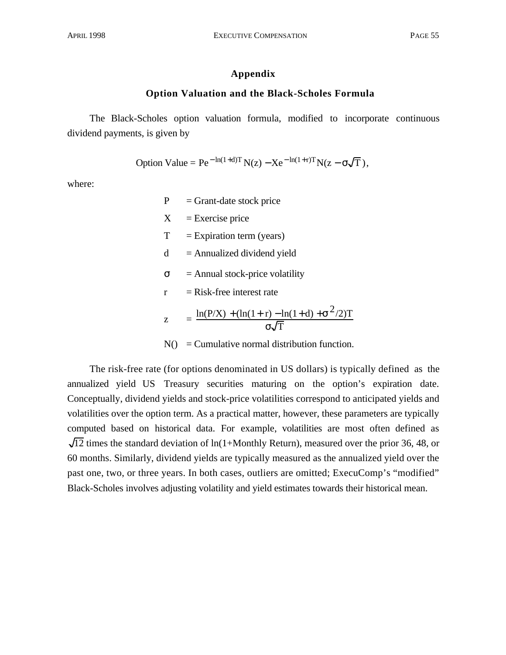#### **Appendix**

#### **Option Valuation and the Black-Scholes Formula**

The Black-Scholes option valuation formula, modified to incorporate continuous dividend payments, is given by

Option Value = Pe<sup>-
$$
ln(1+d)T
$$</sup> N(z) – Xe<sup>- $ln(1+r)T$</sup>  N(z –  $\sqrt{T}$ ),

where:

 $X =$ Exercise price

 $T =$  Expiration term (years)

$$
d =
$$
Annualized dividend yield

= Annual stock-price volatility

 $r =$ Risk-free interest rate

$$
z = \frac{\ln(P/X) + (\ln(1+r) - \ln(1+d) + \frac{2}{2})T}{\sqrt{T}}
$$

 $N() = Cumulative normal distribution function.$ 

The risk-free rate (for options denominated in US dollars) is typically defined as the annualized yield US Treasury securities maturing on the option's expiration date. Conceptually, dividend yields and stock-price volatilities correspond to anticipated yields and volatilities over the option term. As a practical matter, however, these parameters are typically computed based on historical data. For example, volatilities are most often defined as  $\sqrt{12}$  times the standard deviation of ln(1+Monthly Return), measured over the prior 36, 48, or 60 months. Similarly, dividend yields are typically measured as the annualized yield over the past one, two, or three years. In both cases, outliers are omitted; ExecuComp's "modified" Black-Scholes involves adjusting volatility and yield estimates towards their historical mean.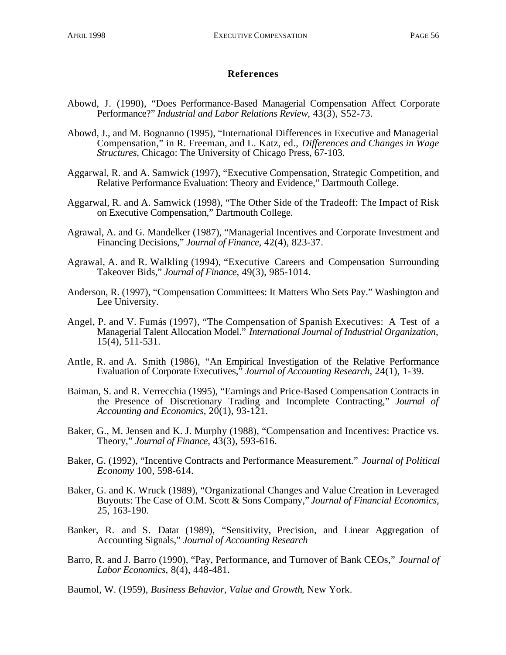# **References**

- Abowd, J. (1990), "Does Performance-Based Managerial Compensation Affect Corporate Performance?" *Industrial and Labor Relations Review*, 43(3), S52-73.
- Abowd, J., and M. Bognanno (1995), "International Differences in Executive and Managerial Compensation," in R. Freeman, and L. Katz, ed., *Differences and Changes in Wage Structures*, Chicago: The University of Chicago Press, 67-103.
- Aggarwal, R. and A. Samwick (1997), "Executive Compensation, Strategic Competition, and Relative Performance Evaluation: Theory and Evidence," Dartmouth College.
- Aggarwal, R. and A. Samwick (1998), "The Other Side of the Tradeoff: The Impact of Risk on Executive Compensation," Dartmouth College.
- Agrawal, A. and G. Mandelker (1987), "Managerial Incentives and Corporate Investment and Financing Decisions," *Journal of Finance*, 42(4), 823-37.
- Agrawal, A. and R. Walkling (1994), "Executive Careers and Compensation Surrounding Takeover Bids," *Journal of Finance*, 49(3), 985-1014.
- Anderson, R. (1997), "Compensation Committees: It Matters Who Sets Pay." Washington and Lee University.
- Angel, P. and V. Fumás (1997), "The Compensation of Spanish Executives: A Test of a Managerial Talent Allocation Model." *International Journal of Industrial Organization*, 15(4), 511-531.
- Antle, R. and A. Smith (1986), "An Empirical Investigation of the Relative Performance Evaluation of Corporate Executives," *Journal of Accounting Research*, 24(1), 1-39.
- Baiman, S. and R. Verrecchia (1995), "Earnings and Price-Based Compensation Contracts in the Presence of Discretionary Trading and Incomplete Contracting," *Journal of Accounting and Economics*, 20(1), 93-121.
- Baker, G., M. Jensen and K. J. Murphy (1988), "Compensation and Incentives: Practice vs. Theory," *Journal of Finance*, 43(3), 593-616.
- Baker, G. (1992), "Incentive Contracts and Performance Measurement." *Journal of Political Economy* 100, 598-614.
- Baker, G. and K. Wruck (1989), "Organizational Changes and Value Creation in Leveraged Buyouts: The Case of O.M. Scott & Sons Company," *Journal of Financial Economics,* 25, 163-190.
- Banker, R. and S. Datar (1989), "Sensitivity, Precision, and Linear Aggregation of Accounting Signals," *Journal of Accounting Research*
- Barro, R. and J. Barro (1990), "Pay, Performance, and Turnover of Bank CEOs," *Journal of Labor Economics*, 8(4), 448-481.

Baumol, W. (1959), *Business Behavior, Value and Growth*, New York.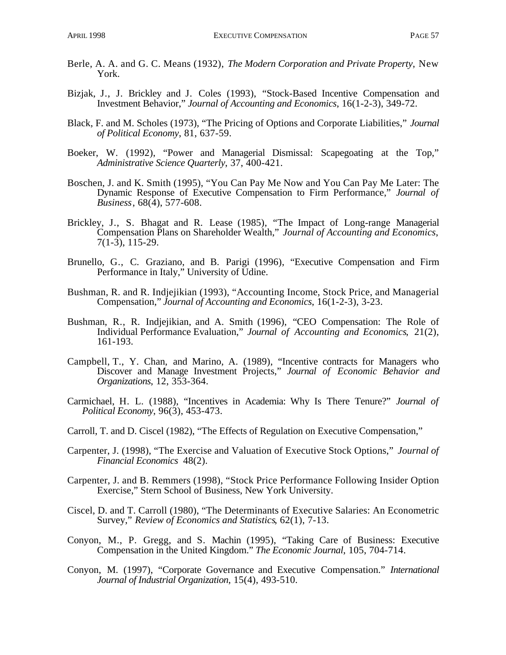- Berle, A. A. and G. C. Means (1932), *The Modern Corporation and Private Property*, New York.
- Bizjak, J., J. Brickley and J. Coles (1993), "Stock-Based Incentive Compensation and Investment Behavior," *Journal of Accounting and Economics*, 16(1-2-3), 349-72.
- Black, F. and M. Scholes (1973), "The Pricing of Options and Corporate Liabilities," *Journal of Political Economy*, 81, 637-59.
- Boeker, W. (1992), "Power and Managerial Dismissal: Scapegoating at the Top," *Administrative Science Quarterly*, 37, 400-421.
- Boschen, J. and K. Smith (1995), "You Can Pay Me Now and You Can Pay Me Later: The Dynamic Response of Executive Compensation to Firm Performance," *Journal of Business*, 68(4), 577-608.
- Brickley, J., S. Bhagat and R. Lease (1985), "The Impact of Long-range Managerial Compensation Plans on Shareholder Wealth," *Journal of Accounting and Economics*, 7(1-3), 115-29.
- Brunello, G., C. Graziano, and B. Parigi (1996), "Executive Compensation and Firm Performance in Italy," University of Udine.
- Bushman, R. and R. Indjejikian (1993), "Accounting Income, Stock Price, and Managerial Compensation," *Journal of Accounting and Economics*, 16(1-2-3), 3-23.
- Bushman, R., R. Indjejikian, and A. Smith (1996), "CEO Compensation: The Role of Individual Performance Evaluation," *Journal of Accounting and Economics*, 21(2), 161-193.
- Campbell, T., Y. Chan, and Marino, A. (1989), "Incentive contracts for Managers who Discover and Manage Investment Projects," *Journal of Economic Behavior and Organizations*, 12, 353-364.
- Carmichael, H. L. (1988), "Incentives in Academia: Why Is There Tenure?" *Journal of Political Economy*, 96(3), 453-473.
- Carroll, T. and D. Ciscel (1982), "The Effects of Regulation on Executive Compensation,"
- Carpenter, J. (1998), "The Exercise and Valuation of Executive Stock Options," *Journal of Financial Economics* 48(2).
- Carpenter, J. and B. Remmers (1998), "Stock Price Performance Following Insider Option Exercise," Stern School of Business, New York University.
- Ciscel, D. and T. Carroll (1980), "The Determinants of Executive Salaries: An Econometric Survey," *Review of Economics and Statistics*, 62(1), 7-13.
- Conyon, M., P. Gregg, and S. Machin (1995), "Taking Care of Business: Executive Compensation in the United Kingdom." *The Economic Journal*, 105, 704-714.
- Conyon, M. (1997), "Corporate Governance and Executive Compensation." *International Journal of Industrial Organization*, 15(4), 493-510.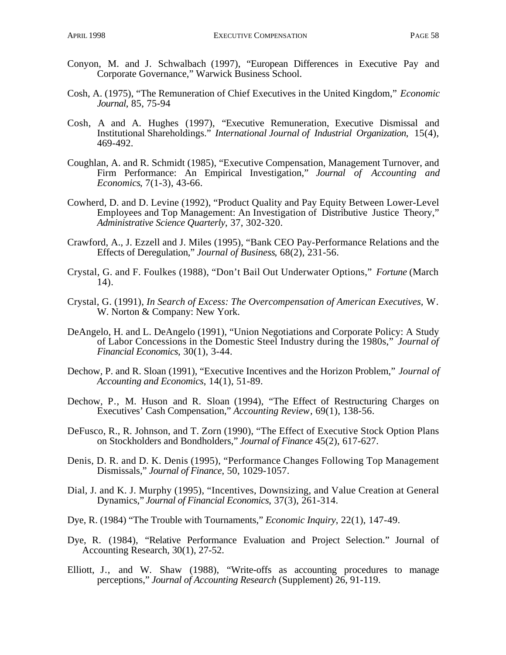- Conyon, M. and J. Schwalbach (1997), "European Differences in Executive Pay and Corporate Governance," Warwick Business School.
- Cosh, A. (1975), "The Remuneration of Chief Executives in the United Kingdom," *Economic Journal*, 85, 75-94
- Cosh, A and A. Hughes (1997), "Executive Remuneration, Executive Dismissal and Institutional Shareholdings." *International Journal of Industrial Organization*, 15(4), 469-492.
- Coughlan, A. and R. Schmidt (1985), "Executive Compensation, Management Turnover, and Firm Performance: An Empirical Investigation," *Journal of Accounting and Economics*, 7(1-3), 43-66.
- Cowherd, D. and D. Levine (1992), "Product Quality and Pay Equity Between Lower-Level Employees and Top Management: An Investigation of Distributive Justice Theory," *Administrative Science Quarterly*, 37, 302-320.
- Crawford, A., J. Ezzell and J. Miles (1995), "Bank CEO Pay-Performance Relations and the Effects of Deregulation," *Journal of Business*, 68(2), 231-56.
- Crystal, G. and F. Foulkes (1988), "Don't Bail Out Underwater Options," *Fortune* (March 14).
- Crystal, G. (1991), *In Search of Excess: The Overcompensation of American Executives,* W. W. Norton & Company: New York.
- DeAngelo, H. and L. DeAngelo (1991), "Union Negotiations and Corporate Policy: A Study of Labor Concessions in the Domestic Steel Industry during the 1980s," *Journal of Financial Economics*, 30(1), 3-44.
- Dechow, P. and R. Sloan (1991), "Executive Incentives and the Horizon Problem," *Journal of Accounting and Economics*, 14(1), 51-89.
- Dechow, P., M. Huson and R. Sloan (1994), "The Effect of Restructuring Charges on Executives' Cash Compensation," *Accounting Review*, 69(1), 138-56.
- DeFusco, R., R. Johnson, and T. Zorn (1990), "The Effect of Executive Stock Option Plans on Stockholders and Bondholders," *Journal of Finance* 45(2), 617-627.
- Denis, D. R. and D. K. Denis (1995), "Performance Changes Following Top Management Dismissals," *Journal of Finance*, 50, 1029-1057.
- Dial, J. and K. J. Murphy (1995), "Incentives, Downsizing, and Value Creation at General Dynamics," *Journal of Financial Economics*, 37(3), 261-314.
- Dye, R. (1984) "The Trouble with Tournaments," *Economic Inquiry*, 22(1), 147-49.
- Dye, R. (1984), "Relative Performance Evaluation and Project Selection." Journal of Accounting Research, 30(1), 27-52.
- Elliott, J., and W. Shaw (1988), "Write-offs as accounting procedures to manage perceptions," *Journal of Accounting Research* (Supplement) 26, 91-119.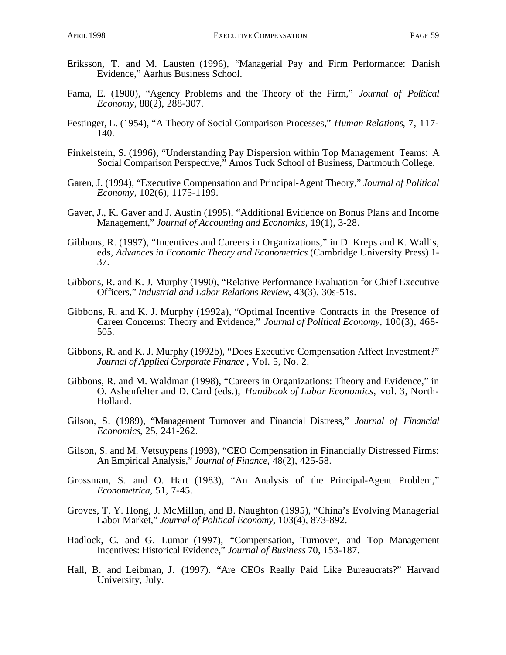- Eriksson, T. and M. Lausten (1996), "Managerial Pay and Firm Performance: Danish Evidence," Aarhus Business School.
- Fama, E. (1980), "Agency Problems and the Theory of the Firm," *Journal of Political Economy*, 88(2), 288-307.
- Festinger, L. (1954), "A Theory of Social Comparison Processes," *Human Relations*, 7, 117- 140.
- Finkelstein, S. (1996), "Understanding Pay Dispersion within Top Management Teams: A Social Comparison Perspective," Amos Tuck School of Business, Dartmouth College.
- Garen, J. (1994), "Executive Compensation and Principal-Agent Theory," *Journal of Political Economy*, 102(6), 1175-1199.
- Gaver, J., K. Gaver and J. Austin (1995), "Additional Evidence on Bonus Plans and Income Management," *Journal of Accounting and Economics*, 19(1), 3-28.
- Gibbons, R. (1997), "Incentives and Careers in Organizations," in D. Kreps and K. Wallis, eds, *Advances in Economic Theory and Econometrics* (Cambridge University Press) 1- 37.
- Gibbons, R. and K. J. Murphy (1990), "Relative Performance Evaluation for Chief Executive Officers," *Industrial and Labor Relations Review*, 43(3), 30s-51s.
- Gibbons, R. and K. J. Murphy (1992a), "Optimal Incentive Contracts in the Presence of Career Concerns: Theory and Evidence," *Journal of Political Economy*, 100(3), 468- 505.
- Gibbons, R. and K. J. Murphy (1992b), "Does Executive Compensation Affect Investment?" *Journal of Applied Corporate Finance* , Vol. 5, No. 2.
- Gibbons, R. and M. Waldman (1998), "Careers in Organizations: Theory and Evidence," in O. Ashenfelter and D. Card (eds.), *Handbook of Labor Economics,* vol. 3, North-Holland.
- Gilson, S. (1989), "Management Turnover and Financial Distress," *Journal of Financial Economics*, 25, 241-262.
- Gilson, S. and M. Vetsuypens (1993), "CEO Compensation in Financially Distressed Firms: An Empirical Analysis," *Journal of Finance*, 48(2), 425-58.
- Grossman, S. and O. Hart (1983), "An Analysis of the Principal-Agent Problem," *Econometrica*, 51, 7-45.
- Groves, T. Y. Hong, J. McMillan, and B. Naughton (1995), "China's Evolving Managerial Labor Market," *Journal of Political Economy*, 103(4), 873-892.
- Hadlock, C. and G. Lumar (1997), "Compensation, Turnover, and Top Management Incentives: Historical Evidence," *Journal of Business* 70, 153-187.
- Hall, B. and Leibman, J. (1997). "Are CEOs Really Paid Like Bureaucrats?" Harvard University, July.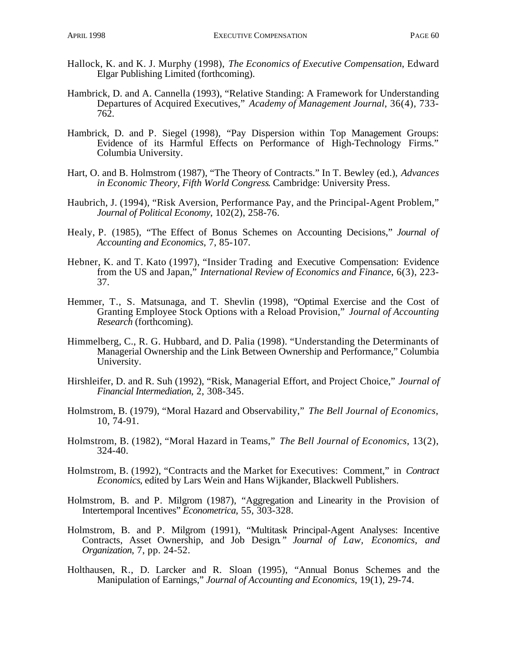- Hallock, K. and K. J. Murphy (1998), *The Economics of Executive Compensation*, Edward Elgar Publishing Limited (forthcoming).
- Hambrick, D. and A. Cannella (1993), "Relative Standing: A Framework for Understanding Departures of Acquired Executives," *Academy of Management Journal*, 36(4), 733- 762.
- Hambrick, D. and P. Siegel (1998), "Pay Dispersion within Top Management Groups: Evidence of its Harmful Effects on Performance of High-Technology Firms." Columbia University.
- Hart, O. and B. Holmstrom (1987), "The Theory of Contracts." In T. Bewley (ed.), *Advances in Economic Theory, Fifth World Congress*. Cambridge: University Press.
- Haubrich, J. (1994), "Risk Aversion, Performance Pay, and the Principal-Agent Problem," *Journal of Political Economy*, 102(2), 258-76.
- Healy, P. (1985), "The Effect of Bonus Schemes on Accounting Decisions," *Journal of Accounting and Economics*, 7, 85-107*.*
- Hebner, K. and T. Kato (1997), "Insider Trading and Executive Compensation: Evidence from the US and Japan," *International Review of Economics and Finance*, 6(3), 223- 37.
- Hemmer, T., S. Matsunaga, and T. Shevlin (1998), "Optimal Exercise and the Cost of Granting Employee Stock Options with a Reload Provision," *Journal of Accounting Research* (forthcoming).
- Himmelberg, C., R. G. Hubbard, and D. Palia (1998). "Understanding the Determinants of Managerial Ownership and the Link Between Ownership and Performance," Columbia University.
- Hirshleifer, D. and R. Suh (1992), "Risk, Managerial Effort, and Project Choice," *Journal of Financial Intermediation*, 2, 308-345.
- Holmstrom, B. (1979), "Moral Hazard and Observability," *The Bell Journal of Economics*, 10, 74-91.
- Holmstrom, B. (1982), "Moral Hazard in Teams," *The Bell Journal of Economics*, 13(2), 324-40.
- Holmstrom, B. (1992), "Contracts and the Market for Executives: Comment," in *Contract Economics*, edited by Lars Wein and Hans Wijkander, Blackwell Publishers.
- Holmstrom, B. and P. Milgrom (1987), "Aggregation and Linearity in the Provision of Intertemporal Incentives" *Econometrica*, 55, 303-328.
- Holmstrom, B. and P. Milgrom (1991), "Multitask Principal-Agent Analyses: Incentive Contracts, Asset Ownership, and Job Design*." Journal of Law, Economics, and Organization*, 7, pp. 24-52.
- Holthausen, R., D. Larcker and R. Sloan (1995), "Annual Bonus Schemes and the Manipulation of Earnings," *Journal of Accounting and Economics*, 19(1), 29-74.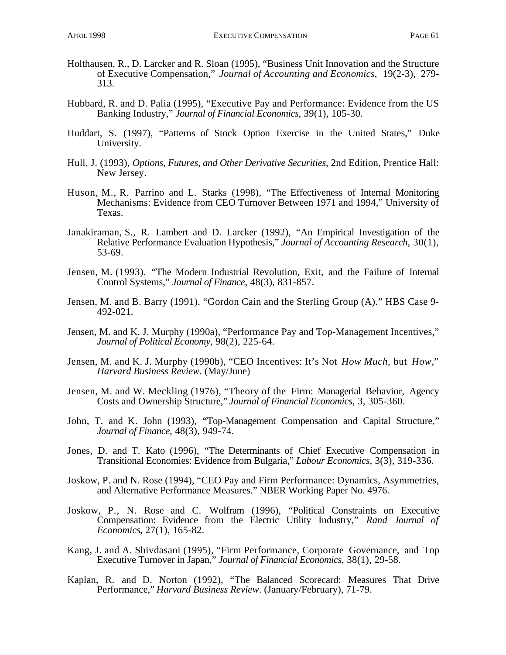- Holthausen, R., D. Larcker and R. Sloan (1995), "Business Unit Innovation and the Structure of Executive Compensation," *Journal of Accounting and Economics*, 19(2-3), 279- 313.
- Hubbard, R. and D. Palia (1995), "Executive Pay and Performance: Evidence from the US Banking Industry," *Journal of Financial Economics*, 39(1), 105-30.
- Huddart, S. (1997), "Patterns of Stock Option Exercise in the United States," Duke University.
- Hull, J. (1993), *Options, Futures, and Other Derivative Securities*, 2nd Edition, Prentice Hall: New Jersey.
- Huson, M., R. Parrino and L. Starks (1998), "The Effectiveness of Internal Monitoring Mechanisms: Evidence from CEO Turnover Between 1971 and 1994," University of Texas.
- Janakiraman, S., R. Lambert and D. Larcker (1992), "An Empirical Investigation of the Relative Performance Evaluation Hypothesis," *Journal of Accounting Research*, 30(1), 53-69.
- Jensen, M. (1993). "The Modern Industrial Revolution, Exit, and the Failure of Internal Control Systems," *Journal of Finance*, 48(3), 831-857.
- Jensen, M. and B. Barry (1991). "Gordon Cain and the Sterling Group (A)." HBS Case 9- 492-021.
- Jensen, M. and K. J. Murphy (1990a), "Performance Pay and Top-Management Incentives," *Journal of Political Economy*, 98(2), 225-64.
- Jensen, M. and K. J. Murphy (1990b), "CEO Incentives: It's Not *How Much*, but *How*," *Harvard Business Review*. (May/June)
- Jensen, M. and W. Meckling (1976), "Theory of the Firm: Managerial Behavior, Agency Costs and Ownership Structure," *Journal of Financial Economics*, 3, 305-360.
- John, T. and K. John (1993), "Top-Management Compensation and Capital Structure," *Journal of Finance*, 48(3), 949-74.
- Jones, D. and T. Kato (1996), "The Determinants of Chief Executive Compensation in Transitional Economies: Evidence from Bulgaria," *Labour Economics*, 3(3), 319-336.
- Joskow, P. and N. Rose (1994), "CEO Pay and Firm Performance: Dynamics, Asymmetries, and Alternative Performance Measures." NBER Working Paper No. 4976.
- Joskow, P., N. Rose and C. Wolfram (1996), "Political Constraints on Executive Compensation: Evidence from the Electric Utility Industry," *Rand Journal of Economics*, 27(1), 165-82.
- Kang, J. and A. Shivdasani (1995), "Firm Performance, Corporate Governance, and Top Executive Turnover in Japan," *Journal of Financial Economics*, 38(1), 29-58.
- Kaplan, R. and D. Norton (1992), "The Balanced Scorecard: Measures That Drive Performance," *Harvard Business Review*. (January/February), 71-79.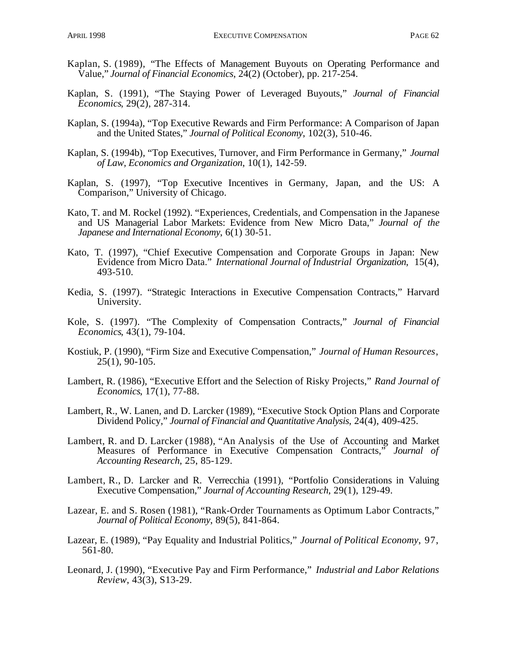- Kaplan, S. (1989), "The Effects of Management Buyouts on Operating Performance and Value," *Journal of Financial Economics*, 24(2) (October), pp. 217-254.
- Kaplan, S. (1991), "The Staying Power of Leveraged Buyouts," *Journal of Financial Economics*, 29(2), 287-314.
- Kaplan, S. (1994a), "Top Executive Rewards and Firm Performance: A Comparison of Japan and the United States," *Journal of Political Economy*, 102(3), 510-46.
- Kaplan, S. (1994b), "Top Executives, Turnover, and Firm Performance in Germany," *Journal of Law, Economics and Organization*, 10(1), 142-59.
- Kaplan, S. (1997), "Top Executive Incentives in Germany, Japan, and the US: A Comparison," University of Chicago.
- Kato, T. and M. Rockel (1992). "Experiences, Credentials, and Compensation in the Japanese and US Managerial Labor Markets: Evidence from New Micro Data," *Journal of the Japanese and International Economy*, 6(1) 30-51.
- Kato, T. (1997), "Chief Executive Compensation and Corporate Groups in Japan: New Evidence from Micro Data." *International Journal of Industrial Organization*, 15(4), 493-510.
- Kedia, S. (1997). "Strategic Interactions in Executive Compensation Contracts," Harvard University.
- Kole, S. (1997). "The Complexity of Compensation Contracts," *Journal of Financial Economics*, 43(1), 79-104.
- Kostiuk, P. (1990), "Firm Size and Executive Compensation," *Journal of Human Resources*, 25(1), 90-105.
- Lambert, R. (1986), "Executive Effort and the Selection of Risky Projects," *Rand Journal of Economics*, 17(1), 77-88.
- Lambert, R., W. Lanen, and D. Larcker (1989), "Executive Stock Option Plans and Corporate Dividend Policy," *Journal of Financial and Quantitative Analysis*, 24(4), 409-425.
- Lambert, R. and D. Larcker (1988), "An Analysis of the Use of Accounting and Market Measures of Performance in Executive Compensation Contracts," *Journal of Accounting Research*, 25, 85-129.
- Lambert, R., D. Larcker and R. Verrecchia (1991), "Portfolio Considerations in Valuing Executive Compensation," *Journal of Accounting Research*, 29(1), 129-49.
- Lazear, E. and S. Rosen (1981), "Rank-Order Tournaments as Optimum Labor Contracts," *Journal of Political Economy*, 89(5), 841-864.
- Lazear, E. (1989), "Pay Equality and Industrial Politics," *Journal of Political Economy*, 97, 561-80.
- Leonard, J. (1990), "Executive Pay and Firm Performance," *Industrial and Labor Relations Review*, 43(3), S13-29.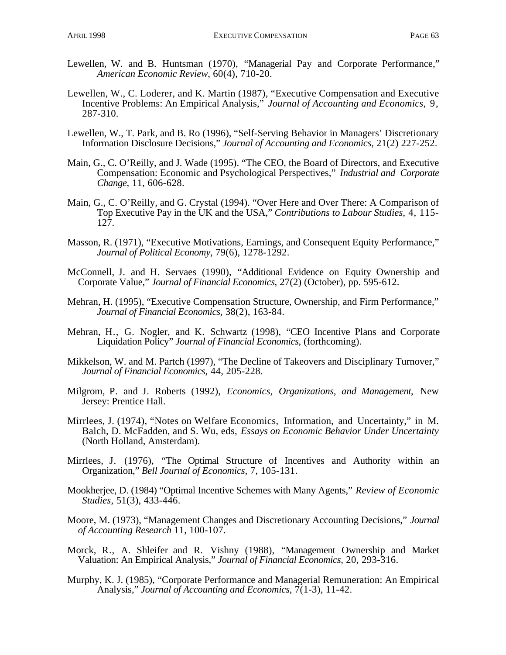- Lewellen, W. and B. Huntsman (1970), "Managerial Pay and Corporate Performance," *American Economic Review*, 60(4), 710-20.
- Lewellen, W., C. Loderer, and K. Martin (1987), "Executive Compensation and Executive Incentive Problems: An Empirical Analysis," *Journal of Accounting and Economics*, 9, 287-310.
- Lewellen, W., T. Park, and B. Ro (1996), "Self-Serving Behavior in Managers' Discretionary Information Disclosure Decisions," *Journal of Accounting and Economics*, 21(2) 227-252.
- Main, G., C. O'Reilly, and J. Wade (1995). "The CEO, the Board of Directors, and Executive Compensation: Economic and Psychological Perspectives," *Industrial and Corporate Change*, 11, 606-628.
- Main, G., C. O'Reilly, and G. Crystal (1994). "Over Here and Over There: A Comparison of Top Executive Pay in the UK and the USA," *Contributions to Labour Studies*, 4, 115- 127.
- Masson, R. (1971), "Executive Motivations, Earnings, and Consequent Equity Performance," *Journal of Political Economy*, 79(6), 1278-1292.
- McConnell, J. and H. Servaes (1990), "Additional Evidence on Equity Ownership and Corporate Value," *Journal of Financial Economics*, 27(2) (October), pp. 595-612.
- Mehran, H. (1995), "Executive Compensation Structure, Ownership, and Firm Performance," *Journal of Financial Economics*, 38(2), 163-84.
- Mehran, H., G. Nogler, and K. Schwartz (1998), "CEO Incentive Plans and Corporate Liquidation Policy" *Journal of Financial Economics*, (forthcoming).
- Mikkelson, W. and M. Partch (1997), "The Decline of Takeovers and Disciplinary Turnover," *Journal of Financial Economics*, 44, 205-228.
- Milgrom, P. and J. Roberts (1992), *Economics, Organizations, and Management*, New Jersey: Prentice Hall.
- Mirrlees, J. (1974), "Notes on Welfare Economics, Information, and Uncertainty," in M. Balch, D. McFadden, and S. Wu, eds, *Essays on Economic Behavior Under Uncertainty* (North Holland, Amsterdam).
- Mirrlees, J. (1976), "The Optimal Structure of Incentives and Authority within an Organization," *Bell Journal of Economics*, 7, 105-131.
- Mookherjee, D. (1984) "Optimal Incentive Schemes with Many Agents," *Review of Economic Studies*, 51(3), 433-446.
- Moore, M. (1973), "Management Changes and Discretionary Accounting Decisions," *Journal of Accounting Research* 11, 100-107.
- Morck, R., A. Shleifer and R. Vishny (1988), "Management Ownership and Market Valuation: An Empirical Analysis," *Journal of Financial Economics*, 20, 293-316.
- Murphy, K. J. (1985), "Corporate Performance and Managerial Remuneration: An Empirical Analysis," *Journal of Accounting and Economics*, 7(1-3), 11-42.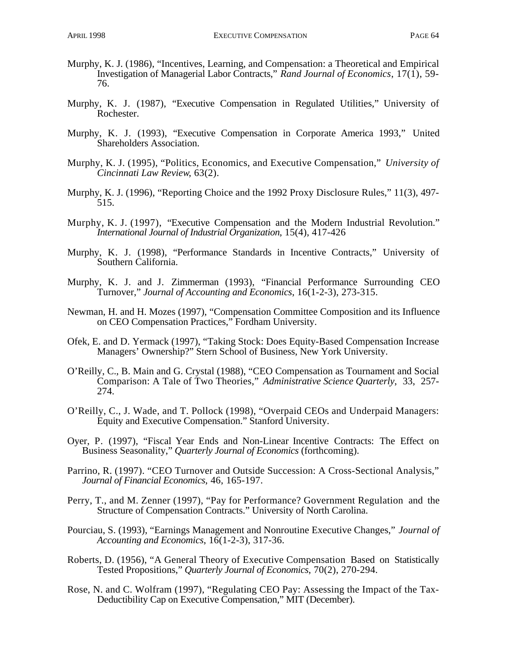- Murphy, K. J. (1986), "Incentives, Learning, and Compensation: a Theoretical and Empirical Investigation of Managerial Labor Contracts," *Rand Journal of Economics*, 17(1), 59- 76.
- Murphy, K. J. (1987), "Executive Compensation in Regulated Utilities," University of Rochester.
- Murphy, K. J. (1993), "Executive Compensation in Corporate America 1993," United Shareholders Association.
- Murphy, K. J. (1995), "Politics, Economics, and Executive Compensation," *University of Cincinnati Law Review*, 63(2).
- Murphy, K. J. (1996), "Reporting Choice and the 1992 Proxy Disclosure Rules," 11(3), 497- 515.
- Murphy, K. J. (1997), "Executive Compensation and the Modern Industrial Revolution." *International Journal of Industrial Organization*, 15(4), 417-426
- Murphy, K. J. (1998), "Performance Standards in Incentive Contracts," University of Southern California.
- Murphy, K. J. and J. Zimmerman (1993), "Financial Performance Surrounding CEO Turnover," *Journal of Accounting and Economics*, 16(1-2-3), 273-315.
- Newman, H. and H. Mozes (1997), "Compensation Committee Composition and its Influence on CEO Compensation Practices," Fordham University.
- Ofek, E. and D. Yermack (1997), "Taking Stock: Does Equity-Based Compensation Increase Managers' Ownership?" Stern School of Business, New York University.
- O'Reilly, C., B. Main and G. Crystal (1988), "CEO Compensation as Tournament and Social Comparison: A Tale of Two Theories," *Administrative Science Quarterly*, 33, 257- 274.
- O'Reilly, C., J. Wade, and T. Pollock (1998), "Overpaid CEOs and Underpaid Managers: Equity and Executive Compensation." Stanford University.
- Oyer, P. (1997), "Fiscal Year Ends and Non-Linear Incentive Contracts: The Effect on Business Seasonality," *Quarterly Journal of Economics* (forthcoming).
- Parrino, R. (1997). "CEO Turnover and Outside Succession: A Cross-Sectional Analysis," *Journal of Financial Economics*, 46, 165-197.
- Perry, T., and M. Zenner (1997), "Pay for Performance? Government Regulation and the Structure of Compensation Contracts." University of North Carolina.
- Pourciau, S. (1993), "Earnings Management and Nonroutine Executive Changes," *Journal of Accounting and Economics*, 16(1-2-3), 317-36.
- Roberts, D. (1956), "A General Theory of Executive Compensation Based on Statistically Tested Propositions," *Quarterly Journal of Economics*, 70(2), 270-294.
- Rose, N. and C. Wolfram (1997), "Regulating CEO Pay: Assessing the Impact of the Tax-Deductibility Cap on Executive Compensation," MIT (December).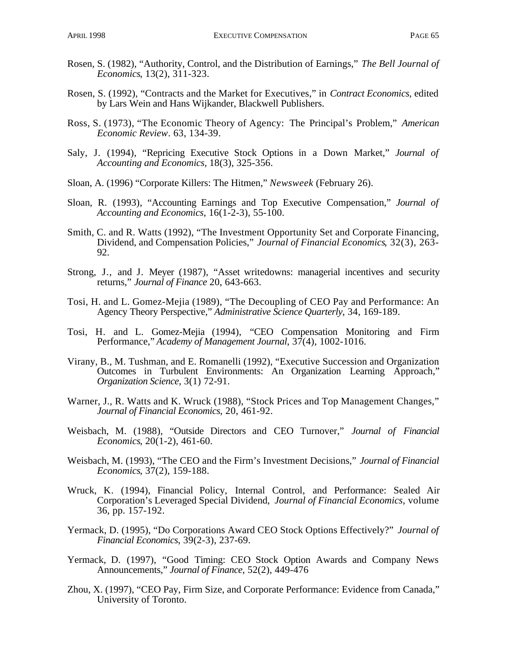- Rosen, S. (1982), "Authority, Control, and the Distribution of Earnings," *The Bell Journal of Economics*, 13(2), 311-323.
- Rosen, S. (1992), "Contracts and the Market for Executives," in *Contract Economics*, edited by Lars Wein and Hans Wijkander, Blackwell Publishers.
- Ross, S. (1973), "The Economic Theory of Agency: The Principal's Problem," *American Economic Review*. 63, 134-39.
- Saly, J. (1994), "Repricing Executive Stock Options in a Down Market," *Journal of Accounting and Economics,* 18(3), 325-356.
- Sloan, A. (1996) "Corporate Killers: The Hitmen," *Newsweek* (February 26).
- Sloan, R. (1993), "Accounting Earnings and Top Executive Compensation," *Journal of Accounting and Economics*, 16(1-2-3), 55-100.
- Smith, C. and R. Watts (1992), "The Investment Opportunity Set and Corporate Financing, Dividend, and Compensation Policies," *Journal of Financial Economics*, 32(3), 263- 92.
- Strong, J., and J. Meyer (1987), "Asset writedowns: managerial incentives and security returns," *Journal of Finance* 20, 643-663.
- Tosi, H. and L. Gomez-Mejia (1989), "The Decoupling of CEO Pay and Performance: An Agency Theory Perspective," *Administrative Science Quarterly*, 34, 169-189.
- Tosi, H. and L. Gomez-Mejia (1994), "CEO Compensation Monitoring and Firm Performance," *Academy of Management Journal*, 37(4), 1002-1016.
- Virany, B., M. Tushman, and E. Romanelli (1992), "Executive Succession and Organization Outcomes in Turbulent Environments: An Organization Learning Approach," *Organization Science*, 3(1) 72-91.
- Warner, J., R. Watts and K. Wruck (1988), "Stock Prices and Top Management Changes," *Journal of Financial Economics*, 20, 461-92.
- Weisbach, M. (1988), "Outside Directors and CEO Turnover," *Journal of Financial Economics*, 20(1-2), 461-60.
- Weisbach, M. (1993), "The CEO and the Firm's Investment Decisions," *Journal of Financial Economics*, 37(2), 159-188.
- Wruck, K. (1994), Financial Policy, Internal Control, and Performance: Sealed Air Corporation's Leveraged Special Dividend, *Journal of Financial Economics*, volume 36, pp. 157-192.
- Yermack, D. (1995), "Do Corporations Award CEO Stock Options Effectively?" *Journal of Financial Economics*, 39(2-3), 237-69.
- Yermack, D. (1997), "Good Timing: CEO Stock Option Awards and Company News Announcements," *Journal of Finance*, 52(2), 449-476
- Zhou, X. (1997), "CEO Pay, Firm Size, and Corporate Performance: Evidence from Canada," University of Toronto.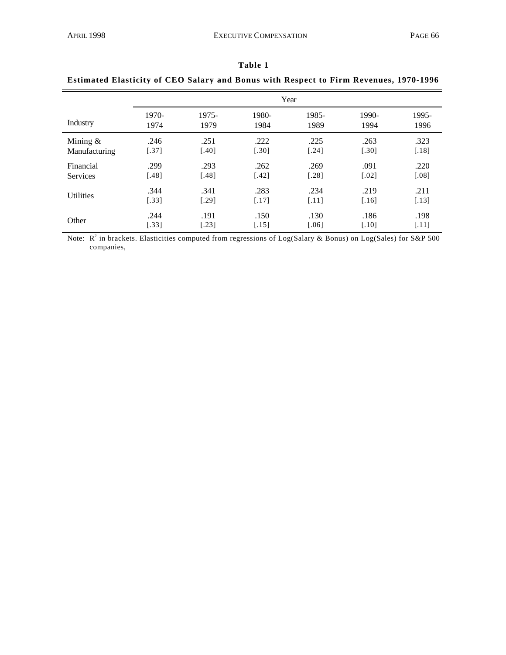|                  | Year    |         |         |         |         |         |  |
|------------------|---------|---------|---------|---------|---------|---------|--|
| Industry         | 1970-   | 1975-   | 1980-   | 1985-   | 1990-   | 1995-   |  |
|                  | 1974    | 1979    | 1984    | 1989    | 1994    | 1996    |  |
| Mining $&$       | .246    | .251    | .222    | .225    | .263    | .323    |  |
| Manufacturing    | $[.37]$ | $[.40]$ | $[.30]$ | $[.24]$ | [.30]   | $[.18]$ |  |
| Financial        | .299    | .293    | .262    | .269    | .091    | .220    |  |
| <b>Services</b>  | $[.48]$ | $[.48]$ | $[.42]$ | $[.28]$ | $[.02]$ | $[.08]$ |  |
| <b>Utilities</b> | .344    | .341    | .283    | .234    | .219    | .211    |  |
|                  | [.33]   | $[.29]$ | $[.17]$ | $[.11]$ | $[.16]$ | $[.13]$ |  |
| Other            | .244    | .191    | .150    | .130    | .186    | .198    |  |
|                  | [.33]   | $[.23]$ | $[.15]$ | $[.06]$ | $[.10]$ | $[.11]$ |  |

# **Table 1 Estimated Elasticity of CEO Salary and Bonus with Respect to Firm Revenues, 1970-1996**

Note:  $R^2$  in brackets. Elasticities computed from regressions of Log(Salary & Bonus) on Log(Sales) for S&P 500 companies,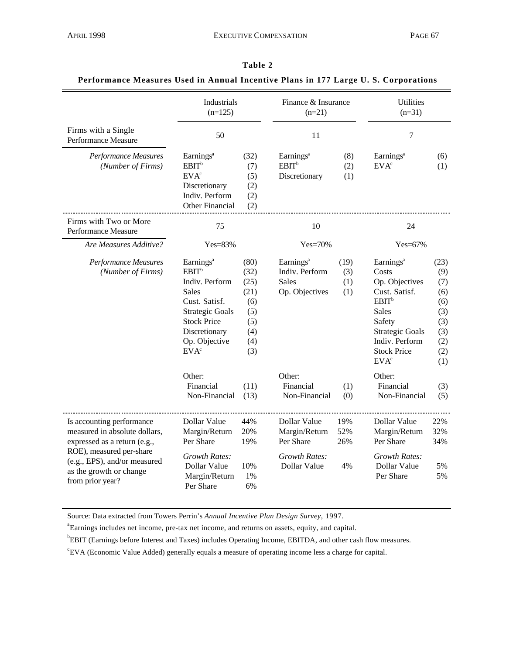### **Table 2**

## **Performance Measures Used in Annual Incentive Plans in 177 Large U. S. Corporations**

|                                                                                                         | Industrials<br>$(n=125)$                                                                                                                                                                                          |                                                                                | Finance & Insurance<br>$(n=21)$                                                                  |                                  | <b>Utilities</b><br>$(n=31)$                                                                                                                                                                                         |                                                                                   |  |
|---------------------------------------------------------------------------------------------------------|-------------------------------------------------------------------------------------------------------------------------------------------------------------------------------------------------------------------|--------------------------------------------------------------------------------|--------------------------------------------------------------------------------------------------|----------------------------------|----------------------------------------------------------------------------------------------------------------------------------------------------------------------------------------------------------------------|-----------------------------------------------------------------------------------|--|
| Firms with a Single<br>Performance Measure                                                              | 50                                                                                                                                                                                                                |                                                                                | 11                                                                                               |                                  | 7                                                                                                                                                                                                                    |                                                                                   |  |
| Performance Measures<br>(Number of Firms)                                                               | Earnings <sup>a</sup><br>$EBIT^b$<br>EVA <sup>c</sup><br>Discretionary<br>Indiv. Perform<br>Other Financial                                                                                                       | (32)<br>(7)<br>(5)<br>(2)<br>(2)<br>(2)                                        | Earnings <sup>a</sup><br>$EBIT^b$<br>Discretionary                                               | (8)<br>(2)<br>(1)                | Earnings <sup>a</sup><br>EVA <sup>c</sup>                                                                                                                                                                            | (6)<br>(1)                                                                        |  |
| Firms with Two or More<br>Performance Measure                                                           | 75                                                                                                                                                                                                                |                                                                                | 10                                                                                               |                                  |                                                                                                                                                                                                                      | 24                                                                                |  |
| Are Measures Additive?                                                                                  | Yes=83%                                                                                                                                                                                                           |                                                                                | Yes=70%                                                                                          |                                  |                                                                                                                                                                                                                      | Yes=67%                                                                           |  |
| Performance Measures<br>(Number of Firms)                                                               | Earnings <sup>a</sup><br>$EBIT^b$<br>Indiv. Perform<br><b>Sales</b><br>Cust. Satisf.<br><b>Strategic Goals</b><br><b>Stock Price</b><br>Discretionary<br>Op. Objective<br>EVA <sup>c</sup><br>Other:<br>Financial | (80)<br>(32)<br>(25)<br>(21)<br>(6)<br>(5)<br>(5)<br>(4)<br>(4)<br>(3)<br>(11) | Earnings <sup>a</sup><br>Indiv. Perform<br><b>Sales</b><br>Op. Objectives<br>Other:<br>Financial | (19)<br>(3)<br>(1)<br>(1)<br>(1) | Earnings <sup>a</sup><br>Costs<br>Op. Objectives<br>Cust. Satisf.<br>$EBIT^b$<br><b>Sales</b><br>Safety<br><b>Strategic Goals</b><br>Indiv. Perform<br><b>Stock Price</b><br>EVA <sup>c</sup><br>Other:<br>Financial | (23)<br>(9)<br>(7)<br>(6)<br>(6)<br>(3)<br>(3)<br>(3)<br>(2)<br>(2)<br>(1)<br>(3) |  |
|                                                                                                         | Non-Financial                                                                                                                                                                                                     | (13)                                                                           | Non-Financial                                                                                    | (0)                              | Non-Financial                                                                                                                                                                                                        | (5)                                                                               |  |
| Is accounting performance<br>measured in absolute dollars,<br>expressed as a return (e.g.,              | Dollar Value<br>Margin/Return<br>Per Share                                                                                                                                                                        | 44%<br>20%<br>19%                                                              | Dollar Value<br>Margin/Return<br>Per Share                                                       | 19%<br>52%<br>26%                | Dollar Value<br>Margin/Return<br>Per Share                                                                                                                                                                           | 22%<br>32%<br>34%                                                                 |  |
| ROE), measured per-share<br>(e.g., EPS), and/or measured<br>as the growth or change<br>from prior year? | <b>Growth Rates:</b><br>Dollar Value<br>Margin/Return<br>Per Share                                                                                                                                                | 10%<br>1%<br>6%                                                                | <b>Growth Rates:</b><br>Dollar Value                                                             | 4%                               | <b>Growth Rates:</b><br>Dollar Value<br>Per Share                                                                                                                                                                    | 5%<br>5%                                                                          |  |

Source: Data extracted from Towers Perrin's *Annual Incentive Plan Design Survey*, 1997.

<sup>a</sup>Earnings includes net income, pre-tax net income, and returns on assets, equity, and capital.

<sup>b</sup>EBIT (Earnings before Interest and Taxes) includes Operating Income, EBITDA, and other cash flow measures.

c EVA (Economic Value Added) generally equals a measure of operating income less a charge for capital.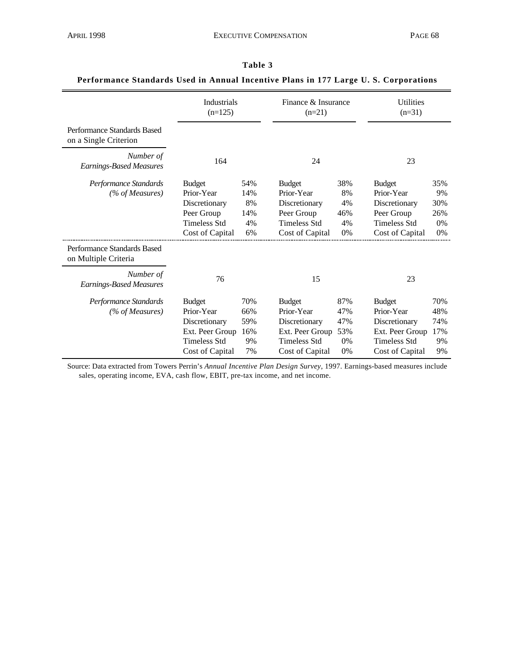#### **Table 3**

#### Industrials  $(n=125)$ Finance & Insurance  $(n=21)$ **Utilities**  $(n=31)$ Performance Standards Based on a Single Criterion *Number of Earnings-Based Measures* 164 24 23 *Performance Standards (% of Measures)* Budget 54% Prior-Year 14% Discretionary 8% Peer Group 14% Timeless Std 4% Cost of Capital 6% Budget 38% Prior-Year 8% Discretionary 4% Peer Group 46% Timeless Std 4% Cost of Capital 0% Budget 35% Prior-Year 9% Discretionary 30% Peer Group 26% Timeless Std 0% Cost of Capital 0% Performance Standards Based on Multiple Criteria *Number of Earnings-Based Measures* <sup>76</sup> <sup>15</sup> <sup>23</sup> *Performance Standards (% of Measures)* Budget 70% Prior-Year 66% Discretionary 59% Ext. Peer Group 16% Timeless Std 9% Cost of Capital 7% Budget 87% Prior-Year 47% Discretionary 47% Ext. Peer Group 53% Timeless Std 0% Cost of Capital 0% Budget 70% Prior-Year 48% Discretionary 74% Ext. Peer Group 17% Timeless Std 9% Cost of Capital 9%

### **Performance Standards Used in Annual Incentive Plans in 177 Large U. S. Corporations**

Source: Data extracted from Towers Perrin's *Annual Incentive Plan Design Survey*, 1997. Earnings-based measures include sales, operating income, EVA, cash flow, EBIT, pre-tax income, and net income.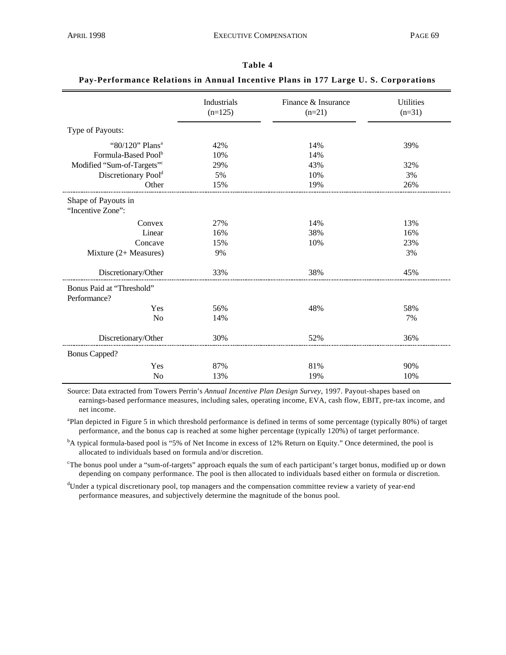|                                           | Industrials<br>$(n=125)$ | Finance & Insurance<br>$(n=21)$ | <b>Utilities</b><br>$(n=31)$ |
|-------------------------------------------|--------------------------|---------------------------------|------------------------------|
| Type of Payouts:                          |                          |                                 |                              |
| "80/120" Plans <sup>a</sup>               | 42%                      | 14%                             | 39%                          |
| Formula-Based Pool <sup>b</sup>           | 10%                      | 14%                             |                              |
| Modified "Sum-of-Targets"                 | 29%                      | 43%                             | 32%                          |
| Discretionary Poold                       | 5%                       | 10%                             | 3%                           |
| Other                                     | 15%                      | 19%                             | 26%                          |
| Shape of Payouts in<br>"Incentive Zone":  |                          |                                 |                              |
| Convex                                    | 27%                      | 14%                             | 13%                          |
| Linear                                    | 16%                      | 38%                             | 16%                          |
| Concave                                   | 15%                      | 10%                             | 23%                          |
| Mixture $(2+Measures)$                    | 9%                       |                                 | 3%                           |
| Discretionary/Other                       | 33%                      | 38%                             | 45%                          |
| Bonus Paid at "Threshold"<br>Performance? |                          |                                 |                              |
| Yes                                       | 56%                      | 48%                             | 58%                          |
| N <sub>o</sub>                            | 14%                      |                                 | 7%                           |
| Discretionary/Other                       | 30%                      | 52%                             | 36%                          |
| <b>Bonus Capped?</b>                      |                          |                                 |                              |
| Yes                                       | 87%                      | 81%                             | 90%                          |
| N <sub>o</sub>                            | 13%                      | 19%                             | 10%                          |

# **Table 4 Pay-Performance Relations in Annual Incentive Plans in 177 Large U. S. Corporations**

Source: Data extracted from Towers Perrin's *Annual Incentive Plan Design Survey*, 1997. Payout-shapes based on earnings-based performance measures, including sales, operating income, EVA, cash flow, EBIT, pre-tax income, and net income.

<sup>a</sup>Plan depicted in Figure 5 in which threshold performance is defined in terms of some percentage (typically 80%) of target performance, and the bonus cap is reached at some higher percentage (typically 120%) of target performance.

<sup>b</sup>A typical formula-based pool is "5% of Net Income in excess of 12% Return on Equity." Once determined, the pool is allocated to individuals based on formula and/or discretion.

<sup>c</sup>The bonus pool under a "sum-of-targets" approach equals the sum of each participant's target bonus, modified up or down depending on company performance. The pool is then allocated to individuals based either on formula or discretion.

<sup>d</sup>Under a typical discretionary pool, top managers and the compensation committee review a variety of year-end performance measures, and subjectively determine the magnitude of the bonus pool.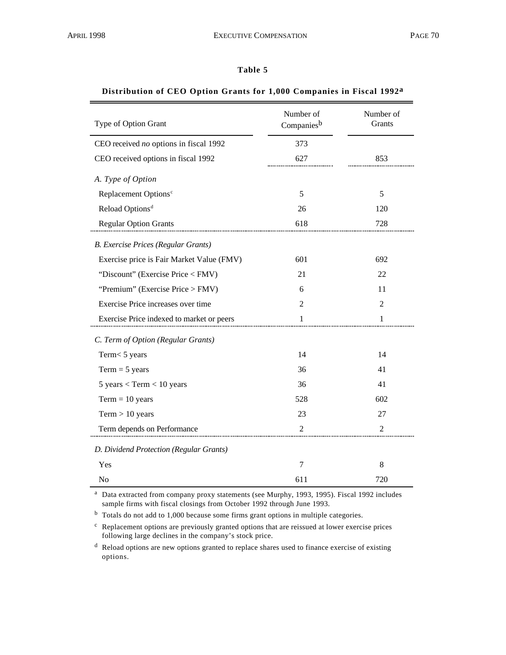#### **Table 5**

# Type of Option Grant Number of Companiesb Number of Grants CEO received *no* options in fiscal 1992 373 CEO received options in fiscal 1992 627 853 *A. Type of Option* Replacement Options<sup>c</sup> 5 5 Reload Options<sup>d</sup> 26 120 Regular Option Grants 618 618 728 *B. Exercise Prices (Regular Grants)* Exercise price is Fair Market Value (FMV) 601 692 "Discount" (Exercise Price < FMV) 21 22 "Premium" (Exercise Price > FMV) 6 11 Exercise Price increases over time 2 2 2 2 Exercise Price indexed to market or peers 1 1 *C. Term of Option (Regular Grants)* Term < 5 years 14 14  $Term = 5 \text{ years}$  36 41  $5 \text{ years} < \text{Term} < 10 \text{ years}$  36 41  $Term = 10 \text{ years}$  528 602  $Term > 10 \text{ years}$  23 27 Term depends on Performance 2 2 2 *D. Dividend Protection (Regular Grants)* Yes 7 8 No 611 720

#### **Distribution of CEO Option Grants for 1,000 Companies in Fiscal 1992a**

<sup>a</sup> Data extracted from company proxy statements (see Murphy, 1993, 1995). Fiscal 1992 includes sample firms with fiscal closings from October 1992 through June 1993.

<sup>b</sup> Totals do not add to 1,000 because some firms grant options in multiple categories.

 $c$  Replacement options are previously granted options that are reissued at lower exercise prices following large declines in the company's stock price.

<sup>d</sup> Reload options are new options granted to replace shares used to finance exercise of existing options.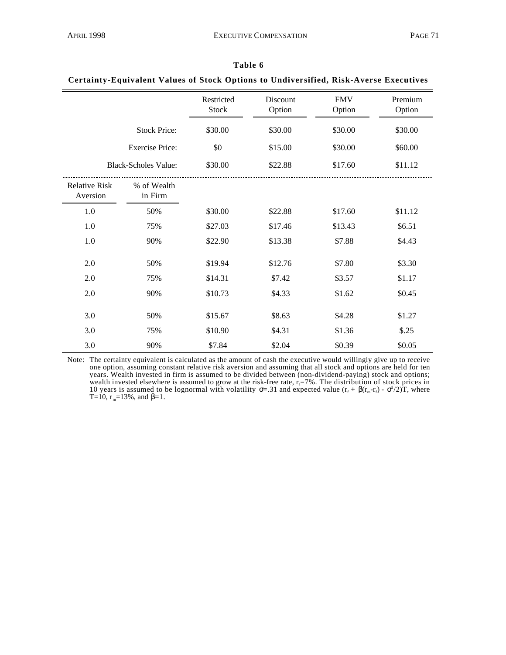|                                  |                        | Restricted<br>Stock | Discount<br>Option | <b>FMV</b><br>Option | Premium<br>Option |
|----------------------------------|------------------------|---------------------|--------------------|----------------------|-------------------|
|                                  | <b>Stock Price:</b>    | \$30.00             | \$30.00            | \$30.00              | \$30.00           |
| <b>Exercise Price:</b>           |                        | \$0                 | \$15.00            | \$30.00              | \$60.00           |
| <b>Black-Scholes Value:</b>      |                        | \$30.00             | \$22.88            | \$17.60              | \$11.12           |
| <b>Relative Risk</b><br>Aversion | % of Wealth<br>in Firm |                     |                    |                      |                   |
| 1.0                              | 50%                    | \$30.00             | \$22.88            | \$17.60              | \$11.12           |
| 1.0                              | 75%                    | \$27.03             | \$17.46            | \$13.43              | \$6.51            |
| 1.0                              | 90%                    | \$22.90             | \$13.38            | \$7.88               | \$4.43            |
| 2.0                              | 50%                    | \$19.94             | \$12.76            | \$7.80               | \$3.30            |
| 2.0                              | 75%                    | \$14.31             | \$7.42             | \$3.57               | \$1.17            |
| 2.0                              | 90%                    | \$10.73             | \$4.33             | \$1.62               | \$0.45            |
| 3.0                              | 50%                    | \$15.67             | \$8.63             | \$4.28               | \$1.27            |
| 3.0                              | 75%                    | \$10.90             | \$4.31             | \$1.36               | \$.25             |
| 3.0                              | 90%                    | \$7.84              | \$2.04             | \$0.39               | \$0.05            |

| Table 6                                                                               |  |  |  |  |  |  |  |
|---------------------------------------------------------------------------------------|--|--|--|--|--|--|--|
| Certainty-Equivalent Values of Stock Options to Undiversified, Risk-Averse Executives |  |  |  |  |  |  |  |

Note: The certainty equivalent is calculated as the amount of cash the executive would willingly give up to receive one option, assuming constant relative risk aversion and assuming that all stock and options are held for ten years. Wealth invested in firm is assumed to be divided between (non-dividend-paying) stock and options; wealth invested elsewhere is assumed to grow at the risk-free rate,  $r_f = 7\%$ . The distribution of stock prices in 10 years is assumed to be lognormal with volatility = 31 and expected value  $(r_f + (r_m - r_f) - \frac{2}{2})T$ , where T=10,  $r_m$ =13%, and =1.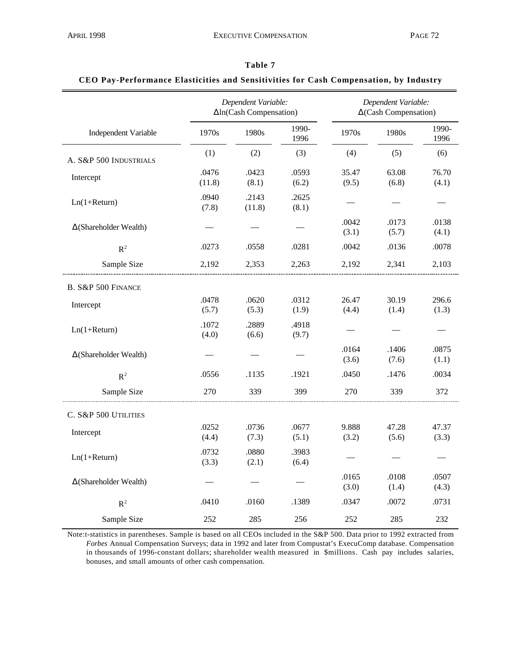|                               |                 | Dependent Variable:<br>In(Cash Compensation) |                | Dependent Variable:<br>(Cash Compensation) |                |                |  |
|-------------------------------|-----------------|----------------------------------------------|----------------|--------------------------------------------|----------------|----------------|--|
| <b>Independent Variable</b>   | 1970s           | 1980s                                        | 1990-<br>1996  | 1970s                                      | 1980s          | 1990-<br>1996  |  |
| A. S&P 500 INDUSTRIALS        | (1)             | (2)                                          | (3)            | (4)                                        | (5)            | (6)            |  |
| Intercept                     | .0476<br>(11.8) | .0423<br>(8.1)                               | .0593<br>(6.2) | 35.47<br>(9.5)                             | 63.08<br>(6.8) | 76.70<br>(4.1) |  |
| $Ln(1+Return)$                | .0940<br>(7.8)  | .2143<br>(11.8)                              | .2625<br>(8.1) |                                            |                |                |  |
| (Shareholder Wealth)          |                 |                                              |                | .0042<br>(3.1)                             | .0173<br>(5.7) | .0138<br>(4.1) |  |
| $R^2$                         | .0273           | .0558                                        | .0281          | .0042                                      | .0136          | .0078          |  |
| Sample Size                   | 2,192           | 2,353                                        | 2,263          | 2,192                                      | 2,341          | 2,103          |  |
| <b>B. S&amp;P 500 FINANCE</b> |                 |                                              |                |                                            |                |                |  |
| Intercept                     | .0478<br>(5.7)  | .0620<br>(5.3)                               | .0312<br>(1.9) | 26.47<br>(4.4)                             | 30.19<br>(1.4) | 296.6<br>(1.3) |  |
| $Ln(1+Return)$                | .1072<br>(4.0)  | .2889<br>(6.6)                               | .4918<br>(9.7) |                                            |                |                |  |
| (Shareholder Wealth)          |                 |                                              |                | .0164<br>(3.6)                             | .1406<br>(7.6) | .0875<br>(1.1) |  |
| $R^2$                         | .0556           | .1135                                        | .1921          | .0450                                      | .1476          | .0034          |  |
| Sample Size                   | 270             | 339                                          | 399            | 270                                        | 339            | 372            |  |
| C. S&P 500 UTILITIES          |                 |                                              |                |                                            |                |                |  |
| Intercept                     | .0252<br>(4.4)  | .0736<br>(7.3)                               | .0677<br>(5.1) | 9.888<br>(3.2)                             | 47.28<br>(5.6) | 47.37<br>(3.3) |  |
| $Ln(1+Return)$                | .0732<br>(3.3)  | .0880<br>(2.1)                               | .3983<br>(6.4) |                                            |                |                |  |
| (Shareholder Wealth)          |                 |                                              |                | .0165<br>(3.0)                             | .0108<br>(1.4) | .0507<br>(4.3) |  |
| $R^2$                         | .0410           | .0160                                        | .1389          | .0347                                      | .0072          | .0731          |  |
| Sample Size                   | 252             | 285                                          | 256            | 252                                        | 285            | 232            |  |

| CEO Pay-Performance Elasticities and Sensitivities for Cash Compensation, by Industry |  |  |  |
|---------------------------------------------------------------------------------------|--|--|--|
|                                                                                       |  |  |  |

Note:t-statistics in parentheses. Sample is based on all CEOs included in the S&P 500. Data prior to 1992 extracted from *Forbes* Annual Compensation Surveys; data in 1992 and later from Compustat's ExecuComp database. Compensation in thousands of 1996-constant dollars; shareholder wealth measured in \$millions. Cash pay includes salaries, bonuses, and small amounts of other cash compensation.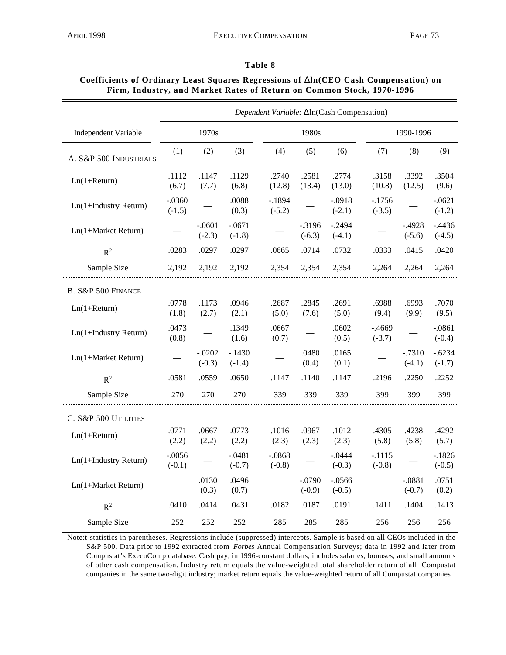#### *Dependent Variable:* ln(Cash Compensation) Independent Variable 1970s 1980s 1990-1996 (1) (2) (3) (4) (5) (6) (7) (8) (9) A. S&P 500 INDUSTRIALS Ln(1+Return)  $.1112$ .1147 .1129 .2740 .2581 .2774 .3158 .3392 .3504 (6.7) (7.7) (6.8) (12.8) (13.4) (13.0) (10.8) (12.5) (9.6) Ln(1+Industry Return)  $-0.0360$ .0088 -.1894 -.0918 -.1756 -.0621  $(-1.5)$ (0.3)  $(-5.2)$ (-2.1)  $(-3.5)$ (-1.2) -.0601 -.3196 -.2494 -.4928 -.4436 -.0671 Ln(1+Market Return) — (-2.3)  $(-1.8)$ (-6.3)  $(-4.1)$ (-5.6) (-4.5)  $R^2$ <sup>2</sup> .0283 .0297 .0297 .0665 .0714 .0732 .0333 .0415 .0420 Sample Size 2,192 2,192 2,192 2,354 2,354 2,354 2,264 2,264 2,264 . . . . . . . . . . . . . . B. S&P 500 FINANCE .0946 .7070 Ln(1+Return)  $.0778$ .1173 .2687 .2845 .2691 .6988 .6993 (1.8)  $(2.7)$ (2.1) (5.0) (7.6) (5.0) (9.4) (9.9) (9.5) Ln(1+Industry Return)  $.0473$ .1349 .0667 .0602 -.4669 -.0861  $(0.8)$ (1.6)  $(0.7)$ (0.5)  $(-3.7)$  $(-0.4)$ -.0202 .0480 .0165 -.1430 -.7310 -.6234  $Ln(1+Market Return)$ (-0.3)  $(-1.4)$ (0.4)  $(0.1)$ (-4.1) (-1.7)  $R^2$ <sup>2</sup> .0581 .0559 .0650 .1147 .1140 .1147 .2196 .2250 .2252 Sample Size 270 270 270 339 339 339 399 399 399 C. S&P 500 UTILITIES Ln(1+Return) .0771 .0667 .0773 .1016 .0967 .1012 .4305 .4238 .4292 (2.2) (2.2) (2.2) (2.3) (2.3) (2.3) (5.8) (5.8) (5.7) Ln(1+Industry Return)  $-0.0056$ -.0481 -.0868 -.0444 -.1115 -.1826  $(-0.1)$  $(-0.7)$  $(-0.8)$ (-0.3)  $(-0.8)$  $(-0.5)$ .0130 .0496 -.0790 -.0566 -.0881 .0751 Ln(1+Market Return) — (0.3)  $(0.7)$ (-0.9)  $(-0.5)$  $(-0.7)$ (0.2) <sup>2</sup> .0410 .0414 .0431 .0182 .0187 .0191 .1411 .1404 .1413  $R^2$ Sample Size 252 252 252 285 285 285 256 256 256

# **Coefficients of Ordinary Least Squares Regressions of ln(CEO Cash Compensation) on Firm, Industry, and Market Rates of Return on Common Stock, 1970-1996**

Note:t-statistics in parentheses. Regressions include (suppressed) intercepts. Sample is based on all CEOs included in the S&P 500. Data prior to 1992 extracted from *Forbes* Annual Compensation Surveys; data in 1992 and later from Compustat's ExecuComp database. Cash pay, in 1996-constant dollars, includes salaries, bonuses, and small amounts of other cash compensation. Industry return equals the value-weighted total shareholder return of all Compustat companies in the same two-digit industry; market return equals the value-weighted return of all Compustat companies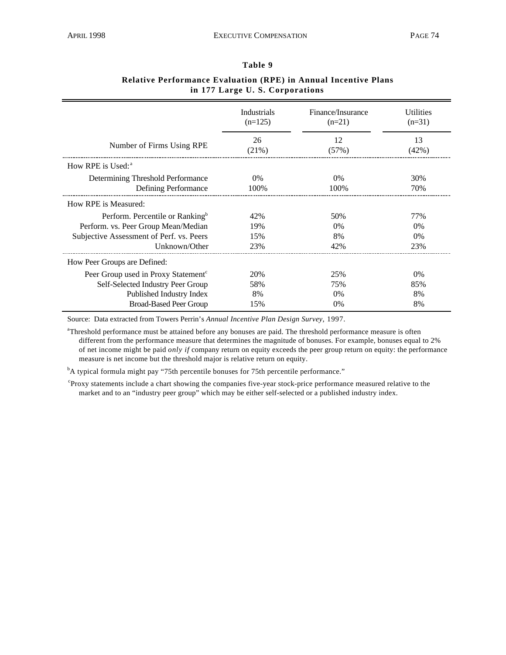|                                                 | <b>Industrials</b> | Finance/Insurance | <b>Utilities</b> |
|-------------------------------------------------|--------------------|-------------------|------------------|
|                                                 | $(n=125)$          | $(n=21)$          | $(n=31)$         |
| Number of Firms Using RPE                       | 26                 | 12                | 13               |
|                                                 | (21%)              | (57%)             | (42%)            |
| How RPE is Used: $a$                            |                    |                   |                  |
| Determining Threshold Performance               | $0\%$              | $0\%$             | 30%              |
| Defining Performance                            | 100%               | 100%              | 70%              |
| How RPE is Measured:                            |                    |                   |                  |
| Perform. Percentile or Ranking <sup>b</sup>     | 42%                | 50%               | 77%              |
| Perform. vs. Peer Group Mean/Median             | 19%                | $0\%$             | 0%               |
| Subjective Assessment of Perf. vs. Peers        | 15%                | 8%                | 0%               |
| Unknown/Other                                   | 23%                | 42%               | 23%              |
| How Peer Groups are Defined:                    |                    |                   |                  |
| Peer Group used in Proxy Statement <sup>c</sup> | 20%                | 25%               | $0\%$            |
| Self-Selected Industry Peer Group               | 58%                | 75%               | 85%              |
| Published Industry Index                        | 8%                 | $0\%$             | 8%               |
| <b>Broad-Based Peer Group</b>                   | 15%                | 0%                | 8%               |

# **Relative Performance Evaluation (RPE) in Annual Incentive Plans in 177 Large U. S. Corporations**

Source: Data extracted from Towers Perrin's *Annual Incentive Plan Design Survey*, 1997.

<sup>a</sup>Threshold performance must be attained before any bonuses are paid. The threshold performance measure is often different from the performance measure that determines the magnitude of bonuses. For example, bonuses equal to 2% of net income might be paid *only if* company return on equity exceeds the peer group return on equity: the performance measure is net income but the threshold major is relative return on equity.

<sup>b</sup>A typical formula might pay "75th percentile bonuses for 75th percentile performance."

c Proxy statements include a chart showing the companies five-year stock-price performance measured relative to the market and to an "industry peer group" which may be either self-selected or a published industry index.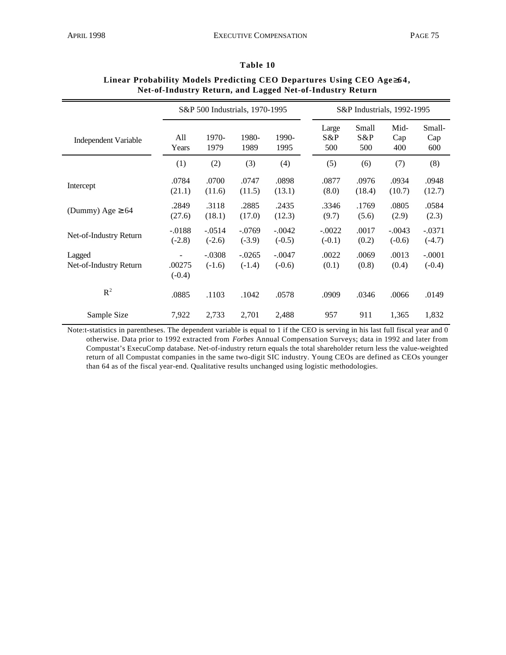|                                  | S&P 500 Industrials, 1970-1995 |                      |                       | S&P Industrials, 1992-1995 |                      |                     |                      |                      |
|----------------------------------|--------------------------------|----------------------|-----------------------|----------------------------|----------------------|---------------------|----------------------|----------------------|
| Independent Variable             | All<br>Years                   | 1970-<br>1979        | 1980-<br>1989         | 1990-<br>1995              | Large<br>S&P<br>500  | Small<br>S&P<br>500 | Mid-<br>Cap<br>400   | Small-<br>Cap<br>600 |
|                                  | (1)                            | (2)                  | (3)                   | (4)                        | (5)                  | (6)                 | (7)                  | (8)                  |
| Intercept                        | .0784<br>(21.1)                | .0700<br>(11.6)      | .0747<br>(11.5)       | .0898<br>(13.1)            | .0877<br>(8.0)       | .0976<br>(18.4)     | .0934<br>(10.7)      | .0948<br>(12.7)      |
| (Dummy) Age<br>64                | .2849<br>(27.6)                | .3118<br>(18.1)      | .2885<br>(17.0)       | .2435<br>(12.3)            | .3346<br>(9.7)       | .1769<br>(5.6)      | .0805<br>(2.9)       | .0584<br>(2.3)       |
| Net-of-Industry Return           | $-.0188$<br>$(-2.8)$           | $-.0514$<br>$(-2.6)$ | $-.0769$<br>$(-3.9)$  | $-.0042$<br>$(-0.5)$       | $-.0022$<br>$(-0.1)$ | .0017<br>(0.2)      | $-.0043$<br>$(-0.6)$ | $-.0371$<br>$(-4.7)$ |
| Lagged<br>Net-of-Industry Return | .00275<br>$(-0.4)$             | $-.0308$<br>$(-1.6)$ | $-0.0265$<br>$(-1.4)$ | $-.0047$<br>$(-0.6)$       | .0022<br>(0.1)       | .0069<br>(0.8)      | .0013<br>(0.4)       | $-.0001$<br>$(-0.4)$ |
| $R^2$                            | .0885                          | .1103                | .1042                 | .0578                      | .0909                | .0346               | .0066                | .0149                |
| Sample Size                      | 7,922                          | 2,733                | 2,701                 | 2,488                      | 957                  | 911                 | 1,365                | 1,832                |

# **Linear Probability Models Predicting CEO Departures Using CEO Age 64, Net-of-Industry Return, and Lagged Net-of-Industry Return**

Note:t-statistics in parentheses. The dependent variable is equal to 1 if the CEO is serving in his last full fiscal year and 0 otherwise. Data prior to 1992 extracted from *Forbes* Annual Compensation Surveys; data in 1992 and later from Compustat's ExecuComp database. Net-of-industry return equals the total shareholder return less the value-weighted return of all Compustat companies in the same two-digit SIC industry. Young CEOs are defined as CEOs younger than 64 as of the fiscal year-end. Qualitative results unchanged using logistic methodologies.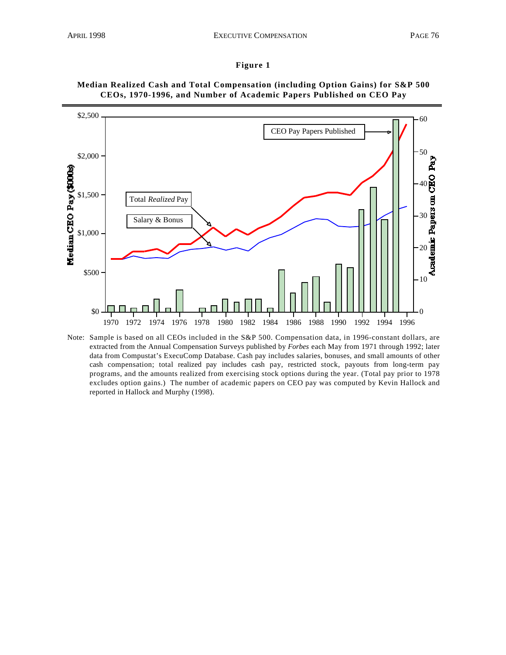

**Median Realized Cash and Total Compensation (including Option Gains) for S&P 500 CEOs, 1970-1996, and Number of Academic Papers Published on CEO Pay**

Note: Sample is based on all CEOs included in the S&P 500. Compensation data, in 1996-constant dollars, are extracted from the Annual Compensation Surveys published by *Forbes* each May from 1971 through 1992; later data from Compustat's ExecuComp Database. Cash pay includes salaries, bonuses, and small amounts of other cash compensation; total realized pay includes cash pay, restricted stock, payouts from long-term pay programs, and the amounts realized from exercising stock options during the year. (Total pay prior to 1978 excludes option gains.) The number of academic papers on CEO pay was computed by Kevin Hallock and reported in Hallock and Murphy (1998).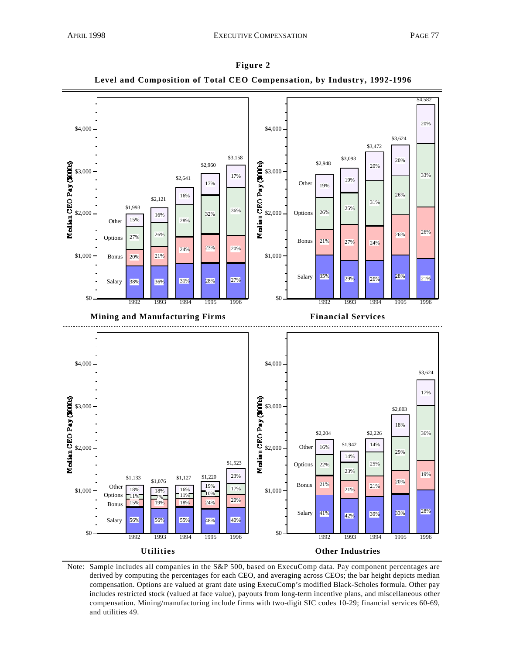

**Figure 2 Level and Composition of Total CEO Compensation, by Industry, 1992-1996**

Note: Sample includes all companies in the S&P 500, based on ExecuComp data. Pay component percentages are derived by computing the percentages for each CEO, and averaging across CEOs; the bar height depicts median compensation. Options are valued at grant date using ExecuComp's modified Black-Scholes formula. Other pay includes restricted stock (valued at face value), payouts from long-term incentive plans, and miscellaneous other compensation. Mining/manufacturing include firms with two-digit SIC codes 10-29; financial services 60-69, and utilities 49.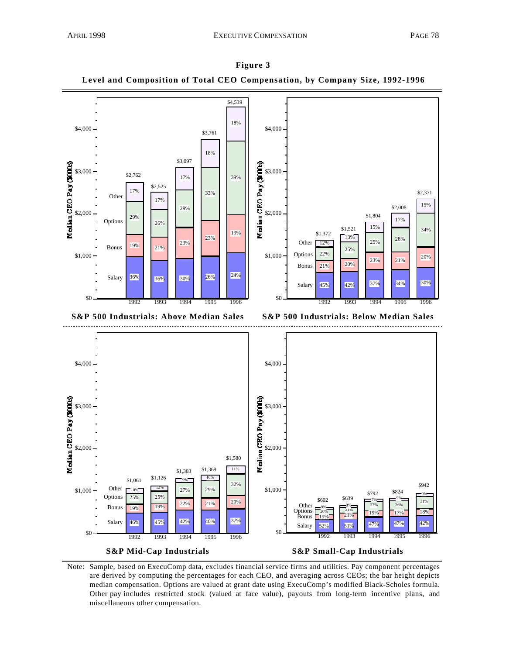

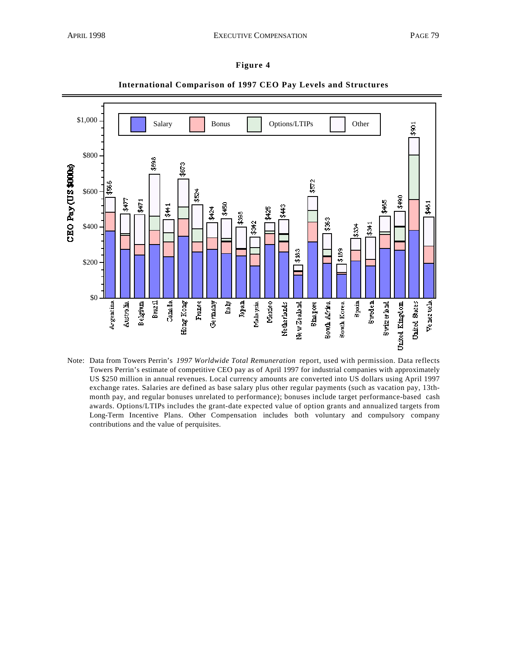

**International Comparison of 1997 CEO Pay Levels and Structures**

Note: Data from Towers Perrin's *1997 Worldwide Total Remuneration* report, used with permission. Data reflects Towers Perrin's estimate of competitive CEO pay as of April 1997 for industrial companies with approximately US \$250 million in annual revenues. Local currency amounts are converted into US dollars using April 1997 exchange rates. Salaries are defined as base salary plus other regular payments (such as vacation pay, 13thmonth pay, and regular bonuses unrelated to performance); bonuses include target performance-based cash awards. Options/LTIPs includes the grant-date expected value of option grants and annualized targets from Long-Term Incentive Plans. Other Compensation includes both voluntary and compulsory company contributions and the value of perquisites.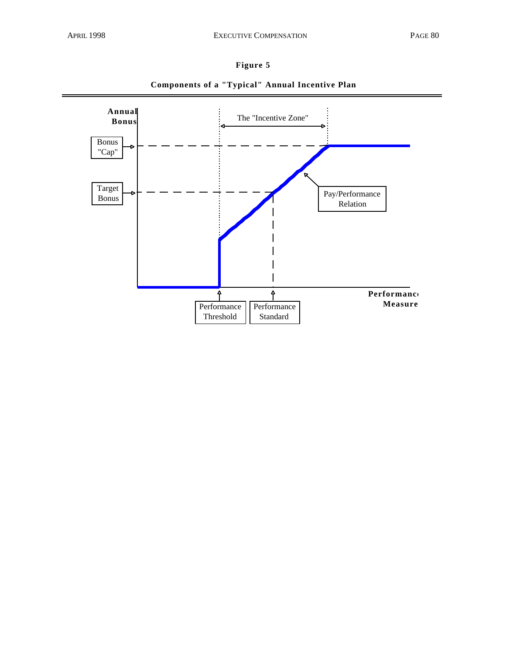



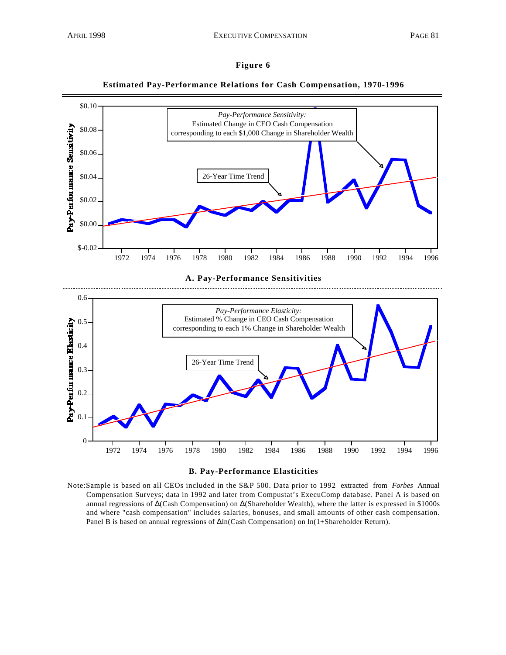#### **Estimated Pay-Performance Relations for Cash Compensation, 1970-1996**





#### **B. Pay-Performance Elasticities**

Note:Sample is based on all CEOs included in the S&P 500. Data prior to 1992 extracted from *Forbes* Annual Compensation Surveys; data in 1992 and later from Compustat's ExecuComp database. Panel A is based on annual regressions of (Cash Compensation) on (Shareholder Wealth), where the latter is expressed in \$1000s and where "cash compensation" includes salaries, bonuses, and small amounts of other cash compensation. Panel B is based on annual regressions of ln(Cash Compensation) on ln(1+Shareholder Return).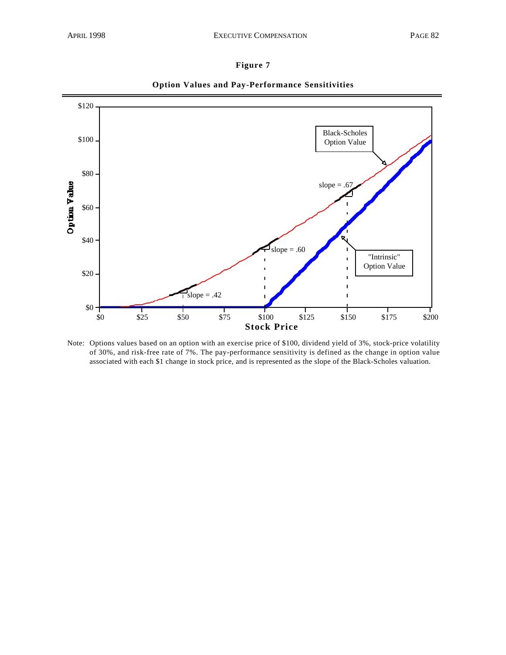



**Option Values and Pay-Performance Sensitivities**

Note: Options values based on an option with an exercise price of \$100, dividend yield of 3%, stock-price volatility of 30%, and risk-free rate of 7%. The pay-performance sensitivity is defined as the change in option value associated with each \$1 change in stock price, and is represented as the slope of the Black-Scholes valuation.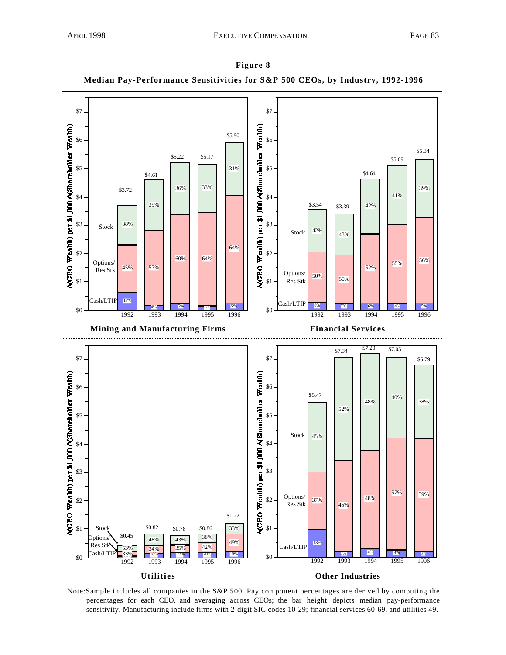

**Figure 8**

Note:Sample includes all companies in the S&P 500. Pay component percentages are derived by computing the percentages for each CEO, and averaging across CEOs; the bar height depicts median pay-performance sensitivity. Manufacturing include firms with 2-digit SIC codes 10-29; financial services 60-69, and utilities 49.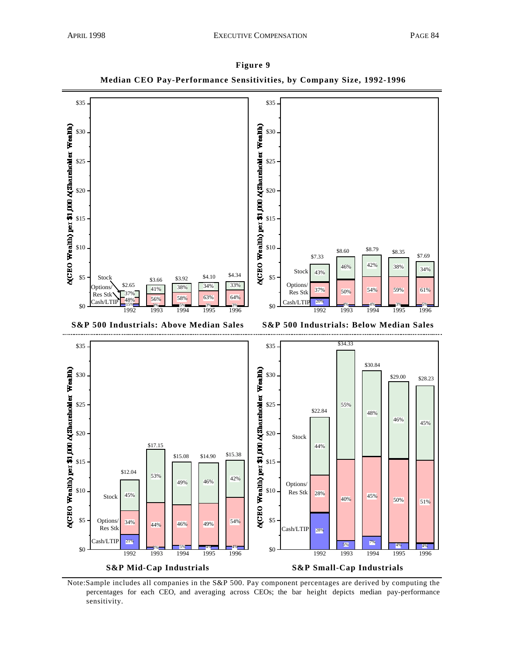

**Figure 9 Median CEO Pay-Performance Sensitivities, by Company Size, 1992-1996**

Note:Sample includes all companies in the S&P 500. Pay component percentages are derived by computing the percentages for each CEO, and averaging across CEOs; the bar height depicts median pay-performance sensitivity.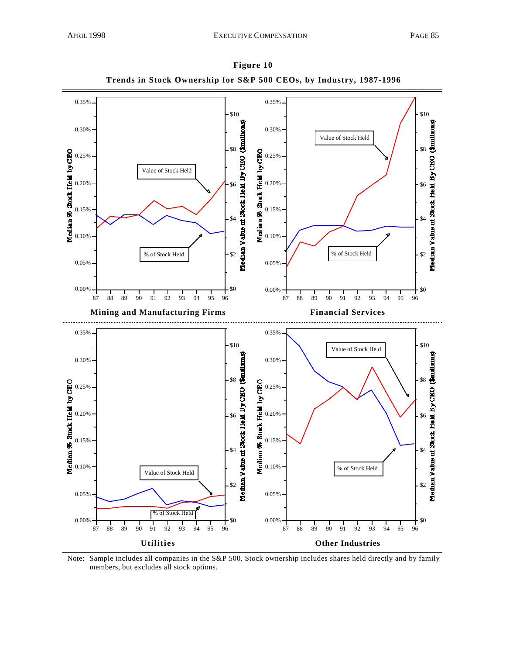

**Figure 10 Trends in Stock Ownership for S&P 500 CEOs, by Industry, 1987-1996**

Note: Sample includes all companies in the S&P 500. Stock ownership includes shares held directly and by family members, but excludes all stock options.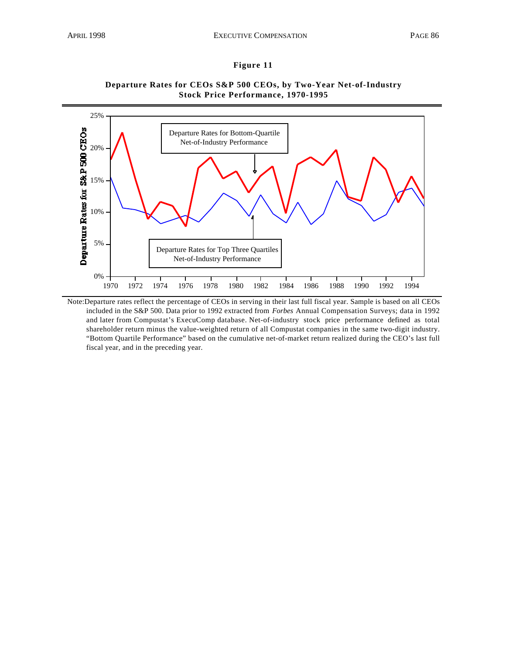

### **Departure Rates for CEOs S&P 500 CEOs, by Two-Year Net-of-Industry Stock Price Performance, 1970-1995**

Note:Departure rates reflect the percentage of CEOs in serving in their last full fiscal year. Sample is based on all CEOs included in the S&P 500. Data prior to 1992 extracted from *Forbes* Annual Compensation Surveys; data in 1992 and later from Compustat's ExecuComp database. Net-of-industry stock price performance defined as total shareholder return minus the value-weighted return of all Compustat companies in the same two-digit industry. "Bottom Quartile Performance" based on the cumulative net-of-market return realized during the CEO's last full fiscal year, and in the preceding year.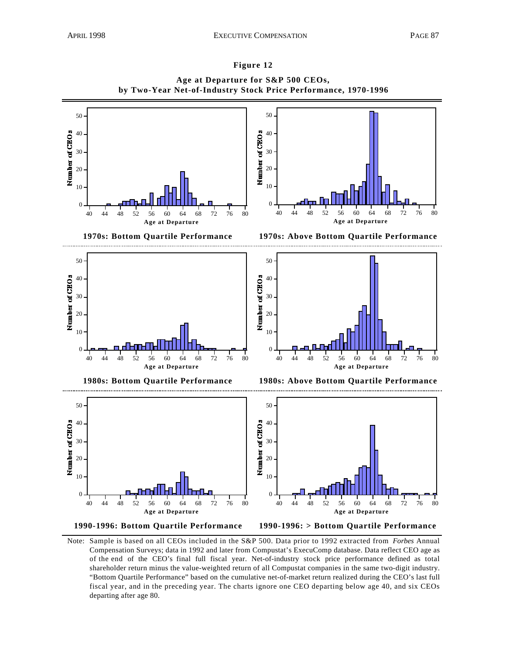



**Age at Departure for S&P 500 CEOs, by Two-Year Net-of-Industry Stock Price Performance, 1970-1996**

Note: Sample is based on all CEOs included in the S&P 500. Data prior to 1992 extracted from *Forbes* Annual Compensation Surveys; data in 1992 and later from Compustat's ExecuComp database. Data reflect CEO age as of the end of the CEO's final full fiscal year. Net-of-industry stock price performance defined as total shareholder return minus the value-weighted return of all Compustat companies in the same two-digit industry. "Bottom Quartile Performance" based on the cumulative net-of-market return realized during the CEO's last full fiscal year, and in the preceding year. The charts ignore one CEO departing below age 40, and six CEOs departing after age 80.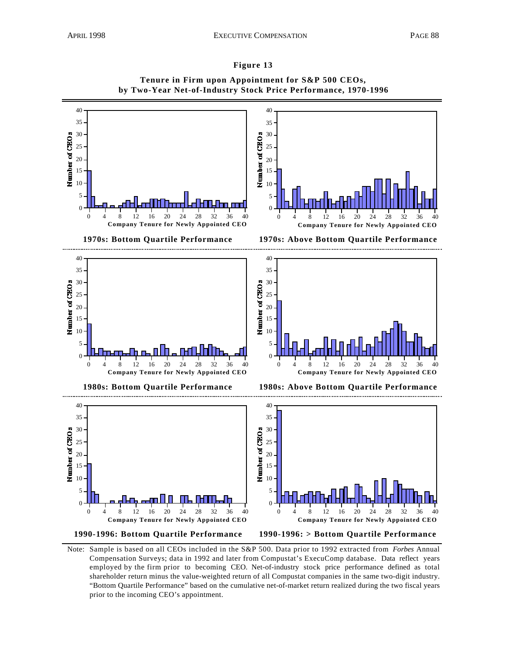



**Tenure in Firm upon Appointment for S&P 500 CEOs, by Two-Year Net-of-Industry Stock Price Performance, 1970-1996**

Note: Sample is based on all CEOs included in the S&P 500. Data prior to 1992 extracted from *Forbes* Annual Compensation Surveys; data in 1992 and later from Compustat's ExecuComp database. Data reflect years employed by the firm prior to becoming CEO. Net-of-industry stock price performance defined as total shareholder return minus the value-weighted return of all Compustat companies in the same two-digit industry. "Bottom Quartile Performance" based on the cumulative net-of-market return realized during the two fiscal years prior to the incoming CEO's appointment.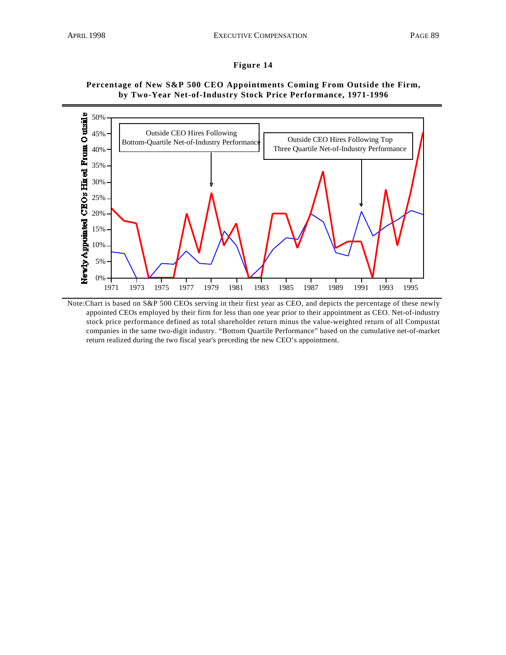



Note:Chart is based on S&P 500 CEOs serving in their first year as CEO, and depicts the percentage of these newly appointed CEOs employed by their firm for less than one year prior to their appointment as CEO. Net-of-industry stock price performance defined as total shareholder return minus the value-weighted return of all Compustat companies in the same two-digit industry. "Bottom Quartile Performance" based on the cumulative net-of-market return realized during the two fiscal year's preceding the new CEO's appointment.